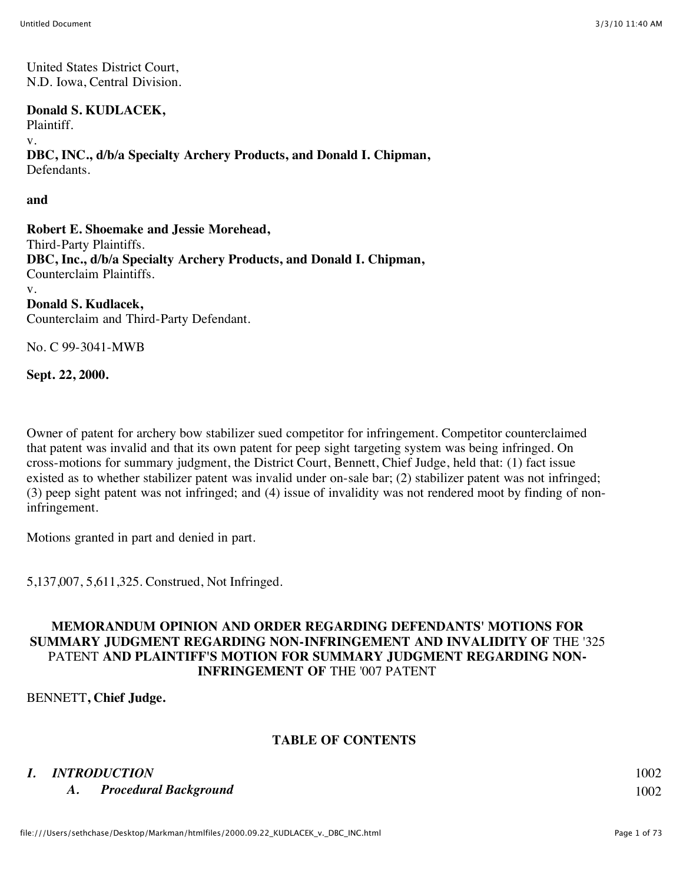United States District Court, N.D. Iowa, Central Division.

**Donald S. KUDLACEK,**

Plaintiff. v.

**DBC, INC., d/b/a Specialty Archery Products, and Donald I. Chipman,** Defendants.

**and**

**Robert E. Shoemake and Jessie Morehead,** Third-Party Plaintiffs. **DBC, Inc., d/b/a Specialty Archery Products, and Donald I. Chipman,** Counterclaim Plaintiffs. v. **Donald S. Kudlacek,** Counterclaim and Third-Party Defendant.

No. C 99-3041-MWB

**Sept. 22, 2000.**

Owner of patent for archery bow stabilizer sued competitor for infringement. Competitor counterclaimed that patent was invalid and that its own patent for peep sight targeting system was being infringed. On cross-motions for summary judgment, the District Court, Bennett, Chief Judge, held that: (1) fact issue existed as to whether stabilizer patent was invalid under on-sale bar; (2) stabilizer patent was not infringed; (3) peep sight patent was not infringed; and (4) issue of invalidity was not rendered moot by finding of noninfringement.

Motions granted in part and denied in part.

5,137,007, 5,611,325. Construed, Not Infringed.

# **MEMORANDUM OPINION AND ORDER REGARDING DEFENDANTS' MOTIONS FOR SUMMARY JUDGMENT REGARDING NON-INFRINGEMENT AND INVALIDITY OF** THE '325 PATENT **AND PLAINTIFF'S MOTION FOR SUMMARY JUDGMENT REGARDING NON-INFRINGEMENT OF** THE '007 PATENT

BENNETT**, Chief Judge.**

# **TABLE OF CONTENTS**

# *I. INTRODUCTION* 1002

*A. Procedural Background* 1002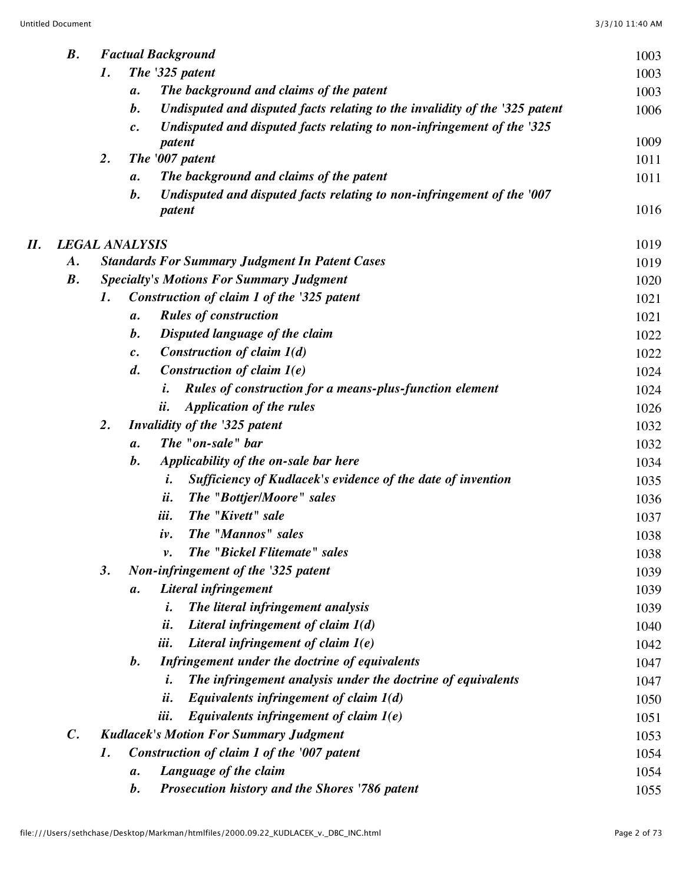|    | $\boldsymbol{B}$ .    | <b>Factual Background</b> |                    |                                                                                  |      |  |
|----|-----------------------|---------------------------|--------------------|----------------------------------------------------------------------------------|------|--|
|    |                       | 1.                        |                    | The '325 patent                                                                  | 1003 |  |
|    |                       |                           | $\boldsymbol{a}$ . | The background and claims of the patent                                          | 1003 |  |
|    |                       |                           | $\boldsymbol{b}$ . | Undisputed and disputed facts relating to the invalidity of the '325 patent      | 1006 |  |
|    |                       |                           | $\mathfrak{c}.$    | Undisputed and disputed facts relating to non-infringement of the '325           |      |  |
|    |                       |                           |                    | patent                                                                           | 1009 |  |
|    |                       | 2.                        |                    | The '007 patent                                                                  | 1011 |  |
|    |                       |                           | $\boldsymbol{a}$ . | The background and claims of the patent                                          | 1011 |  |
|    |                       |                           | $\boldsymbol{b}$ . | Undisputed and disputed facts relating to non-infringement of the '007<br>patent | 1016 |  |
| П. | <b>LEGAL ANALYSIS</b> |                           |                    |                                                                                  | 1019 |  |
|    | $\boldsymbol{A}$ .    |                           |                    | <b>Standards For Summary Judgment In Patent Cases</b>                            | 1019 |  |
|    | $\boldsymbol{B}$ .    |                           |                    | <b>Specialty's Motions For Summary Judgment</b>                                  | 1020 |  |
|    |                       | 1.                        |                    | Construction of claim 1 of the '325 patent                                       | 1021 |  |
|    |                       |                           | $\boldsymbol{a}$ . | <b>Rules of construction</b>                                                     | 1021 |  |
|    |                       |                           | $\boldsymbol{b}$ . | Disputed language of the claim                                                   | 1022 |  |
|    |                       |                           | $\mathfrak{c}.$    | Construction of claim $1(d)$                                                     | 1022 |  |
|    |                       |                           | $\boldsymbol{d}$ . | Construction of claim 1(e)                                                       | 1024 |  |
|    |                       |                           |                    | Rules of construction for a means-plus-function element<br>i.                    | 1024 |  |
|    |                       |                           |                    | <b>Application of the rules</b><br><i>ii.</i>                                    | 1026 |  |
|    |                       | 2.                        |                    | Invalidity of the '325 patent                                                    | 1032 |  |
|    |                       |                           | $\mathfrak{a}.$    | The "on-sale" bar                                                                | 1032 |  |
|    |                       |                           | $\boldsymbol{b}$ . | Applicability of the on-sale bar here                                            | 1034 |  |
|    |                       |                           |                    | Sufficiency of Kudlacek's evidence of the date of invention<br>i.                | 1035 |  |
|    |                       |                           |                    | ii.<br>The "Bottjer/Moore" sales                                                 | 1036 |  |
|    |                       |                           |                    | iii.<br>The "Kivett" sale                                                        | 1037 |  |
|    |                       |                           |                    | The "Mannos" sales<br>iv.                                                        | 1038 |  |
|    |                       |                           |                    | The "Bickel Flitemate" sales<br>ν.                                               | 1038 |  |
|    |                       | 3.                        |                    | Non-infringement of the '325 patent                                              | 1039 |  |
|    |                       |                           | $\boldsymbol{a}$ . | Literal infringement                                                             | 1039 |  |
|    |                       |                           |                    | The literal infringement analysis<br>i.                                          | 1039 |  |
|    |                       |                           |                    | ii.<br>Literal infringement of claim $1(d)$                                      | 1040 |  |
|    |                       |                           |                    | iii.<br>Literal infringement of claim 1(e)                                       | 1042 |  |
|    |                       |                           | $\boldsymbol{b}$ . | Infringement under the doctrine of equivalents                                   | 1047 |  |
|    |                       |                           |                    | The infringement analysis under the doctrine of equivalents<br>i.                | 1047 |  |
|    |                       |                           |                    | Equivalents infringement of claim $1(d)$<br>ii.                                  | 1050 |  |
|    |                       |                           |                    | Equivalents infringement of claim $I(e)$<br><i>iii.</i>                          | 1051 |  |
|    | $\mathcal{C}$ .       |                           |                    | <b>Kudlacek's Motion For Summary Judgment</b>                                    | 1053 |  |
|    |                       | 1.                        |                    | Construction of claim 1 of the '007 patent                                       | 1054 |  |
|    |                       |                           | $\boldsymbol{a}$ . | Language of the claim                                                            | 1054 |  |
|    |                       |                           | $\bm{b}$ .         | Prosecution history and the Shores '786 patent                                   | 1055 |  |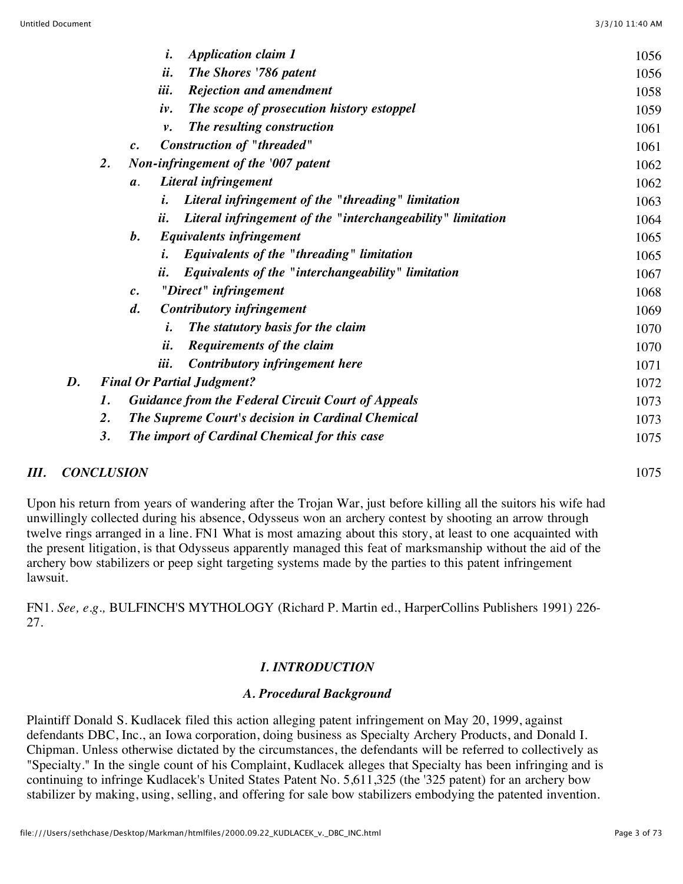|    |                                   | i.<br><b>Application claim 1</b>                                                  | 1056 |  |  |
|----|-----------------------------------|-----------------------------------------------------------------------------------|------|--|--|
|    |                                   | ii.<br>The Shores '786 patent                                                     | 1056 |  |  |
|    |                                   | iii.<br><b>Rejection and amendment</b>                                            | 1058 |  |  |
|    |                                   | The scope of prosecution history estoppel<br>iv.                                  | 1059 |  |  |
|    |                                   | The resulting construction<br>ν.                                                  | 1061 |  |  |
|    |                                   | <b>Construction of "threaded"</b><br>$c$ .                                        | 1061 |  |  |
|    | 2.                                | Non-infringement of the '007 patent                                               | 1062 |  |  |
|    |                                   | Literal infringement<br>$\mathfrak{a}.$                                           | 1062 |  |  |
|    |                                   | Literal infringement of the "threading" limitation<br>i.                          | 1063 |  |  |
|    |                                   | Literal infringement of the "interchangeability" limitation<br>$\boldsymbol{u}$ . | 1064 |  |  |
|    |                                   | <b>Equivalents infringement</b><br>$\bm{b}$ .                                     | 1065 |  |  |
|    |                                   | Equivalents of the "threading" limitation<br>i.                                   | 1065 |  |  |
|    |                                   | Equivalents of the "interchangeability" limitation<br>$\ddot{\boldsymbol{u}}$ .   | 1067 |  |  |
|    |                                   | "Direct" infringement<br>$\mathfrak{c}.$                                          | 1068 |  |  |
|    |                                   | <b>Contributory infringement</b><br>$\boldsymbol{d}$ .                            | 1069 |  |  |
|    |                                   | The statutory basis for the claim<br>i.                                           | 1070 |  |  |
|    |                                   | ii.<br><b>Requirements of the claim</b>                                           | 1070 |  |  |
|    |                                   | Contributory infringement here<br>ul.                                             | 1071 |  |  |
| D. | <b>Final Or Partial Judgment?</b> | 1072                                                                              |      |  |  |
|    | 1.                                | <b>Guidance from the Federal Circuit Court of Appeals</b>                         |      |  |  |
|    | $\overline{2}$ .                  | The Supreme Court's decision in Cardinal Chemical                                 |      |  |  |
|    | 3.                                | The import of Cardinal Chemical for this case                                     |      |  |  |
|    |                                   |                                                                                   |      |  |  |

# *III. CONCLUSION* 1075

Upon his return from years of wandering after the Trojan War, just before killing all the suitors his wife had unwillingly collected during his absence, Odysseus won an archery contest by shooting an arrow through twelve rings arranged in a line. FN1 What is most amazing about this story, at least to one acquainted with the present litigation, is that Odysseus apparently managed this feat of marksmanship without the aid of the archery bow stabilizers or peep sight targeting systems made by the parties to this patent infringement lawsuit.

FN1. *See, e.g.,* BULFINCH'S MYTHOLOGY (Richard P. Martin ed., HarperCollins Publishers 1991) 226- 27.

# *I. INTRODUCTION*

# *A. Procedural Background*

Plaintiff Donald S. Kudlacek filed this action alleging patent infringement on May 20, 1999, against defendants DBC, Inc., an Iowa corporation, doing business as Specialty Archery Products, and Donald I. Chipman. Unless otherwise dictated by the circumstances, the defendants will be referred to collectively as "Specialty." In the single count of his Complaint, Kudlacek alleges that Specialty has been infringing and is continuing to infringe Kudlacek's United States Patent No. 5,611,325 (the '325 patent) for an archery bow stabilizer by making, using, selling, and offering for sale bow stabilizers embodying the patented invention.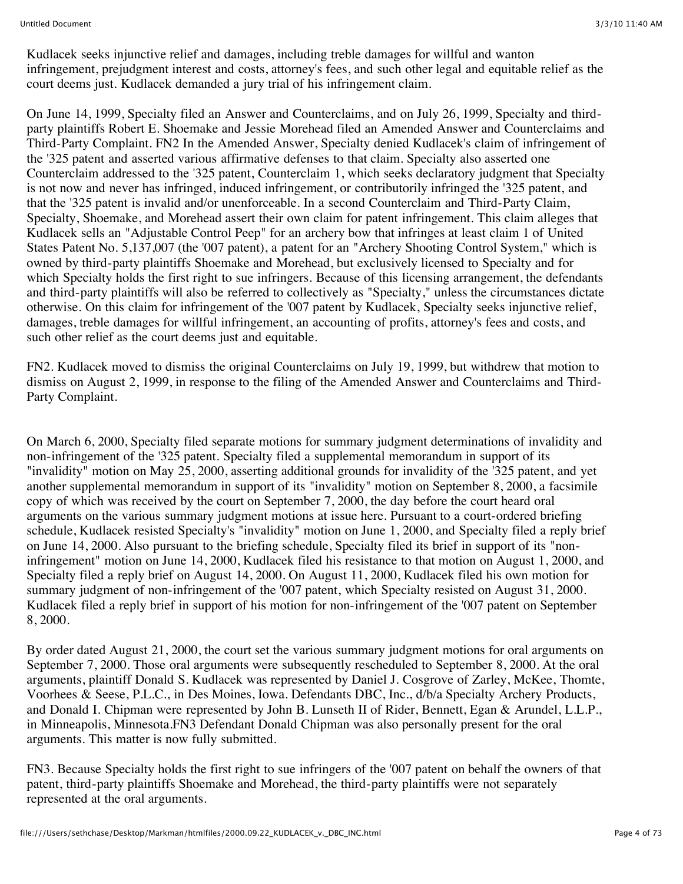Kudlacek seeks injunctive relief and damages, including treble damages for willful and wanton infringement, prejudgment interest and costs, attorney's fees, and such other legal and equitable relief as the court deems just. Kudlacek demanded a jury trial of his infringement claim.

On June 14, 1999, Specialty filed an Answer and Counterclaims, and on July 26, 1999, Specialty and thirdparty plaintiffs Robert E. Shoemake and Jessie Morehead filed an Amended Answer and Counterclaims and Third-Party Complaint. FN2 In the Amended Answer, Specialty denied Kudlacek's claim of infringement of the '325 patent and asserted various affirmative defenses to that claim. Specialty also asserted one Counterclaim addressed to the '325 patent, Counterclaim 1, which seeks declaratory judgment that Specialty is not now and never has infringed, induced infringement, or contributorily infringed the '325 patent, and that the '325 patent is invalid and/or unenforceable. In a second Counterclaim and Third-Party Claim, Specialty, Shoemake, and Morehead assert their own claim for patent infringement. This claim alleges that Kudlacek sells an "Adjustable Control Peep" for an archery bow that infringes at least claim 1 of United States Patent No. 5,137,007 (the '007 patent), a patent for an "Archery Shooting Control System," which is owned by third-party plaintiffs Shoemake and Morehead, but exclusively licensed to Specialty and for which Specialty holds the first right to sue infringers. Because of this licensing arrangement, the defendants and third-party plaintiffs will also be referred to collectively as "Specialty," unless the circumstances dictate otherwise. On this claim for infringement of the '007 patent by Kudlacek, Specialty seeks injunctive relief, damages, treble damages for willful infringement, an accounting of profits, attorney's fees and costs, and such other relief as the court deems just and equitable.

FN2. Kudlacek moved to dismiss the original Counterclaims on July 19, 1999, but withdrew that motion to dismiss on August 2, 1999, in response to the filing of the Amended Answer and Counterclaims and Third-Party Complaint.

On March 6, 2000, Specialty filed separate motions for summary judgment determinations of invalidity and non-infringement of the '325 patent. Specialty filed a supplemental memorandum in support of its "invalidity" motion on May 25, 2000, asserting additional grounds for invalidity of the '325 patent, and yet another supplemental memorandum in support of its "invalidity" motion on September 8, 2000, a facsimile copy of which was received by the court on September 7, 2000, the day before the court heard oral arguments on the various summary judgment motions at issue here. Pursuant to a court-ordered briefing schedule, Kudlacek resisted Specialty's "invalidity" motion on June 1, 2000, and Specialty filed a reply brief on June 14, 2000. Also pursuant to the briefing schedule, Specialty filed its brief in support of its "noninfringement" motion on June 14, 2000, Kudlacek filed his resistance to that motion on August 1, 2000, and Specialty filed a reply brief on August 14, 2000. On August 11, 2000, Kudlacek filed his own motion for summary judgment of non-infringement of the '007 patent, which Specialty resisted on August 31, 2000. Kudlacek filed a reply brief in support of his motion for non-infringement of the '007 patent on September 8, 2000.

By order dated August 21, 2000, the court set the various summary judgment motions for oral arguments on September 7, 2000. Those oral arguments were subsequently rescheduled to September 8, 2000. At the oral arguments, plaintiff Donald S. Kudlacek was represented by Daniel J. Cosgrove of Zarley, McKee, Thomte, Voorhees & Seese, P.L.C., in Des Moines, Iowa. Defendants DBC, Inc., d/b/a Specialty Archery Products, and Donald I. Chipman were represented by John B. Lunseth II of Rider, Bennett, Egan & Arundel, L.L.P., in Minneapolis, Minnesota.FN3 Defendant Donald Chipman was also personally present for the oral arguments. This matter is now fully submitted.

FN3. Because Specialty holds the first right to sue infringers of the '007 patent on behalf the owners of that patent, third-party plaintiffs Shoemake and Morehead, the third-party plaintiffs were not separately represented at the oral arguments.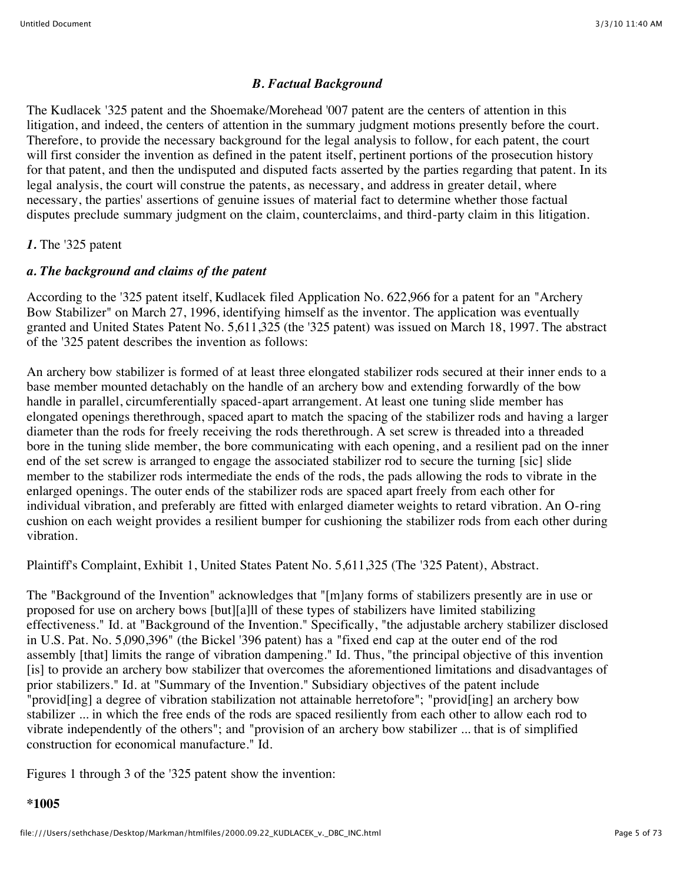## *B. Factual Background*

The Kudlacek '325 patent and the Shoemake/Morehead '007 patent are the centers of attention in this litigation, and indeed, the centers of attention in the summary judgment motions presently before the court. Therefore, to provide the necessary background for the legal analysis to follow, for each patent, the court will first consider the invention as defined in the patent itself, pertinent portions of the prosecution history for that patent, and then the undisputed and disputed facts asserted by the parties regarding that patent. In its legal analysis, the court will construe the patents, as necessary, and address in greater detail, where necessary, the parties' assertions of genuine issues of material fact to determine whether those factual disputes preclude summary judgment on the claim, counterclaims, and third-party claim in this litigation.

### *1.* The '325 patent

# *a. The background and claims of the patent*

According to the '325 patent itself, Kudlacek filed Application No. 622,966 for a patent for an "Archery Bow Stabilizer" on March 27, 1996, identifying himself as the inventor. The application was eventually granted and United States Patent No. 5,611,325 (the '325 patent) was issued on March 18, 1997. The abstract of the '325 patent describes the invention as follows:

An archery bow stabilizer is formed of at least three elongated stabilizer rods secured at their inner ends to a base member mounted detachably on the handle of an archery bow and extending forwardly of the bow handle in parallel, circumferentially spaced-apart arrangement. At least one tuning slide member has elongated openings therethrough, spaced apart to match the spacing of the stabilizer rods and having a larger diameter than the rods for freely receiving the rods therethrough. A set screw is threaded into a threaded bore in the tuning slide member, the bore communicating with each opening, and a resilient pad on the inner end of the set screw is arranged to engage the associated stabilizer rod to secure the turning [sic] slide member to the stabilizer rods intermediate the ends of the rods, the pads allowing the rods to vibrate in the enlarged openings. The outer ends of the stabilizer rods are spaced apart freely from each other for individual vibration, and preferably are fitted with enlarged diameter weights to retard vibration. An O-ring cushion on each weight provides a resilient bumper for cushioning the stabilizer rods from each other during vibration.

Plaintiff's Complaint, Exhibit 1, United States Patent No. 5,611,325 (The '325 Patent), Abstract.

The "Background of the Invention" acknowledges that "[m]any forms of stabilizers presently are in use or proposed for use on archery bows [but][a]ll of these types of stabilizers have limited stabilizing effectiveness." Id. at "Background of the Invention." Specifically, "the adjustable archery stabilizer disclosed in U.S. Pat. No. 5,090,396" (the Bickel '396 patent) has a "fixed end cap at the outer end of the rod assembly [that] limits the range of vibration dampening." Id. Thus, "the principal objective of this invention [is] to provide an archery bow stabilizer that overcomes the aforementioned limitations and disadvantages of prior stabilizers." Id. at "Summary of the Invention." Subsidiary objectives of the patent include "provid[ing] a degree of vibration stabilization not attainable herretofore"; "provid[ing] an archery bow stabilizer ... in which the free ends of the rods are spaced resiliently from each other to allow each rod to vibrate independently of the others"; and "provision of an archery bow stabilizer ... that is of simplified construction for economical manufacture." Id.

Figures 1 through 3 of the '325 patent show the invention: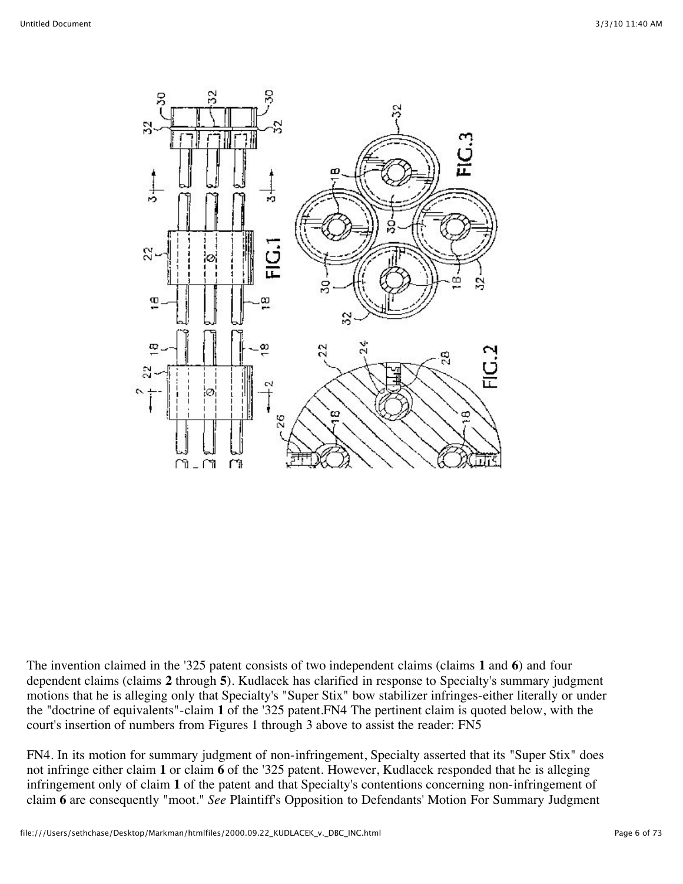The invention claimed in the '325 patent consists of two independent claims (claims **1** and **6**) and four dependent claims (claims **2** through **5**). Kudlacek has clarified in response to Specialty's summary judgment motions that he is alleging only that Specialty's "Super Stix" bow stabilizer infringes-either literally or under the "doctrine of equivalents"-claim **1** of the '325 patent.FN4 The pertinent claim is quoted below, with the court's insertion of numbers from Figures 1 through 3 above to assist the reader: FN5

FN4. In its motion for summary judgment of non-infringement, Specialty asserted that its "Super Stix" does not infringe either claim **1** or claim **6** of the '325 patent. However, Kudlacek responded that he is alleging infringement only of claim **1** of the patent and that Specialty's contentions concerning non-infringement of claim **6** are consequently "moot." *See* Plaintiff's Opposition to Defendants' Motion For Summary Judgment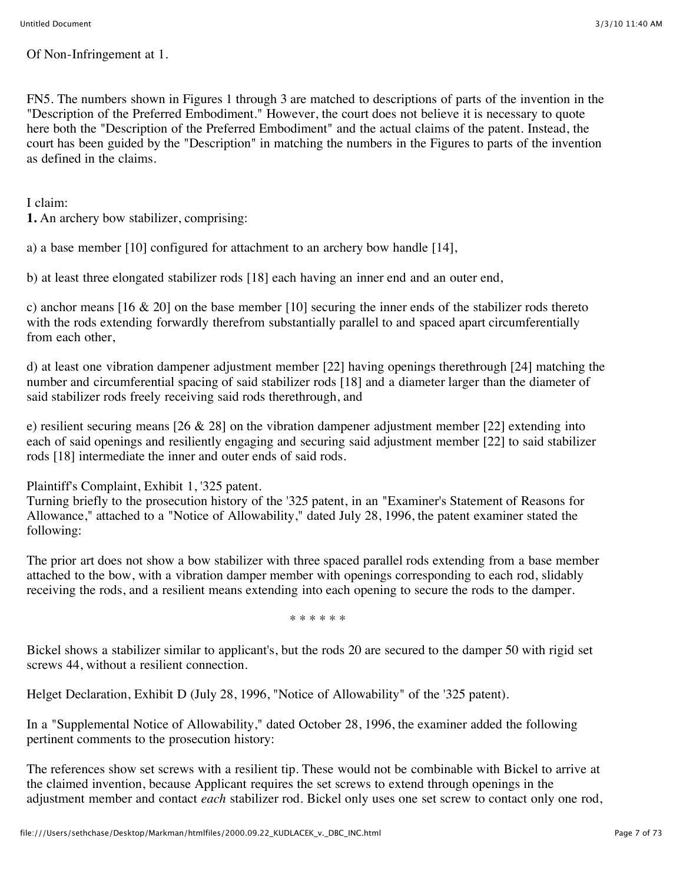Of Non-Infringement at 1.

FN5. The numbers shown in Figures 1 through 3 are matched to descriptions of parts of the invention in the "Description of the Preferred Embodiment." However, the court does not believe it is necessary to quote here both the "Description of the Preferred Embodiment" and the actual claims of the patent. Instead, the court has been guided by the "Description" in matching the numbers in the Figures to parts of the invention as defined in the claims.

I claim:

**1.** An archery bow stabilizer, comprising:

a) a base member [10] configured for attachment to an archery bow handle [14],

b) at least three elongated stabilizer rods [18] each having an inner end and an outer end,

c) anchor means [16 & 20] on the base member [10] securing the inner ends of the stabilizer rods thereto with the rods extending forwardly therefrom substantially parallel to and spaced apart circumferentially from each other,

d) at least one vibration dampener adjustment member [22] having openings therethrough [24] matching the number and circumferential spacing of said stabilizer rods [18] and a diameter larger than the diameter of said stabilizer rods freely receiving said rods therethrough, and

e) resilient securing means [26 & 28] on the vibration dampener adjustment member [22] extending into each of said openings and resiliently engaging and securing said adjustment member [22] to said stabilizer rods [18] intermediate the inner and outer ends of said rods.

Plaintiff's Complaint, Exhibit 1, '325 patent.

Turning briefly to the prosecution history of the '325 patent, in an "Examiner's Statement of Reasons for Allowance," attached to a "Notice of Allowability," dated July 28, 1996, the patent examiner stated the following:

The prior art does not show a bow stabilizer with three spaced parallel rods extending from a base member attached to the bow, with a vibration damper member with openings corresponding to each rod, slidably receiving the rods, and a resilient means extending into each opening to secure the rods to the damper.

\* \* \* \* \* \*

Bickel shows a stabilizer similar to applicant's, but the rods 20 are secured to the damper 50 with rigid set screws 44, without a resilient connection.

Helget Declaration, Exhibit D (July 28, 1996, "Notice of Allowability" of the '325 patent).

In a "Supplemental Notice of Allowability," dated October 28, 1996, the examiner added the following pertinent comments to the prosecution history:

The references show set screws with a resilient tip. These would not be combinable with Bickel to arrive at the claimed invention, because Applicant requires the set screws to extend through openings in the adjustment member and contact *each* stabilizer rod. Bickel only uses one set screw to contact only one rod,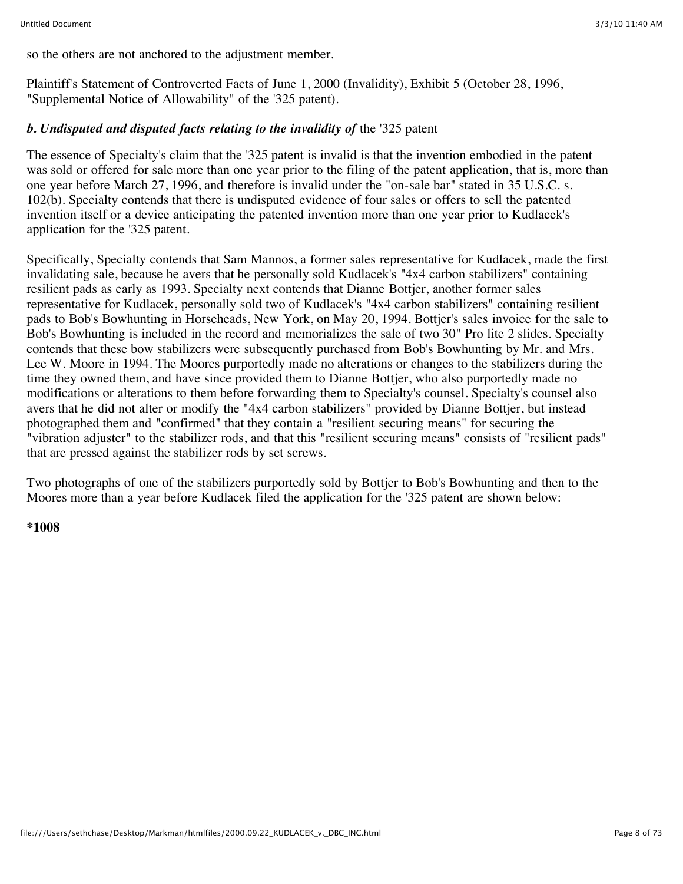so the others are not anchored to the adjustment member.

Plaintiff's Statement of Controverted Facts of June 1, 2000 (Invalidity), Exhibit 5 (October 28, 1996, "Supplemental Notice of Allowability" of the '325 patent).

#### *b. Undisputed and disputed facts relating to the invalidity of the '325 patent*

The essence of Specialty's claim that the '325 patent is invalid is that the invention embodied in the patent was sold or offered for sale more than one year prior to the filing of the patent application, that is, more than one year before March 27, 1996, and therefore is invalid under the "on-sale bar" stated in 35 U.S.C. s. 102(b). Specialty contends that there is undisputed evidence of four sales or offers to sell the patented invention itself or a device anticipating the patented invention more than one year prior to Kudlacek's application for the '325 patent.

Specifically, Specialty contends that Sam Mannos, a former sales representative for Kudlacek, made the first invalidating sale, because he avers that he personally sold Kudlacek's "4x4 carbon stabilizers" containing resilient pads as early as 1993. Specialty next contends that Dianne Bottjer, another former sales representative for Kudlacek, personally sold two of Kudlacek's "4x4 carbon stabilizers" containing resilient pads to Bob's Bowhunting in Horseheads, New York, on May 20, 1994. Bottjer's sales invoice for the sale to Bob's Bowhunting is included in the record and memorializes the sale of two 30" Pro lite 2 slides. Specialty contends that these bow stabilizers were subsequently purchased from Bob's Bowhunting by Mr. and Mrs. Lee W. Moore in 1994. The Moores purportedly made no alterations or changes to the stabilizers during the time they owned them, and have since provided them to Dianne Bottjer, who also purportedly made no modifications or alterations to them before forwarding them to Specialty's counsel. Specialty's counsel also avers that he did not alter or modify the "4x4 carbon stabilizers" provided by Dianne Bottjer, but instead photographed them and "confirmed" that they contain a "resilient securing means" for securing the "vibration adjuster" to the stabilizer rods, and that this "resilient securing means" consists of "resilient pads" that are pressed against the stabilizer rods by set screws.

Two photographs of one of the stabilizers purportedly sold by Bottjer to Bob's Bowhunting and then to the Moores more than a year before Kudlacek filed the application for the '325 patent are shown below:

#### **\*1008**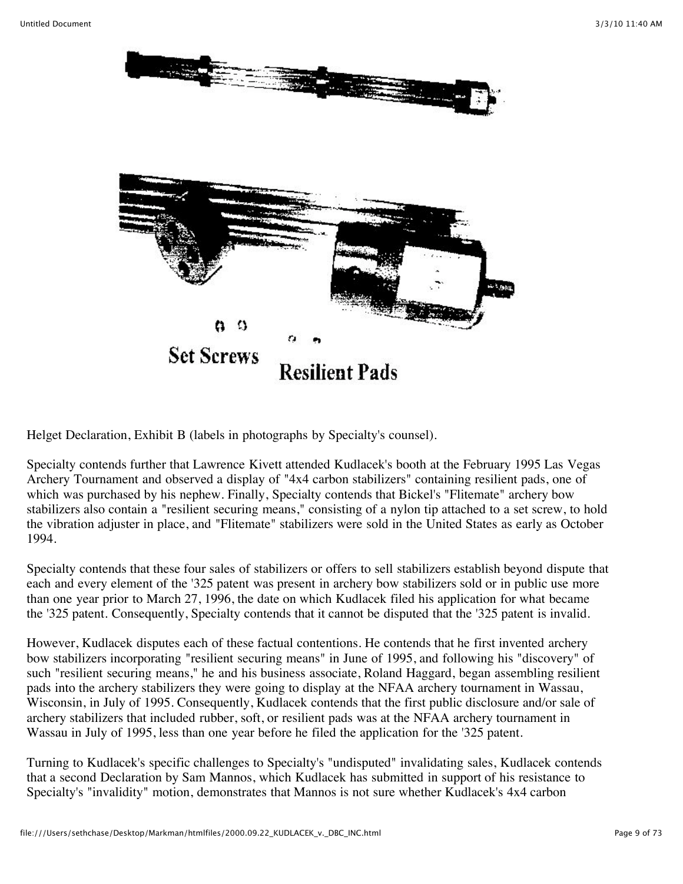

Helget Declaration, Exhibit B (labels in photographs by Specialty's counsel).

Specialty contends further that Lawrence Kivett attended Kudlacek's booth at the February 1995 Las Vegas Archery Tournament and observed a display of "4x4 carbon stabilizers" containing resilient pads, one of which was purchased by his nephew. Finally, Specialty contends that Bickel's "Flitemate" archery bow stabilizers also contain a "resilient securing means," consisting of a nylon tip attached to a set screw, to hold the vibration adjuster in place, and "Flitemate" stabilizers were sold in the United States as early as October 1994.

Specialty contends that these four sales of stabilizers or offers to sell stabilizers establish beyond dispute that each and every element of the '325 patent was present in archery bow stabilizers sold or in public use more than one year prior to March 27, 1996, the date on which Kudlacek filed his application for what became the '325 patent. Consequently, Specialty contends that it cannot be disputed that the '325 patent is invalid.

However, Kudlacek disputes each of these factual contentions. He contends that he first invented archery bow stabilizers incorporating "resilient securing means" in June of 1995, and following his "discovery" of such "resilient securing means," he and his business associate, Roland Haggard, began assembling resilient pads into the archery stabilizers they were going to display at the NFAA archery tournament in Wassau, Wisconsin, in July of 1995. Consequently, Kudlacek contends that the first public disclosure and/or sale of archery stabilizers that included rubber, soft, or resilient pads was at the NFAA archery tournament in Wassau in July of 1995, less than one year before he filed the application for the '325 patent.

Turning to Kudlacek's specific challenges to Specialty's "undisputed" invalidating sales, Kudlacek contends that a second Declaration by Sam Mannos, which Kudlacek has submitted in support of his resistance to Specialty's "invalidity" motion, demonstrates that Mannos is not sure whether Kudlacek's 4x4 carbon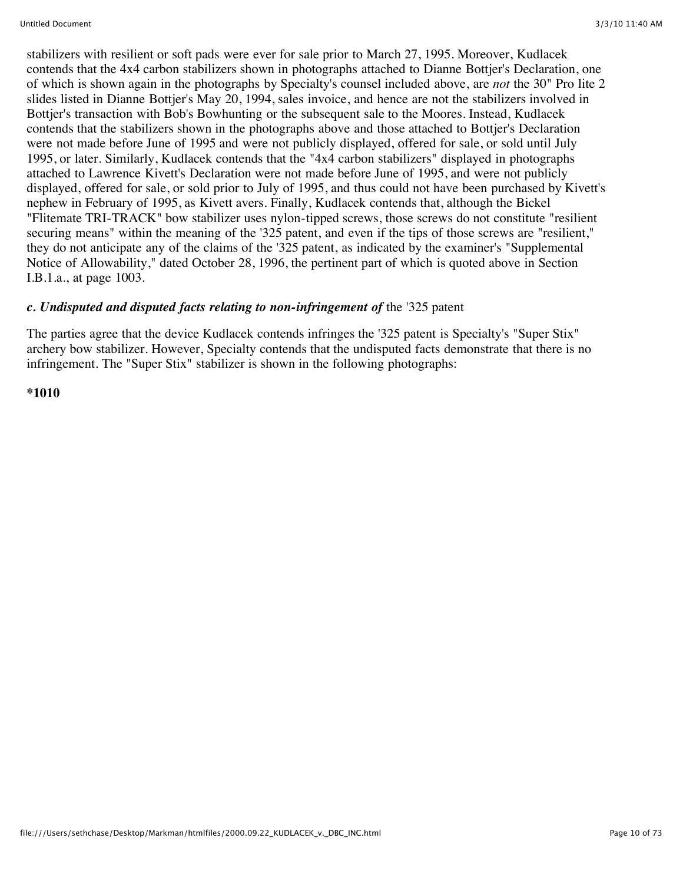stabilizers with resilient or soft pads were ever for sale prior to March 27, 1995. Moreover, Kudlacek contends that the 4x4 carbon stabilizers shown in photographs attached to Dianne Bottjer's Declaration, one of which is shown again in the photographs by Specialty's counsel included above, are *not* the 30" Pro lite 2 slides listed in Dianne Bottjer's May 20, 1994, sales invoice, and hence are not the stabilizers involved in Bottjer's transaction with Bob's Bowhunting or the subsequent sale to the Moores. Instead, Kudlacek contends that the stabilizers shown in the photographs above and those attached to Bottjer's Declaration were not made before June of 1995 and were not publicly displayed, offered for sale, or sold until July 1995, or later. Similarly, Kudlacek contends that the "4x4 carbon stabilizers" displayed in photographs attached to Lawrence Kivett's Declaration were not made before June of 1995, and were not publicly displayed, offered for sale, or sold prior to July of 1995, and thus could not have been purchased by Kivett's nephew in February of 1995, as Kivett avers. Finally, Kudlacek contends that, although the Bickel "Flitemate TRI-TRACK" bow stabilizer uses nylon-tipped screws, those screws do not constitute "resilient securing means" within the meaning of the '325 patent, and even if the tips of those screws are "resilient," they do not anticipate any of the claims of the '325 patent, as indicated by the examiner's "Supplemental Notice of Allowability," dated October 28, 1996, the pertinent part of which is quoted above in Section I.B.1.a., at page 1003.

### *c. Undisputed and disputed facts relating to non-infringement of* the '325 patent

The parties agree that the device Kudlacek contends infringes the '325 patent is Specialty's "Super Stix" archery bow stabilizer. However, Specialty contends that the undisputed facts demonstrate that there is no infringement. The "Super Stix" stabilizer is shown in the following photographs:

**\*1010**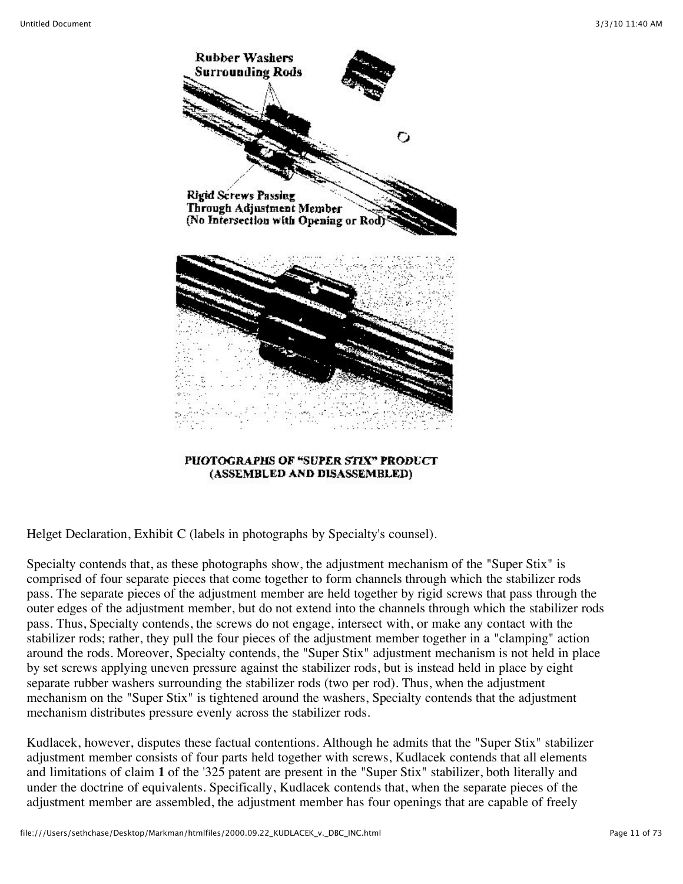

PHOTOGRAPHS OF "SUPER STIX" PRODUCT (ASSEMBLED AND DISASSEMBLED)

Helget Declaration, Exhibit C (labels in photographs by Specialty's counsel).

Specialty contends that, as these photographs show, the adjustment mechanism of the "Super Stix" is comprised of four separate pieces that come together to form channels through which the stabilizer rods pass. The separate pieces of the adjustment member are held together by rigid screws that pass through the outer edges of the adjustment member, but do not extend into the channels through which the stabilizer rods pass. Thus, Specialty contends, the screws do not engage, intersect with, or make any contact with the stabilizer rods; rather, they pull the four pieces of the adjustment member together in a "clamping" action around the rods. Moreover, Specialty contends, the "Super Stix" adjustment mechanism is not held in place by set screws applying uneven pressure against the stabilizer rods, but is instead held in place by eight separate rubber washers surrounding the stabilizer rods (two per rod). Thus, when the adjustment mechanism on the "Super Stix" is tightened around the washers, Specialty contends that the adjustment mechanism distributes pressure evenly across the stabilizer rods.

Kudlacek, however, disputes these factual contentions. Although he admits that the "Super Stix" stabilizer adjustment member consists of four parts held together with screws, Kudlacek contends that all elements and limitations of claim **1** of the '325 patent are present in the "Super Stix" stabilizer, both literally and under the doctrine of equivalents. Specifically, Kudlacek contends that, when the separate pieces of the adjustment member are assembled, the adjustment member has four openings that are capable of freely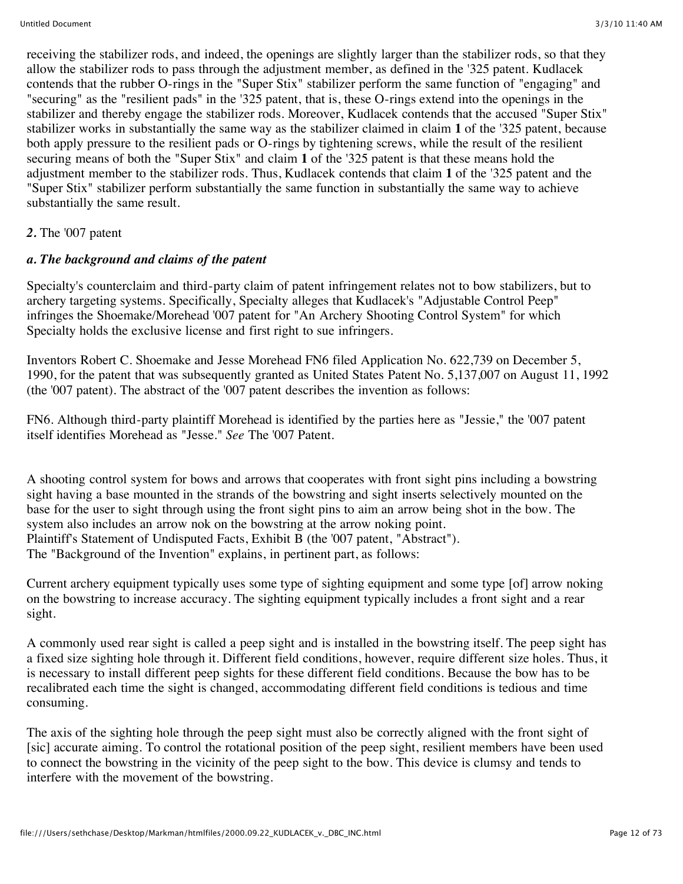receiving the stabilizer rods, and indeed, the openings are slightly larger than the stabilizer rods, so that they allow the stabilizer rods to pass through the adjustment member, as defined in the '325 patent. Kudlacek contends that the rubber O-rings in the "Super Stix" stabilizer perform the same function of "engaging" and "securing" as the "resilient pads" in the '325 patent, that is, these O-rings extend into the openings in the stabilizer and thereby engage the stabilizer rods. Moreover, Kudlacek contends that the accused "Super Stix" stabilizer works in substantially the same way as the stabilizer claimed in claim **1** of the '325 patent, because both apply pressure to the resilient pads or O-rings by tightening screws, while the result of the resilient securing means of both the "Super Stix" and claim **1** of the '325 patent is that these means hold the adjustment member to the stabilizer rods. Thus, Kudlacek contends that claim **1** of the '325 patent and the "Super Stix" stabilizer perform substantially the same function in substantially the same way to achieve substantially the same result.

#### *2.* The '007 patent

#### *a. The background and claims of the patent*

Specialty's counterclaim and third-party claim of patent infringement relates not to bow stabilizers, but to archery targeting systems. Specifically, Specialty alleges that Kudlacek's "Adjustable Control Peep" infringes the Shoemake/Morehead '007 patent for "An Archery Shooting Control System" for which Specialty holds the exclusive license and first right to sue infringers.

Inventors Robert C. Shoemake and Jesse Morehead FN6 filed Application No. 622,739 on December 5, 1990, for the patent that was subsequently granted as United States Patent No. 5,137,007 on August 11, 1992 (the '007 patent). The abstract of the '007 patent describes the invention as follows:

FN6. Although third-party plaintiff Morehead is identified by the parties here as "Jessie," the '007 patent itself identifies Morehead as "Jesse." *See* The '007 Patent.

A shooting control system for bows and arrows that cooperates with front sight pins including a bowstring sight having a base mounted in the strands of the bowstring and sight inserts selectively mounted on the base for the user to sight through using the front sight pins to aim an arrow being shot in the bow. The system also includes an arrow nok on the bowstring at the arrow noking point. Plaintiff's Statement of Undisputed Facts, Exhibit B (the '007 patent, "Abstract"). The "Background of the Invention" explains, in pertinent part, as follows:

Current archery equipment typically uses some type of sighting equipment and some type [of] arrow noking on the bowstring to increase accuracy. The sighting equipment typically includes a front sight and a rear sight.

A commonly used rear sight is called a peep sight and is installed in the bowstring itself. The peep sight has a fixed size sighting hole through it. Different field conditions, however, require different size holes. Thus, it is necessary to install different peep sights for these different field conditions. Because the bow has to be recalibrated each time the sight is changed, accommodating different field conditions is tedious and time consuming.

The axis of the sighting hole through the peep sight must also be correctly aligned with the front sight of [sic] accurate aiming. To control the rotational position of the peep sight, resilient members have been used to connect the bowstring in the vicinity of the peep sight to the bow. This device is clumsy and tends to interfere with the movement of the bowstring.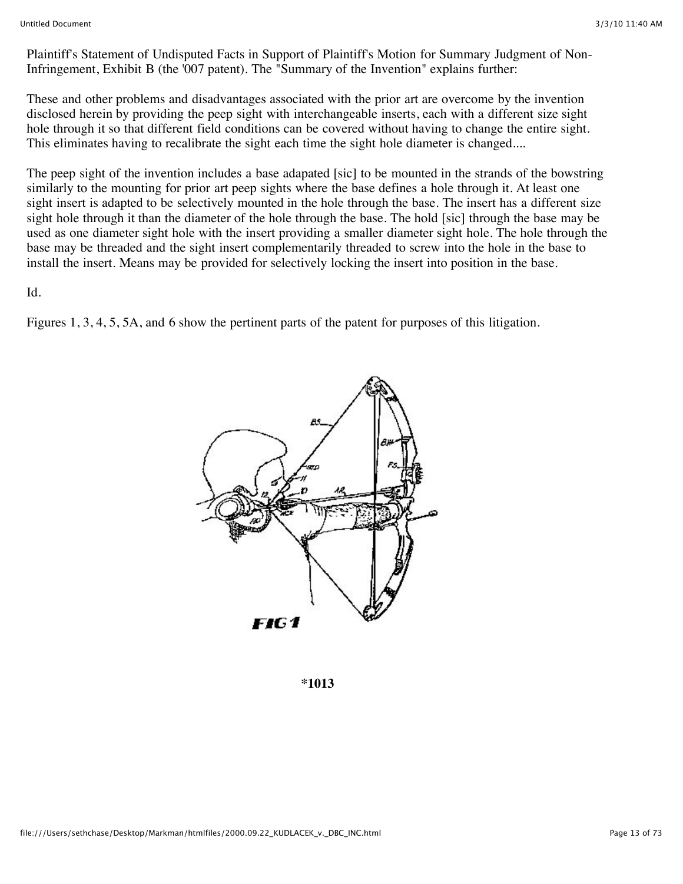Plaintiff's Statement of Undisputed Facts in Support of Plaintiff's Motion for Summary Judgment of Non-Infringement, Exhibit B (the '007 patent). The "Summary of the Invention" explains further:

These and other problems and disadvantages associated with the prior art are overcome by the invention disclosed herein by providing the peep sight with interchangeable inserts, each with a different size sight hole through it so that different field conditions can be covered without having to change the entire sight. This eliminates having to recalibrate the sight each time the sight hole diameter is changed....

The peep sight of the invention includes a base adapated [sic] to be mounted in the strands of the bowstring similarly to the mounting for prior art peep sights where the base defines a hole through it. At least one sight insert is adapted to be selectively mounted in the hole through the base. The insert has a different size sight hole through it than the diameter of the hole through the base. The hold [sic] through the base may be used as one diameter sight hole with the insert providing a smaller diameter sight hole. The hole through the base may be threaded and the sight insert complementarily threaded to screw into the hole in the base to install the insert. Means may be provided for selectively locking the insert into position in the base.

Id.

Figures 1, 3, 4, 5, 5A, and 6 show the pertinent parts of the patent for purposes of this litigation.



**\*1013**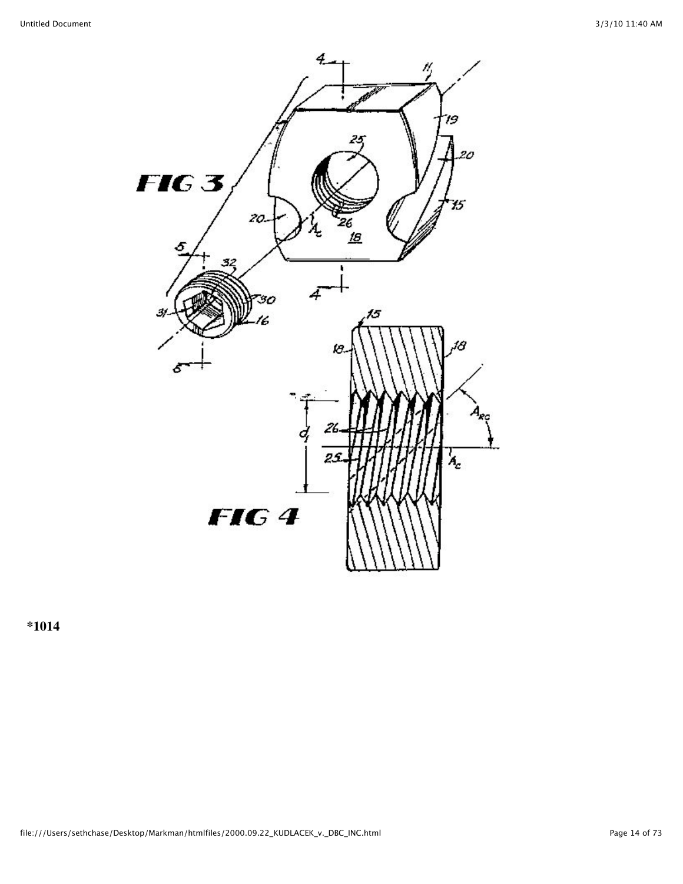

**\*1014**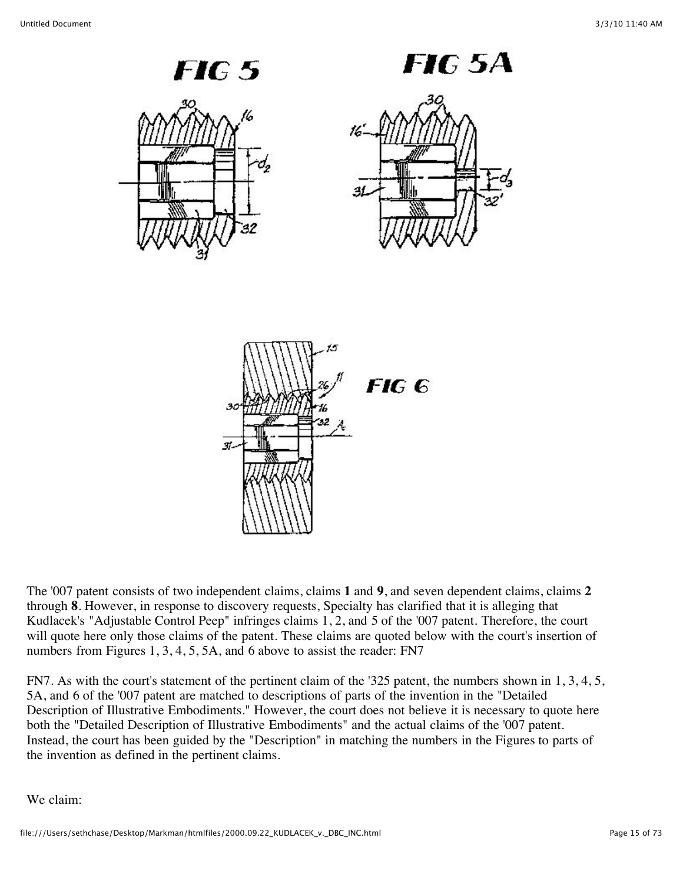

FIG 5A



The '007 patent consists of two independent claims, claims **1** and **9**, and seven dependent claims, claims **2** through **8**. However, in response to discovery requests, Specialty has clarified that it is alleging that Kudlacek's "Adjustable Control Peep" infringes claims 1, 2, and 5 of the '007 patent. Therefore, the court will quote here only those claims of the patent. These claims are quoted below with the court's insertion of numbers from Figures 1, 3, 4, 5, 5A, and 6 above to assist the reader: FN7

FN7. As with the court's statement of the pertinent claim of the '325 patent, the numbers shown in 1, 3, 4, 5, 5A, and 6 of the '007 patent are matched to descriptions of parts of the invention in the "Detailed Description of Illustrative Embodiments." However, the court does not believe it is necessary to quote here both the "Detailed Description of Illustrative Embodiments" and the actual claims of the '007 patent. Instead, the court has been guided by the "Description" in matching the numbers in the Figures to parts of the invention as defined in the pertinent claims.

We claim: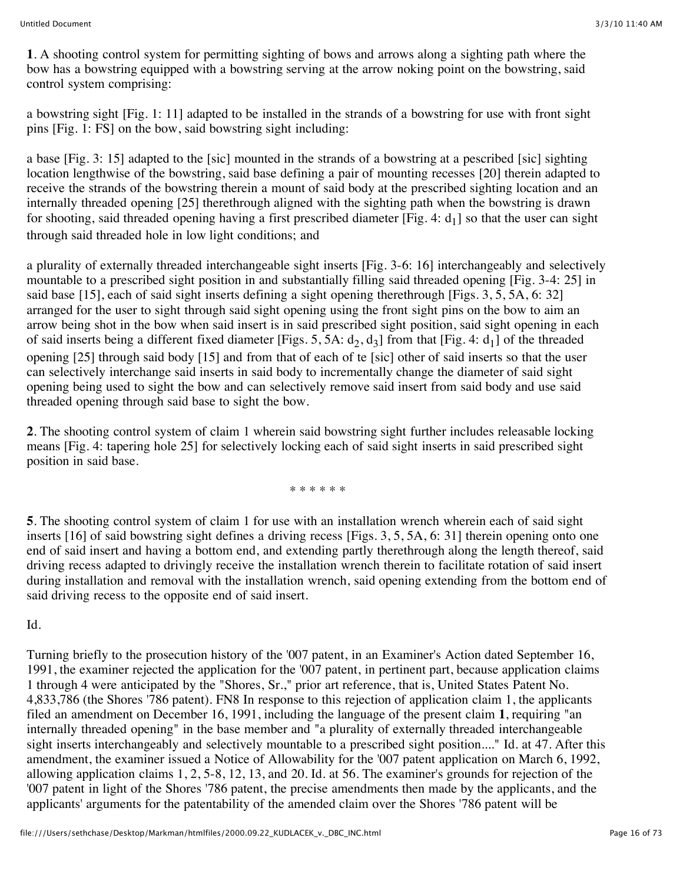**1**. A shooting control system for permitting sighting of bows and arrows along a sighting path where the bow has a bowstring equipped with a bowstring serving at the arrow noking point on the bowstring, said control system comprising:

a bowstring sight [Fig. 1: 11] adapted to be installed in the strands of a bowstring for use with front sight pins [Fig. 1: FS] on the bow, said bowstring sight including:

a base [Fig. 3: 15] adapted to the [sic] mounted in the strands of a bowstring at a pescribed [sic] sighting location lengthwise of the bowstring, said base defining a pair of mounting recesses [20] therein adapted to receive the strands of the bowstring therein a mount of said body at the prescribed sighting location and an internally threaded opening [25] therethrough aligned with the sighting path when the bowstring is drawn for shooting, said threaded opening having a first prescribed diameter [Fig. 4:  $d_1$ ] so that the user can sight through said threaded hole in low light conditions; and

a plurality of externally threaded interchangeable sight inserts [Fig. 3-6: 16] interchangeably and selectively mountable to a prescribed sight position in and substantially filling said threaded opening [Fig. 3-4: 25] in said base [15], each of said sight inserts defining a sight opening therethrough [Figs. 3, 5, 5A, 6: 32] arranged for the user to sight through said sight opening using the front sight pins on the bow to aim an arrow being shot in the bow when said insert is in said prescribed sight position, said sight opening in each of said inserts being a different fixed diameter [Figs. 5, 5A:  $d_2$ ,  $d_3$ ] from that [Fig. 4:  $d_1$ ] of the threaded opening [25] through said body [15] and from that of each of te [sic] other of said inserts so that the user can selectively interchange said inserts in said body to incrementally change the diameter of said sight opening being used to sight the bow and can selectively remove said insert from said body and use said threaded opening through said base to sight the bow.

**2**. The shooting control system of claim 1 wherein said bowstring sight further includes releasable locking means [Fig. 4: tapering hole 25] for selectively locking each of said sight inserts in said prescribed sight position in said base.

\* \* \* \* \* \*

**5**. The shooting control system of claim 1 for use with an installation wrench wherein each of said sight inserts [16] of said bowstring sight defines a driving recess [Figs. 3, 5, 5A, 6: 31] therein opening onto one end of said insert and having a bottom end, and extending partly therethrough along the length thereof, said driving recess adapted to drivingly receive the installation wrench therein to facilitate rotation of said insert during installation and removal with the installation wrench, said opening extending from the bottom end of said driving recess to the opposite end of said insert.

Id.

Turning briefly to the prosecution history of the '007 patent, in an Examiner's Action dated September 16, 1991, the examiner rejected the application for the '007 patent, in pertinent part, because application claims 1 through 4 were anticipated by the "Shores, Sr.," prior art reference, that is, United States Patent No. 4,833,786 (the Shores '786 patent). FN8 In response to this rejection of application claim 1, the applicants filed an amendment on December 16, 1991, including the language of the present claim **1**, requiring "an internally threaded opening" in the base member and "a plurality of externally threaded interchangeable sight inserts interchangeably and selectively mountable to a prescribed sight position...." Id. at 47. After this amendment, the examiner issued a Notice of Allowability for the '007 patent application on March 6, 1992, allowing application claims 1, 2, 5-8, 12, 13, and 20. Id. at 56. The examiner's grounds for rejection of the '007 patent in light of the Shores '786 patent, the precise amendments then made by the applicants, and the applicants' arguments for the patentability of the amended claim over the Shores '786 patent will be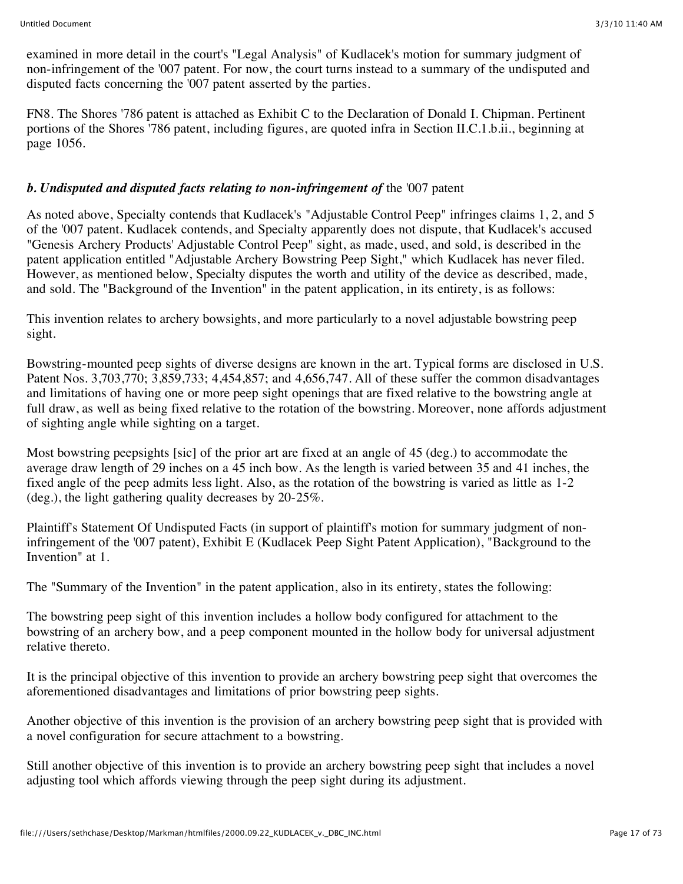examined in more detail in the court's "Legal Analysis" of Kudlacek's motion for summary judgment of non-infringement of the '007 patent. For now, the court turns instead to a summary of the undisputed and disputed facts concerning the '007 patent asserted by the parties.

FN8. The Shores '786 patent is attached as Exhibit C to the Declaration of Donald I. Chipman. Pertinent portions of the Shores '786 patent, including figures, are quoted infra in Section II.C.1.b.ii., beginning at page 1056.

#### *b. Undisputed and disputed facts relating to non-infringement of* the '007 patent

As noted above, Specialty contends that Kudlacek's "Adjustable Control Peep" infringes claims 1, 2, and 5 of the '007 patent. Kudlacek contends, and Specialty apparently does not dispute, that Kudlacek's accused "Genesis Archery Products' Adjustable Control Peep" sight, as made, used, and sold, is described in the patent application entitled "Adjustable Archery Bowstring Peep Sight," which Kudlacek has never filed. However, as mentioned below, Specialty disputes the worth and utility of the device as described, made, and sold. The "Background of the Invention" in the patent application, in its entirety, is as follows:

This invention relates to archery bowsights, and more particularly to a novel adjustable bowstring peep sight.

Bowstring-mounted peep sights of diverse designs are known in the art. Typical forms are disclosed in U.S. Patent Nos. 3,703,770; 3,859,733; 4,454,857; and 4,656,747. All of these suffer the common disadvantages and limitations of having one or more peep sight openings that are fixed relative to the bowstring angle at full draw, as well as being fixed relative to the rotation of the bowstring. Moreover, none affords adjustment of sighting angle while sighting on a target.

Most bowstring peepsights [sic] of the prior art are fixed at an angle of 45 (deg.) to accommodate the average draw length of 29 inches on a 45 inch bow. As the length is varied between 35 and 41 inches, the fixed angle of the peep admits less light. Also, as the rotation of the bowstring is varied as little as 1-2 (deg.), the light gathering quality decreases by 20-25%.

Plaintiff's Statement Of Undisputed Facts (in support of plaintiff's motion for summary judgment of noninfringement of the '007 patent), Exhibit E (Kudlacek Peep Sight Patent Application), "Background to the Invention" at 1.

The "Summary of the Invention" in the patent application, also in its entirety, states the following:

The bowstring peep sight of this invention includes a hollow body configured for attachment to the bowstring of an archery bow, and a peep component mounted in the hollow body for universal adjustment relative thereto.

It is the principal objective of this invention to provide an archery bowstring peep sight that overcomes the aforementioned disadvantages and limitations of prior bowstring peep sights.

Another objective of this invention is the provision of an archery bowstring peep sight that is provided with a novel configuration for secure attachment to a bowstring.

Still another objective of this invention is to provide an archery bowstring peep sight that includes a novel adjusting tool which affords viewing through the peep sight during its adjustment.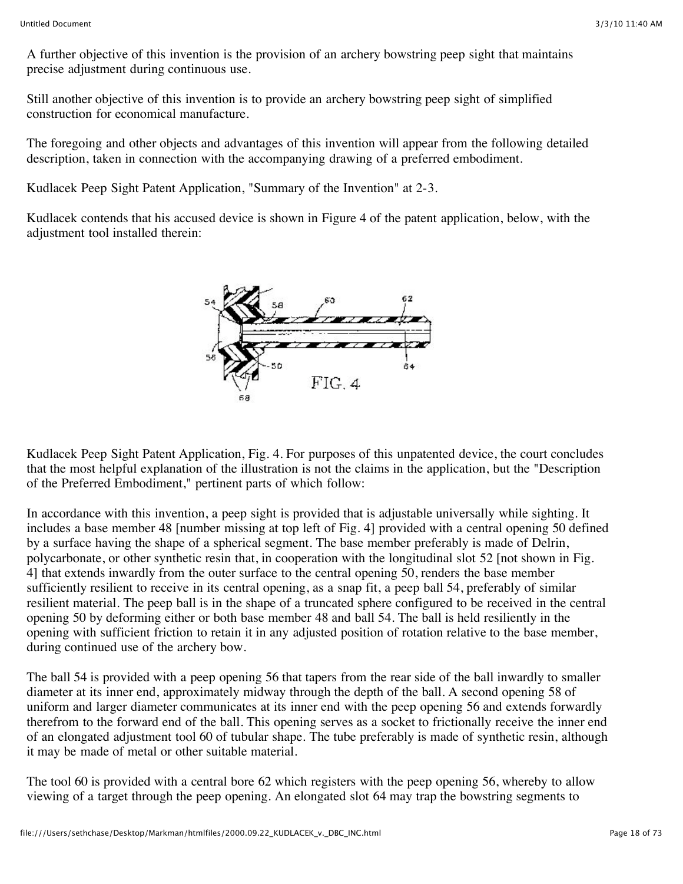A further objective of this invention is the provision of an archery bowstring peep sight that maintains precise adjustment during continuous use.

Still another objective of this invention is to provide an archery bowstring peep sight of simplified construction for economical manufacture.

The foregoing and other objects and advantages of this invention will appear from the following detailed description, taken in connection with the accompanying drawing of a preferred embodiment.

Kudlacek Peep Sight Patent Application, "Summary of the Invention" at 2-3.

Kudlacek contends that his accused device is shown in Figure 4 of the patent application, below, with the adjustment tool installed therein:



Kudlacek Peep Sight Patent Application, Fig. 4. For purposes of this unpatented device, the court concludes that the most helpful explanation of the illustration is not the claims in the application, but the "Description of the Preferred Embodiment," pertinent parts of which follow:

In accordance with this invention, a peep sight is provided that is adjustable universally while sighting. It includes a base member 48 [number missing at top left of Fig. 4] provided with a central opening 50 defined by a surface having the shape of a spherical segment. The base member preferably is made of Delrin, polycarbonate, or other synthetic resin that, in cooperation with the longitudinal slot 52 [not shown in Fig. 4] that extends inwardly from the outer surface to the central opening 50, renders the base member sufficiently resilient to receive in its central opening, as a snap fit, a peep ball 54, preferably of similar resilient material. The peep ball is in the shape of a truncated sphere configured to be received in the central opening 50 by deforming either or both base member 48 and ball 54. The ball is held resiliently in the opening with sufficient friction to retain it in any adjusted position of rotation relative to the base member, during continued use of the archery bow.

The ball 54 is provided with a peep opening 56 that tapers from the rear side of the ball inwardly to smaller diameter at its inner end, approximately midway through the depth of the ball. A second opening 58 of uniform and larger diameter communicates at its inner end with the peep opening 56 and extends forwardly therefrom to the forward end of the ball. This opening serves as a socket to frictionally receive the inner end of an elongated adjustment tool 60 of tubular shape. The tube preferably is made of synthetic resin, although it may be made of metal or other suitable material.

The tool 60 is provided with a central bore 62 which registers with the peep opening 56, whereby to allow viewing of a target through the peep opening. An elongated slot 64 may trap the bowstring segments to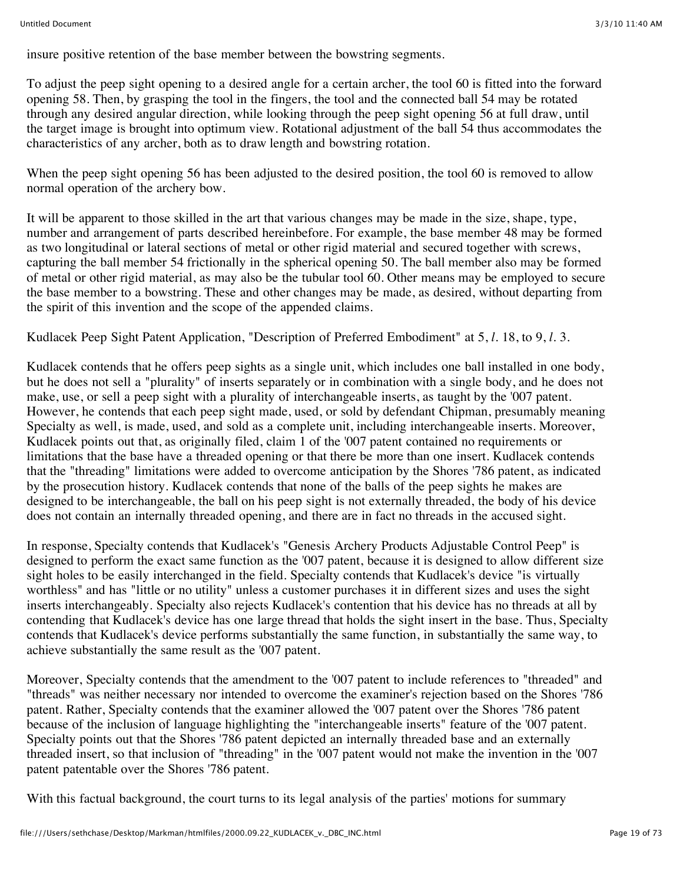insure positive retention of the base member between the bowstring segments.

To adjust the peep sight opening to a desired angle for a certain archer, the tool 60 is fitted into the forward opening 58. Then, by grasping the tool in the fingers, the tool and the connected ball 54 may be rotated through any desired angular direction, while looking through the peep sight opening 56 at full draw, until the target image is brought into optimum view. Rotational adjustment of the ball 54 thus accommodates the characteristics of any archer, both as to draw length and bowstring rotation.

When the peep sight opening 56 has been adjusted to the desired position, the tool 60 is removed to allow normal operation of the archery bow.

It will be apparent to those skilled in the art that various changes may be made in the size, shape, type, number and arrangement of parts described hereinbefore. For example, the base member 48 may be formed as two longitudinal or lateral sections of metal or other rigid material and secured together with screws, capturing the ball member 54 frictionally in the spherical opening 50. The ball member also may be formed of metal or other rigid material, as may also be the tubular tool 60. Other means may be employed to secure the base member to a bowstring. These and other changes may be made, as desired, without departing from the spirit of this invention and the scope of the appended claims.

Kudlacek Peep Sight Patent Application, "Description of Preferred Embodiment" at 5, *l.* 18, to 9, *l.* 3.

Kudlacek contends that he offers peep sights as a single unit, which includes one ball installed in one body, but he does not sell a "plurality" of inserts separately or in combination with a single body, and he does not make, use, or sell a peep sight with a plurality of interchangeable inserts, as taught by the '007 patent. However, he contends that each peep sight made, used, or sold by defendant Chipman, presumably meaning Specialty as well, is made, used, and sold as a complete unit, including interchangeable inserts. Moreover, Kudlacek points out that, as originally filed, claim 1 of the '007 patent contained no requirements or limitations that the base have a threaded opening or that there be more than one insert. Kudlacek contends that the "threading" limitations were added to overcome anticipation by the Shores '786 patent, as indicated by the prosecution history. Kudlacek contends that none of the balls of the peep sights he makes are designed to be interchangeable, the ball on his peep sight is not externally threaded, the body of his device does not contain an internally threaded opening, and there are in fact no threads in the accused sight.

In response, Specialty contends that Kudlacek's "Genesis Archery Products Adjustable Control Peep" is designed to perform the exact same function as the '007 patent, because it is designed to allow different size sight holes to be easily interchanged in the field. Specialty contends that Kudlacek's device "is virtually worthless" and has "little or no utility" unless a customer purchases it in different sizes and uses the sight inserts interchangeably. Specialty also rejects Kudlacek's contention that his device has no threads at all by contending that Kudlacek's device has one large thread that holds the sight insert in the base. Thus, Specialty contends that Kudlacek's device performs substantially the same function, in substantially the same way, to achieve substantially the same result as the '007 patent.

Moreover, Specialty contends that the amendment to the '007 patent to include references to "threaded" and "threads" was neither necessary nor intended to overcome the examiner's rejection based on the Shores '786 patent. Rather, Specialty contends that the examiner allowed the '007 patent over the Shores '786 patent because of the inclusion of language highlighting the "interchangeable inserts" feature of the '007 patent. Specialty points out that the Shores '786 patent depicted an internally threaded base and an externally threaded insert, so that inclusion of "threading" in the '007 patent would not make the invention in the '007 patent patentable over the Shores '786 patent.

With this factual background, the court turns to its legal analysis of the parties' motions for summary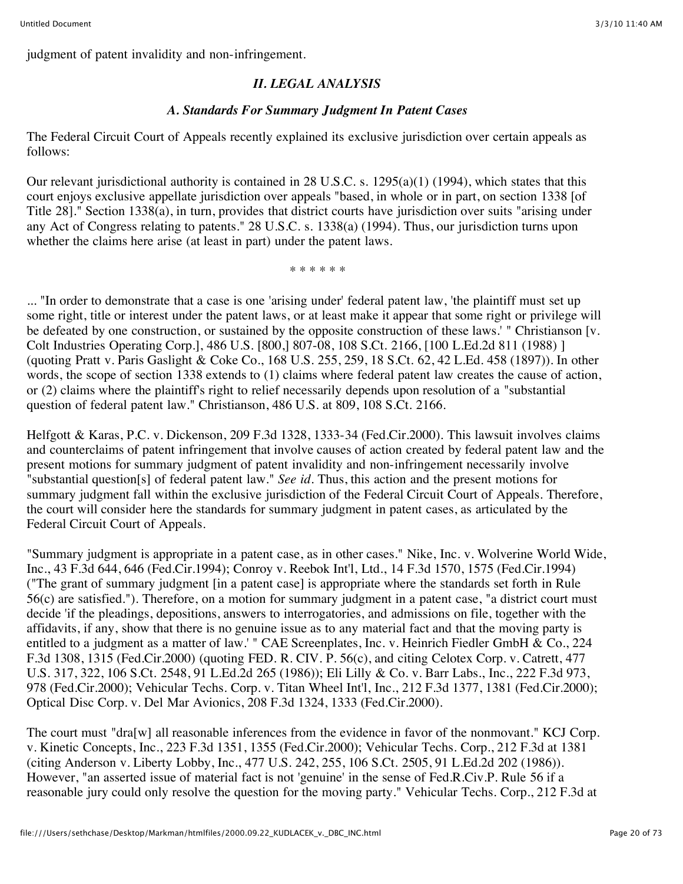# *II. LEGAL ANALYSIS*

### *A. Standards For Summary Judgment In Patent Cases*

The Federal Circuit Court of Appeals recently explained its exclusive jurisdiction over certain appeals as follows:

Our relevant jurisdictional authority is contained in 28 U.S.C. s. 1295(a)(1) (1994), which states that this court enjoys exclusive appellate jurisdiction over appeals "based, in whole or in part, on section 1338 [of Title 28]." Section 1338(a), in turn, provides that district courts have jurisdiction over suits "arising under any Act of Congress relating to patents." 28 U.S.C. s. 1338(a) (1994). Thus, our jurisdiction turns upon whether the claims here arise (at least in part) under the patent laws.

\* \* \* \* \* \*

... "In order to demonstrate that a case is one 'arising under' federal patent law, 'the plaintiff must set up some right, title or interest under the patent laws, or at least make it appear that some right or privilege will be defeated by one construction, or sustained by the opposite construction of these laws.' " Christianson [v. Colt Industries Operating Corp.], 486 U.S. [800,] 807-08, 108 S.Ct. 2166, [100 L.Ed.2d 811 (1988) ] (quoting Pratt v. Paris Gaslight & Coke Co., 168 U.S. 255, 259, 18 S.Ct. 62, 42 L.Ed. 458 (1897)). In other words, the scope of section 1338 extends to (1) claims where federal patent law creates the cause of action, or (2) claims where the plaintiff's right to relief necessarily depends upon resolution of a "substantial question of federal patent law." Christianson, 486 U.S. at 809, 108 S.Ct. 2166.

Helfgott & Karas, P.C. v. Dickenson, 209 F.3d 1328, 1333-34 (Fed.Cir.2000). This lawsuit involves claims and counterclaims of patent infringement that involve causes of action created by federal patent law and the present motions for summary judgment of patent invalidity and non-infringement necessarily involve "substantial question[s] of federal patent law." *See id.* Thus, this action and the present motions for summary judgment fall within the exclusive jurisdiction of the Federal Circuit Court of Appeals. Therefore, the court will consider here the standards for summary judgment in patent cases, as articulated by the Federal Circuit Court of Appeals.

"Summary judgment is appropriate in a patent case, as in other cases." Nike, Inc. v. Wolverine World Wide, Inc., 43 F.3d 644, 646 (Fed.Cir.1994); Conroy v. Reebok Int'l, Ltd., 14 F.3d 1570, 1575 (Fed.Cir.1994) ("The grant of summary judgment [in a patent case] is appropriate where the standards set forth in Rule 56(c) are satisfied."). Therefore, on a motion for summary judgment in a patent case, "a district court must decide 'if the pleadings, depositions, answers to interrogatories, and admissions on file, together with the affidavits, if any, show that there is no genuine issue as to any material fact and that the moving party is entitled to a judgment as a matter of law.' " CAE Screenplates, Inc. v. Heinrich Fiedler GmbH & Co., 224 F.3d 1308, 1315 (Fed.Cir.2000) (quoting FED. R. CIV. P. 56(c), and citing Celotex Corp. v. Catrett, 477 U.S. 317, 322, 106 S.Ct. 2548, 91 L.Ed.2d 265 (1986)); Eli Lilly & Co. v. Barr Labs., Inc., 222 F.3d 973, 978 (Fed.Cir.2000); Vehicular Techs. Corp. v. Titan Wheel Int'l, Inc., 212 F.3d 1377, 1381 (Fed.Cir.2000); Optical Disc Corp. v. Del Mar Avionics, 208 F.3d 1324, 1333 (Fed.Cir.2000).

The court must "dra[w] all reasonable inferences from the evidence in favor of the nonmovant." KCJ Corp. v. Kinetic Concepts, Inc., 223 F.3d 1351, 1355 (Fed.Cir.2000); Vehicular Techs. Corp., 212 F.3d at 1381 (citing Anderson v. Liberty Lobby, Inc., 477 U.S. 242, 255, 106 S.Ct. 2505, 91 L.Ed.2d 202 (1986)). However, "an asserted issue of material fact is not 'genuine' in the sense of Fed.R.Civ.P. Rule 56 if a reasonable jury could only resolve the question for the moving party." Vehicular Techs. Corp., 212 F.3d at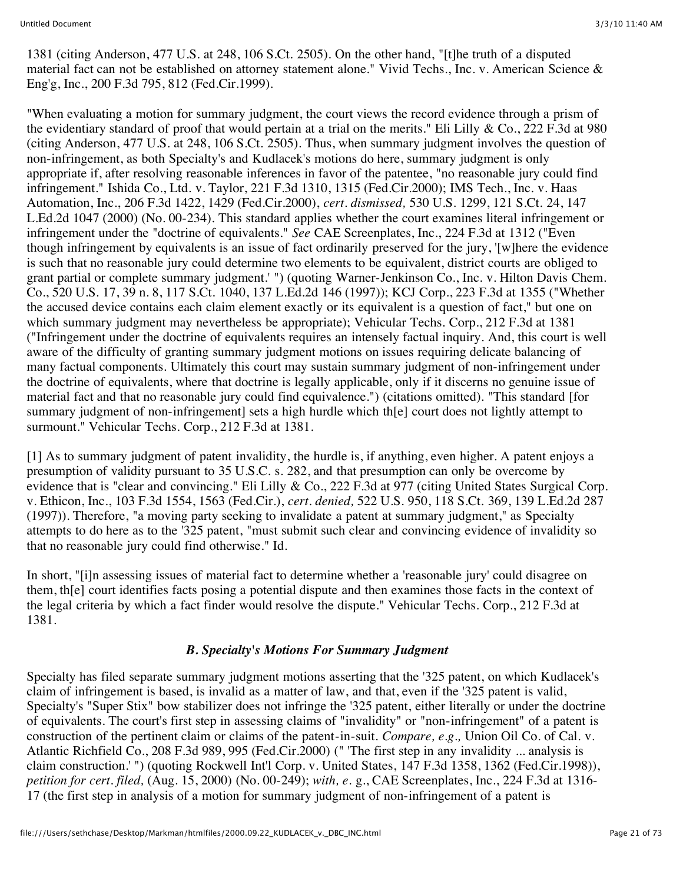1381 (citing Anderson, 477 U.S. at 248, 106 S.Ct. 2505). On the other hand, "[t]he truth of a disputed material fact can not be established on attorney statement alone." Vivid Techs., Inc. v. American Science & Eng'g, Inc., 200 F.3d 795, 812 (Fed.Cir.1999).

"When evaluating a motion for summary judgment, the court views the record evidence through a prism of the evidentiary standard of proof that would pertain at a trial on the merits." Eli Lilly & Co., 222 F.3d at 980 (citing Anderson, 477 U.S. at 248, 106 S.Ct. 2505). Thus, when summary judgment involves the question of non-infringement, as both Specialty's and Kudlacek's motions do here, summary judgment is only appropriate if, after resolving reasonable inferences in favor of the patentee, "no reasonable jury could find infringement." Ishida Co., Ltd. v. Taylor, 221 F.3d 1310, 1315 (Fed.Cir.2000); IMS Tech., Inc. v. Haas Automation, Inc., 206 F.3d 1422, 1429 (Fed.Cir.2000), *cert. dismissed,* 530 U.S. 1299, 121 S.Ct. 24, 147 L.Ed.2d 1047 (2000) (No. 00-234). This standard applies whether the court examines literal infringement or infringement under the "doctrine of equivalents." *See* CAE Screenplates, Inc., 224 F.3d at 1312 ("Even though infringement by equivalents is an issue of fact ordinarily preserved for the jury, '[w]here the evidence is such that no reasonable jury could determine two elements to be equivalent, district courts are obliged to grant partial or complete summary judgment.' ") (quoting Warner-Jenkinson Co., Inc. v. Hilton Davis Chem. Co., 520 U.S. 17, 39 n. 8, 117 S.Ct. 1040, 137 L.Ed.2d 146 (1997)); KCJ Corp., 223 F.3d at 1355 ("Whether the accused device contains each claim element exactly or its equivalent is a question of fact," but one on which summary judgment may nevertheless be appropriate); Vehicular Techs. Corp., 212 F.3d at 1381 ("Infringement under the doctrine of equivalents requires an intensely factual inquiry. And, this court is well aware of the difficulty of granting summary judgment motions on issues requiring delicate balancing of many factual components. Ultimately this court may sustain summary judgment of non-infringement under the doctrine of equivalents, where that doctrine is legally applicable, only if it discerns no genuine issue of material fact and that no reasonable jury could find equivalence.") (citations omitted). "This standard [for summary judgment of non-infringement] sets a high hurdle which th[e] court does not lightly attempt to surmount." Vehicular Techs. Corp., 212 F.3d at 1381.

[1] As to summary judgment of patent invalidity, the hurdle is, if anything, even higher. A patent enjoys a presumption of validity pursuant to 35 U.S.C. s. 282, and that presumption can only be overcome by evidence that is "clear and convincing." Eli Lilly & Co., 222 F.3d at 977 (citing United States Surgical Corp. v. Ethicon, Inc., 103 F.3d 1554, 1563 (Fed.Cir.), *cert. denied,* 522 U.S. 950, 118 S.Ct. 369, 139 L.Ed.2d 287 (1997)). Therefore, "a moving party seeking to invalidate a patent at summary judgment," as Specialty attempts to do here as to the '325 patent, "must submit such clear and convincing evidence of invalidity so that no reasonable jury could find otherwise." Id.

In short, "[i]n assessing issues of material fact to determine whether a 'reasonable jury' could disagree on them, th[e] court identifies facts posing a potential dispute and then examines those facts in the context of the legal criteria by which a fact finder would resolve the dispute." Vehicular Techs. Corp., 212 F.3d at 1381.

#### *B. Specialty's Motions For Summary Judgment*

Specialty has filed separate summary judgment motions asserting that the '325 patent, on which Kudlacek's claim of infringement is based, is invalid as a matter of law, and that, even if the '325 patent is valid, Specialty's "Super Stix" bow stabilizer does not infringe the '325 patent, either literally or under the doctrine of equivalents. The court's first step in assessing claims of "invalidity" or "non-infringement" of a patent is construction of the pertinent claim or claims of the patent-in-suit. *Compare, e.g.,* Union Oil Co. of Cal. v. Atlantic Richfield Co., 208 F.3d 989, 995 (Fed.Cir.2000) (" 'The first step in any invalidity ... analysis is claim construction.' ") (quoting Rockwell Int'l Corp. v. United States, 147 F.3d 1358, 1362 (Fed.Cir.1998)), *petition for cert. filed,* (Aug. 15, 2000) (No. 00-249); *with, e.* g., CAE Screenplates, Inc., 224 F.3d at 1316- 17 (the first step in analysis of a motion for summary judgment of non-infringement of a patent is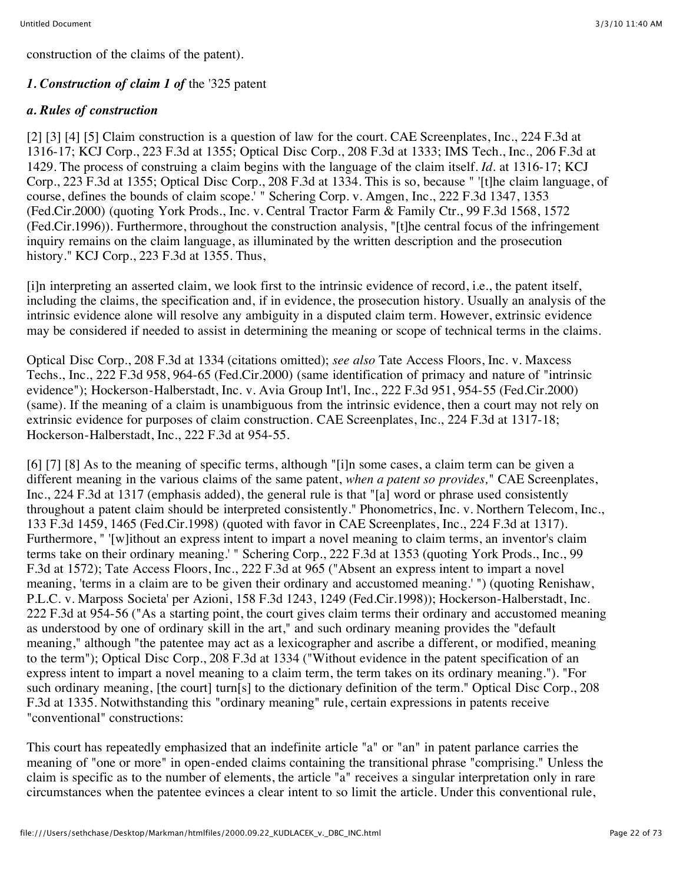construction of the claims of the patent).

## *1. Construction of claim 1 of* the '325 patent

#### *a. Rules of construction*

[2] [3] [4] [5] Claim construction is a question of law for the court. CAE Screenplates, Inc., 224 F.3d at 1316-17; KCJ Corp., 223 F.3d at 1355; Optical Disc Corp., 208 F.3d at 1333; IMS Tech., Inc., 206 F.3d at 1429. The process of construing a claim begins with the language of the claim itself. *Id.* at 1316-17; KCJ Corp., 223 F.3d at 1355; Optical Disc Corp., 208 F.3d at 1334. This is so, because " '[t]he claim language, of course, defines the bounds of claim scope.' " Schering Corp. v. Amgen, Inc., 222 F.3d 1347, 1353 (Fed.Cir.2000) (quoting York Prods., Inc. v. Central Tractor Farm & Family Ctr., 99 F.3d 1568, 1572 (Fed.Cir.1996)). Furthermore, throughout the construction analysis, "[t]he central focus of the infringement inquiry remains on the claim language, as illuminated by the written description and the prosecution history." KCJ Corp., 223 F.3d at 1355. Thus,

[i]n interpreting an asserted claim, we look first to the intrinsic evidence of record, i.e., the patent itself, including the claims, the specification and, if in evidence, the prosecution history. Usually an analysis of the intrinsic evidence alone will resolve any ambiguity in a disputed claim term. However, extrinsic evidence may be considered if needed to assist in determining the meaning or scope of technical terms in the claims.

Optical Disc Corp., 208 F.3d at 1334 (citations omitted); *see also* Tate Access Floors, Inc. v. Maxcess Techs., Inc., 222 F.3d 958, 964-65 (Fed.Cir.2000) (same identification of primacy and nature of "intrinsic evidence"); Hockerson-Halberstadt, Inc. v. Avia Group Int'l, Inc., 222 F.3d 951, 954-55 (Fed.Cir.2000) (same). If the meaning of a claim is unambiguous from the intrinsic evidence, then a court may not rely on extrinsic evidence for purposes of claim construction. CAE Screenplates, Inc., 224 F.3d at 1317-18; Hockerson-Halberstadt, Inc., 222 F.3d at 954-55.

[6] [7] [8] As to the meaning of specific terms, although "[i]n some cases, a claim term can be given a different meaning in the various claims of the same patent, *when a patent so provides,*" CAE Screenplates, Inc., 224 F.3d at 1317 (emphasis added), the general rule is that "[a] word or phrase used consistently throughout a patent claim should be interpreted consistently." Phonometrics, Inc. v. Northern Telecom, Inc., 133 F.3d 1459, 1465 (Fed.Cir.1998) (quoted with favor in CAE Screenplates, Inc., 224 F.3d at 1317). Furthermore, " '[w]ithout an express intent to impart a novel meaning to claim terms, an inventor's claim terms take on their ordinary meaning.' " Schering Corp., 222 F.3d at 1353 (quoting York Prods., Inc., 99 F.3d at 1572); Tate Access Floors, Inc., 222 F.3d at 965 ("Absent an express intent to impart a novel meaning, 'terms in a claim are to be given their ordinary and accustomed meaning.' ") (quoting Renishaw, P.L.C. v. Marposs Societa' per Azioni, 158 F.3d 1243, 1249 (Fed.Cir.1998)); Hockerson-Halberstadt, Inc. 222 F.3d at 954-56 ("As a starting point, the court gives claim terms their ordinary and accustomed meaning as understood by one of ordinary skill in the art," and such ordinary meaning provides the "default meaning," although "the patentee may act as a lexicographer and ascribe a different, or modified, meaning to the term"); Optical Disc Corp., 208 F.3d at 1334 ("Without evidence in the patent specification of an express intent to impart a novel meaning to a claim term, the term takes on its ordinary meaning."). "For such ordinary meaning, [the court] turn[s] to the dictionary definition of the term." Optical Disc Corp., 208 F.3d at 1335. Notwithstanding this "ordinary meaning" rule, certain expressions in patents receive "conventional" constructions:

This court has repeatedly emphasized that an indefinite article "a" or "an" in patent parlance carries the meaning of "one or more" in open-ended claims containing the transitional phrase "comprising." Unless the claim is specific as to the number of elements, the article "a" receives a singular interpretation only in rare circumstances when the patentee evinces a clear intent to so limit the article. Under this conventional rule,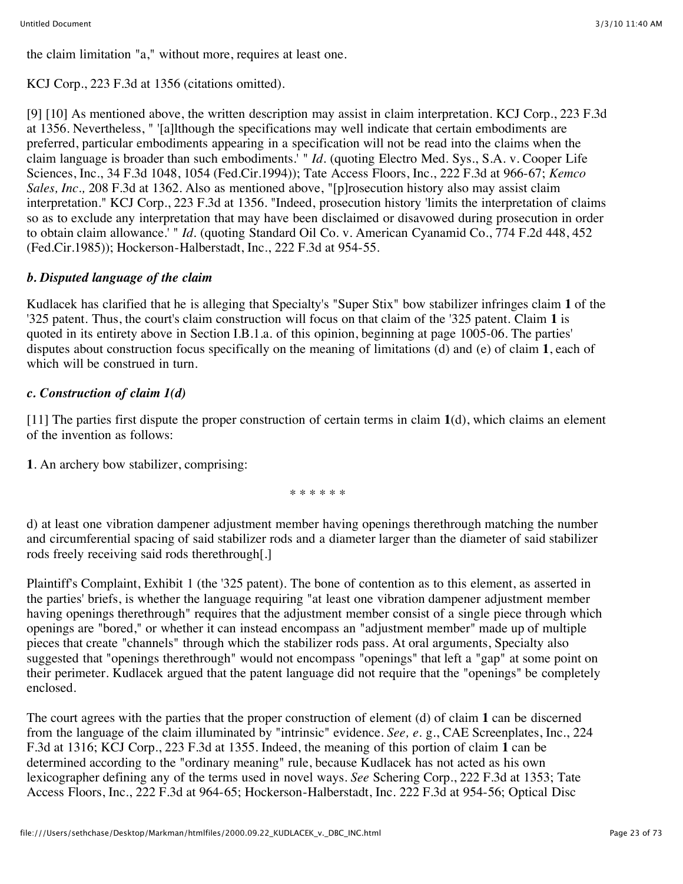the claim limitation "a," without more, requires at least one.

## KCJ Corp., 223 F.3d at 1356 (citations omitted).

[9] [10] As mentioned above, the written description may assist in claim interpretation. KCJ Corp., 223 F.3d at 1356. Nevertheless, " '[a]lthough the specifications may well indicate that certain embodiments are preferred, particular embodiments appearing in a specification will not be read into the claims when the claim language is broader than such embodiments.' " *Id.* (quoting Electro Med. Sys., S.A. v. Cooper Life Sciences, Inc., 34 F.3d 1048, 1054 (Fed.Cir.1994)); Tate Access Floors, Inc., 222 F.3d at 966-67; *Kemco Sales, Inc.,* 208 F.3d at 1362. Also as mentioned above, "[p]rosecution history also may assist claim interpretation." KCJ Corp., 223 F.3d at 1356. "Indeed, prosecution history 'limits the interpretation of claims so as to exclude any interpretation that may have been disclaimed or disavowed during prosecution in order to obtain claim allowance.' " *Id.* (quoting Standard Oil Co. v. American Cyanamid Co., 774 F.2d 448, 452 (Fed.Cir.1985)); Hockerson-Halberstadt, Inc., 222 F.3d at 954-55.

## *b. Disputed language of the claim*

Kudlacek has clarified that he is alleging that Specialty's "Super Stix" bow stabilizer infringes claim **1** of the '325 patent. Thus, the court's claim construction will focus on that claim of the '325 patent. Claim **1** is quoted in its entirety above in Section I.B.1.a. of this opinion, beginning at page 1005-06. The parties' disputes about construction focus specifically on the meaning of limitations (d) and (e) of claim **1**, each of which will be construed in turn.

# *c. Construction of claim 1(d)*

[11] The parties first dispute the proper construction of certain terms in claim **1**(d), which claims an element of the invention as follows:

**1**. An archery bow stabilizer, comprising:

\* \* \* \* \* \*

d) at least one vibration dampener adjustment member having openings therethrough matching the number and circumferential spacing of said stabilizer rods and a diameter larger than the diameter of said stabilizer rods freely receiving said rods therethrough[.]

Plaintiff's Complaint, Exhibit 1 (the '325 patent). The bone of contention as to this element, as asserted in the parties' briefs, is whether the language requiring "at least one vibration dampener adjustment member having openings therethrough" requires that the adjustment member consist of a single piece through which openings are "bored," or whether it can instead encompass an "adjustment member" made up of multiple pieces that create "channels" through which the stabilizer rods pass. At oral arguments, Specialty also suggested that "openings therethrough" would not encompass "openings" that left a "gap" at some point on their perimeter. Kudlacek argued that the patent language did not require that the "openings" be completely enclosed.

The court agrees with the parties that the proper construction of element (d) of claim **1** can be discerned from the language of the claim illuminated by "intrinsic" evidence. *See, e.* g., CAE Screenplates, Inc., 224 F.3d at 1316; KCJ Corp., 223 F.3d at 1355. Indeed, the meaning of this portion of claim **1** can be determined according to the "ordinary meaning" rule, because Kudlacek has not acted as his own lexicographer defining any of the terms used in novel ways. *See* Schering Corp., 222 F.3d at 1353; Tate Access Floors, Inc., 222 F.3d at 964-65; Hockerson-Halberstadt, Inc. 222 F.3d at 954-56; Optical Disc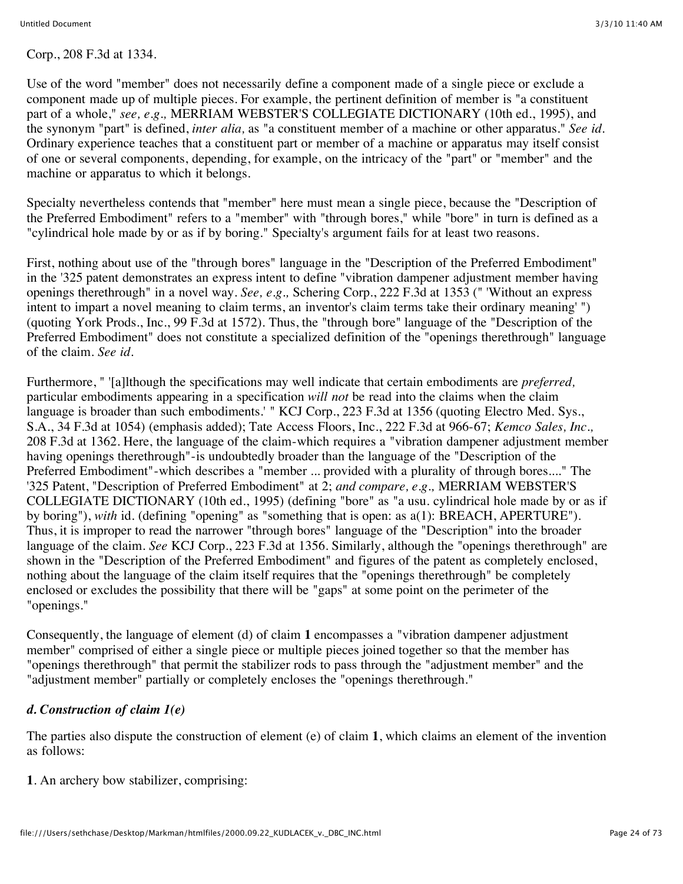#### Corp., 208 F.3d at 1334.

Use of the word "member" does not necessarily define a component made of a single piece or exclude a component made up of multiple pieces. For example, the pertinent definition of member is "a constituent part of a whole," *see, e.g.,* MERRIAM WEBSTER'S COLLEGIATE DICTIONARY (10th ed., 1995), and the synonym "part" is defined, *inter alia,* as "a constituent member of a machine or other apparatus." *See id.* Ordinary experience teaches that a constituent part or member of a machine or apparatus may itself consist of one or several components, depending, for example, on the intricacy of the "part" or "member" and the machine or apparatus to which it belongs.

Specialty nevertheless contends that "member" here must mean a single piece, because the "Description of the Preferred Embodiment" refers to a "member" with "through bores," while "bore" in turn is defined as a "cylindrical hole made by or as if by boring." Specialty's argument fails for at least two reasons.

First, nothing about use of the "through bores" language in the "Description of the Preferred Embodiment" in the '325 patent demonstrates an express intent to define "vibration dampener adjustment member having openings therethrough" in a novel way. *See, e.g.,* Schering Corp., 222 F.3d at 1353 (" 'Without an express intent to impart a novel meaning to claim terms, an inventor's claim terms take their ordinary meaning' ") (quoting York Prods., Inc., 99 F.3d at 1572). Thus, the "through bore" language of the "Description of the Preferred Embodiment" does not constitute a specialized definition of the "openings therethrough" language of the claim. *See id.*

Furthermore, " '[a]lthough the specifications may well indicate that certain embodiments are *preferred,* particular embodiments appearing in a specification *will not* be read into the claims when the claim language is broader than such embodiments.' " KCJ Corp., 223 F.3d at 1356 (quoting Electro Med. Sys., S.A., 34 F.3d at 1054) (emphasis added); Tate Access Floors, Inc., 222 F.3d at 966-67; *Kemco Sales, Inc.,* 208 F.3d at 1362. Here, the language of the claim-which requires a "vibration dampener adjustment member having openings therethrough"-is undoubtedly broader than the language of the "Description of the Preferred Embodiment"-which describes a "member ... provided with a plurality of through bores...." The '325 Patent, "Description of Preferred Embodiment" at 2; *and compare, e.g.,* MERRIAM WEBSTER'S COLLEGIATE DICTIONARY (10th ed., 1995) (defining "bore" as "a usu. cylindrical hole made by or as if by boring"), *with* id. (defining "opening" as "something that is open: as a(1): BREACH, APERTURE"). Thus, it is improper to read the narrower "through bores" language of the "Description" into the broader language of the claim. *See* KCJ Corp., 223 F.3d at 1356. Similarly, although the "openings therethrough" are shown in the "Description of the Preferred Embodiment" and figures of the patent as completely enclosed, nothing about the language of the claim itself requires that the "openings therethrough" be completely enclosed or excludes the possibility that there will be "gaps" at some point on the perimeter of the "openings."

Consequently, the language of element (d) of claim **1** encompasses a "vibration dampener adjustment member" comprised of either a single piece or multiple pieces joined together so that the member has "openings therethrough" that permit the stabilizer rods to pass through the "adjustment member" and the "adjustment member" partially or completely encloses the "openings therethrough."

### *d. Construction of claim 1(e)*

The parties also dispute the construction of element (e) of claim **1**, which claims an element of the invention as follows:

**1**. An archery bow stabilizer, comprising: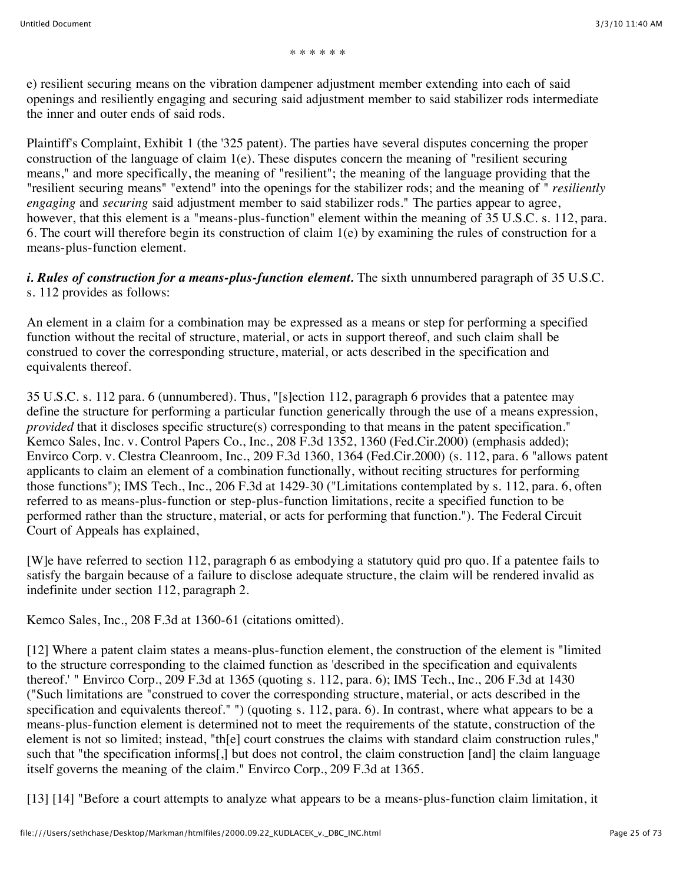\* \* \* \* \* \*

e) resilient securing means on the vibration dampener adjustment member extending into each of said openings and resiliently engaging and securing said adjustment member to said stabilizer rods intermediate the inner and outer ends of said rods.

Plaintiff's Complaint, Exhibit 1 (the '325 patent). The parties have several disputes concerning the proper construction of the language of claim 1(e). These disputes concern the meaning of "resilient securing means," and more specifically, the meaning of "resilient"; the meaning of the language providing that the "resilient securing means" "extend" into the openings for the stabilizer rods; and the meaning of " *resiliently engaging* and *securing* said adjustment member to said stabilizer rods." The parties appear to agree, however, that this element is a "means-plus-function" element within the meaning of 35 U.S.C. s. 112, para. 6. The court will therefore begin its construction of claim 1(e) by examining the rules of construction for a means-plus-function element.

*i. Rules of construction for a means-plus-function element.* The sixth unnumbered paragraph of 35 U.S.C. s. 112 provides as follows:

An element in a claim for a combination may be expressed as a means or step for performing a specified function without the recital of structure, material, or acts in support thereof, and such claim shall be construed to cover the corresponding structure, material, or acts described in the specification and equivalents thereof.

35 U.S.C. s. 112 para. 6 (unnumbered). Thus, "[s]ection 112, paragraph 6 provides that a patentee may define the structure for performing a particular function generically through the use of a means expression, *provided* that it discloses specific structure(s) corresponding to that means in the patent specification." Kemco Sales, Inc. v. Control Papers Co., Inc., 208 F.3d 1352, 1360 (Fed.Cir.2000) (emphasis added); Envirco Corp. v. Clestra Cleanroom, Inc., 209 F.3d 1360, 1364 (Fed.Cir.2000) (s. 112, para. 6 "allows patent applicants to claim an element of a combination functionally, without reciting structures for performing those functions"); IMS Tech., Inc., 206 F.3d at 1429-30 ("Limitations contemplated by s. 112, para. 6, often referred to as means-plus-function or step-plus-function limitations, recite a specified function to be performed rather than the structure, material, or acts for performing that function."). The Federal Circuit Court of Appeals has explained,

[W]e have referred to section 112, paragraph 6 as embodying a statutory quid pro quo. If a patentee fails to satisfy the bargain because of a failure to disclose adequate structure, the claim will be rendered invalid as indefinite under section 112, paragraph 2.

Kemco Sales, Inc., 208 F.3d at 1360-61 (citations omitted).

[12] Where a patent claim states a means-plus-function element, the construction of the element is "limited to the structure corresponding to the claimed function as 'described in the specification and equivalents thereof.' " Envirco Corp., 209 F.3d at 1365 (quoting s. 112, para. 6); IMS Tech., Inc., 206 F.3d at 1430 ("Such limitations are "construed to cover the corresponding structure, material, or acts described in the specification and equivalents thereof." ") (quoting s. 112, para. 6). In contrast, where what appears to be a means-plus-function element is determined not to meet the requirements of the statute, construction of the element is not so limited; instead, "th[e] court construes the claims with standard claim construction rules," such that "the specification informs[,] but does not control, the claim construction [and] the claim language itself governs the meaning of the claim." Envirco Corp., 209 F.3d at 1365.

[13] [14] "Before a court attempts to analyze what appears to be a means-plus-function claim limitation, it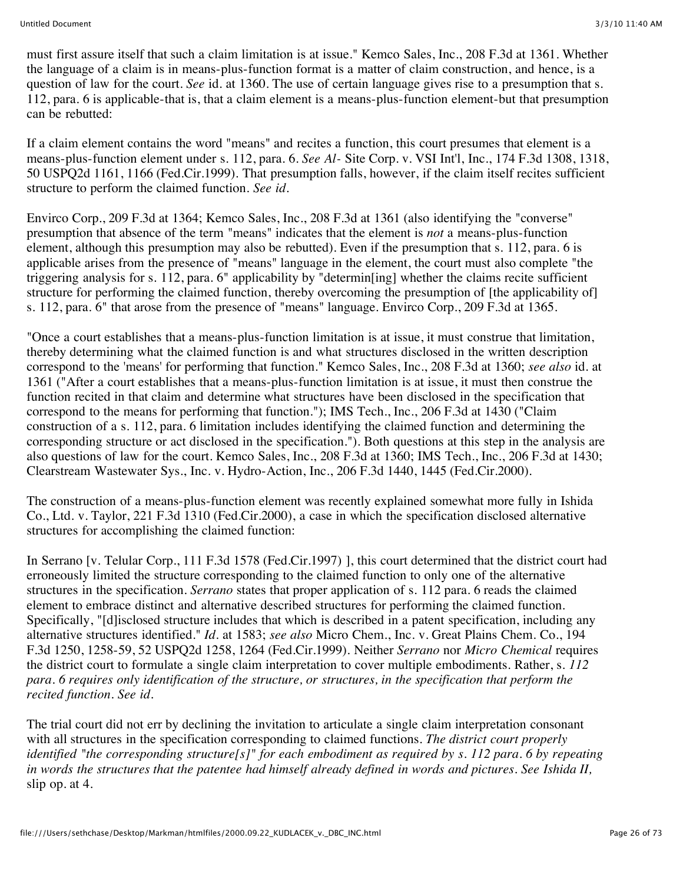must first assure itself that such a claim limitation is at issue." Kemco Sales, Inc., 208 F.3d at 1361. Whether the language of a claim is in means-plus-function format is a matter of claim construction, and hence, is a question of law for the court. *See* id. at 1360. The use of certain language gives rise to a presumption that s. 112, para. 6 is applicable-that is, that a claim element is a means-plus-function element-but that presumption can be rebutted:

If a claim element contains the word "means" and recites a function, this court presumes that element is a means-plus-function element under s. 112, para. 6. *See Al-* Site Corp. v. VSI Int'l, Inc., 174 F.3d 1308, 1318, 50 USPQ2d 1161, 1166 (Fed.Cir.1999). That presumption falls, however, if the claim itself recites sufficient structure to perform the claimed function. *See id.*

Envirco Corp., 209 F.3d at 1364; Kemco Sales, Inc., 208 F.3d at 1361 (also identifying the "converse" presumption that absence of the term "means" indicates that the element is *not* a means-plus-function element, although this presumption may also be rebutted). Even if the presumption that s. 112, para. 6 is applicable arises from the presence of "means" language in the element, the court must also complete "the triggering analysis for s. 112, para. 6" applicability by "determin[ing] whether the claims recite sufficient structure for performing the claimed function, thereby overcoming the presumption of [the applicability of] s. 112, para. 6" that arose from the presence of "means" language. Envirco Corp., 209 F.3d at 1365.

"Once a court establishes that a means-plus-function limitation is at issue, it must construe that limitation, thereby determining what the claimed function is and what structures disclosed in the written description correspond to the 'means' for performing that function." Kemco Sales, Inc., 208 F.3d at 1360; *see also* id. at 1361 ("After a court establishes that a means-plus-function limitation is at issue, it must then construe the function recited in that claim and determine what structures have been disclosed in the specification that correspond to the means for performing that function."); IMS Tech., Inc., 206 F.3d at 1430 ("Claim construction of a s. 112, para. 6 limitation includes identifying the claimed function and determining the corresponding structure or act disclosed in the specification."). Both questions at this step in the analysis are also questions of law for the court. Kemco Sales, Inc., 208 F.3d at 1360; IMS Tech., Inc., 206 F.3d at 1430; Clearstream Wastewater Sys., Inc. v. Hydro-Action, Inc., 206 F.3d 1440, 1445 (Fed.Cir.2000).

The construction of a means-plus-function element was recently explained somewhat more fully in Ishida Co., Ltd. v. Taylor, 221 F.3d 1310 (Fed.Cir.2000), a case in which the specification disclosed alternative structures for accomplishing the claimed function:

In Serrano [v. Telular Corp., 111 F.3d 1578 (Fed.Cir.1997) ], this court determined that the district court had erroneously limited the structure corresponding to the claimed function to only one of the alternative structures in the specification. *Serrano* states that proper application of s. 112 para. 6 reads the claimed element to embrace distinct and alternative described structures for performing the claimed function. Specifically, "[d]isclosed structure includes that which is described in a patent specification, including any alternative structures identified." *Id.* at 1583; *see also* Micro Chem., Inc. v. Great Plains Chem. Co., 194 F.3d 1250, 1258-59, 52 USPQ2d 1258, 1264 (Fed.Cir.1999). Neither *Serrano* nor *Micro Chemical* requires the district court to formulate a single claim interpretation to cover multiple embodiments. Rather, s. *112 para. 6 requires only identification of the structure, or structures, in the specification that perform the recited function. See id.*

The trial court did not err by declining the invitation to articulate a single claim interpretation consonant with all structures in the specification corresponding to claimed functions. *The district court properly identified "the corresponding structure[s]" for each embodiment as required by s. 112 para. 6 by repeating in words the structures that the patentee had himself already defined in words and pictures. See Ishida II,* slip op. at 4.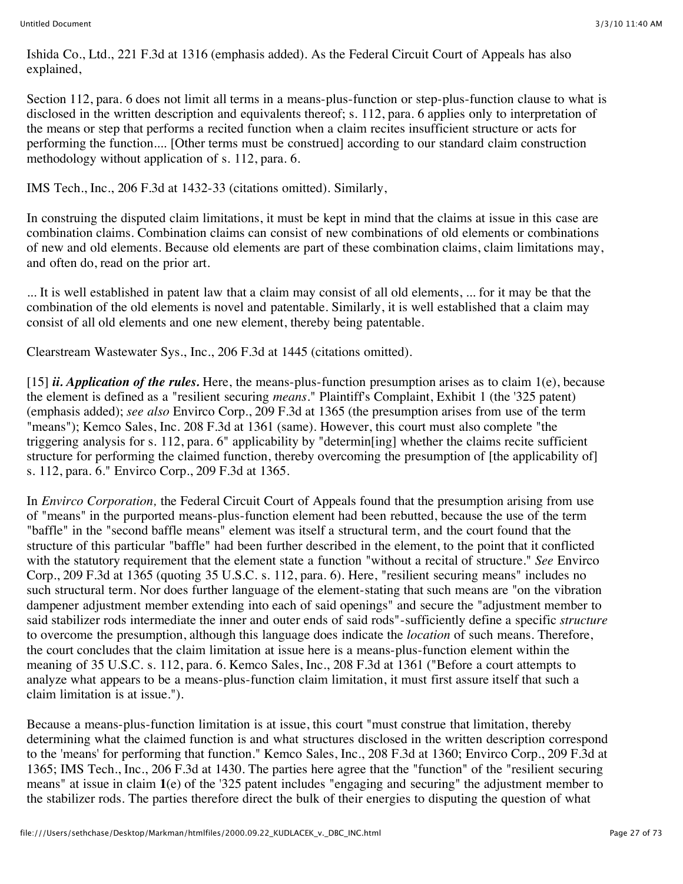Ishida Co., Ltd., 221 F.3d at 1316 (emphasis added). As the Federal Circuit Court of Appeals has also explained,

Section 112, para. 6 does not limit all terms in a means-plus-function or step-plus-function clause to what is disclosed in the written description and equivalents thereof; s. 112, para. 6 applies only to interpretation of the means or step that performs a recited function when a claim recites insufficient structure or acts for performing the function.... [Other terms must be construed] according to our standard claim construction methodology without application of s. 112, para. 6.

IMS Tech., Inc., 206 F.3d at 1432-33 (citations omitted). Similarly,

In construing the disputed claim limitations, it must be kept in mind that the claims at issue in this case are combination claims. Combination claims can consist of new combinations of old elements or combinations of new and old elements. Because old elements are part of these combination claims, claim limitations may, and often do, read on the prior art.

... It is well established in patent law that a claim may consist of all old elements, ... for it may be that the combination of the old elements is novel and patentable. Similarly, it is well established that a claim may consist of all old elements and one new element, thereby being patentable.

Clearstream Wastewater Sys., Inc., 206 F.3d at 1445 (citations omitted).

[15] *ii. Application of the rules.* Here, the means-plus-function presumption arises as to claim 1(e), because the element is defined as a "resilient securing *means.*" Plaintiff's Complaint, Exhibit 1 (the '325 patent) (emphasis added); *see also* Envirco Corp., 209 F.3d at 1365 (the presumption arises from use of the term "means"); Kemco Sales, Inc. 208 F.3d at 1361 (same). However, this court must also complete "the triggering analysis for s. 112, para. 6" applicability by "determin[ing] whether the claims recite sufficient structure for performing the claimed function, thereby overcoming the presumption of [the applicability of] s. 112, para. 6." Envirco Corp., 209 F.3d at 1365.

In *Envirco Corporation,* the Federal Circuit Court of Appeals found that the presumption arising from use of "means" in the purported means-plus-function element had been rebutted, because the use of the term "baffle" in the "second baffle means" element was itself a structural term, and the court found that the structure of this particular "baffle" had been further described in the element, to the point that it conflicted with the statutory requirement that the element state a function "without a recital of structure." *See* Envirco Corp., 209 F.3d at 1365 (quoting 35 U.S.C. s. 112, para. 6). Here, "resilient securing means" includes no such structural term. Nor does further language of the element-stating that such means are "on the vibration dampener adjustment member extending into each of said openings" and secure the "adjustment member to said stabilizer rods intermediate the inner and outer ends of said rods"-sufficiently define a specific *structure* to overcome the presumption, although this language does indicate the *location* of such means. Therefore, the court concludes that the claim limitation at issue here is a means-plus-function element within the meaning of 35 U.S.C. s. 112, para. 6. Kemco Sales, Inc., 208 F.3d at 1361 ("Before a court attempts to analyze what appears to be a means-plus-function claim limitation, it must first assure itself that such a claim limitation is at issue.").

Because a means-plus-function limitation is at issue, this court "must construe that limitation, thereby determining what the claimed function is and what structures disclosed in the written description correspond to the 'means' for performing that function." Kemco Sales, Inc., 208 F.3d at 1360; Envirco Corp., 209 F.3d at 1365; IMS Tech., Inc., 206 F.3d at 1430. The parties here agree that the "function" of the "resilient securing means" at issue in claim **1**(e) of the '325 patent includes "engaging and securing" the adjustment member to the stabilizer rods. The parties therefore direct the bulk of their energies to disputing the question of what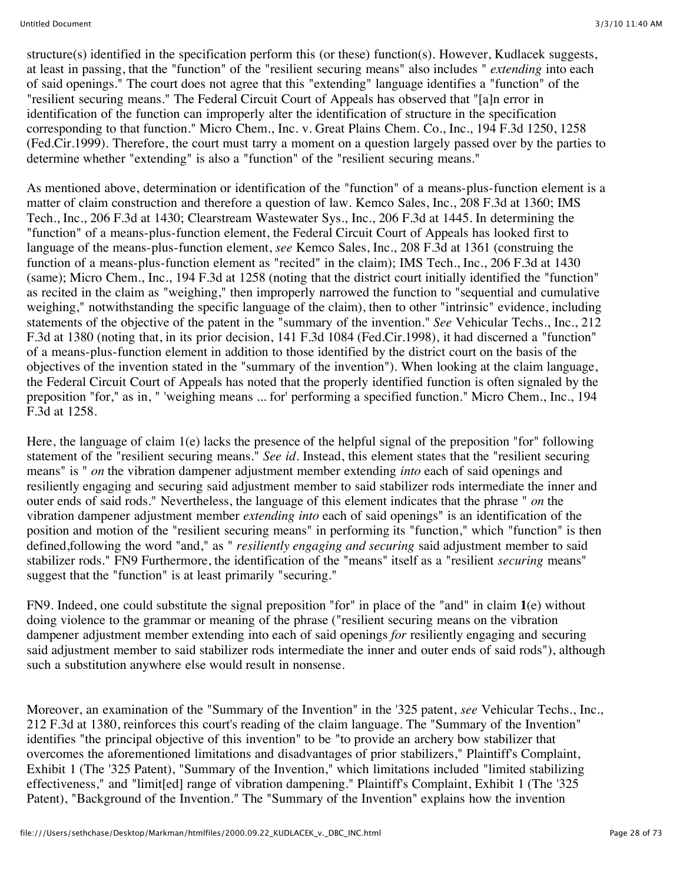structure(s) identified in the specification perform this (or these) function(s). However, Kudlacek suggests, at least in passing, that the "function" of the "resilient securing means" also includes " *extending* into each of said openings." The court does not agree that this "extending" language identifies a "function" of the "resilient securing means." The Federal Circuit Court of Appeals has observed that "[a]n error in identification of the function can improperly alter the identification of structure in the specification corresponding to that function." Micro Chem., Inc. v. Great Plains Chem. Co., Inc., 194 F.3d 1250, 1258 (Fed.Cir.1999). Therefore, the court must tarry a moment on a question largely passed over by the parties to determine whether "extending" is also a "function" of the "resilient securing means."

As mentioned above, determination or identification of the "function" of a means-plus-function element is a matter of claim construction and therefore a question of law. Kemco Sales, Inc., 208 F.3d at 1360; IMS Tech., Inc., 206 F.3d at 1430; Clearstream Wastewater Sys., Inc., 206 F.3d at 1445. In determining the "function" of a means-plus-function element, the Federal Circuit Court of Appeals has looked first to language of the means-plus-function element, *see* Kemco Sales, Inc., 208 F.3d at 1361 (construing the function of a means-plus-function element as "recited" in the claim); IMS Tech., Inc., 206 F.3d at 1430 (same); Micro Chem., Inc., 194 F.3d at 1258 (noting that the district court initially identified the "function" as recited in the claim as "weighing," then improperly narrowed the function to "sequential and cumulative weighing," notwithstanding the specific language of the claim), then to other "intrinsic" evidence, including statements of the objective of the patent in the "summary of the invention." *See* Vehicular Techs., Inc., 212 F.3d at 1380 (noting that, in its prior decision, 141 F.3d 1084 (Fed.Cir.1998), it had discerned a "function" of a means-plus-function element in addition to those identified by the district court on the basis of the objectives of the invention stated in the "summary of the invention"). When looking at the claim language, the Federal Circuit Court of Appeals has noted that the properly identified function is often signaled by the preposition "for," as in, " 'weighing means ... for' performing a specified function." Micro Chem., Inc., 194 F.3d at 1258.

Here, the language of claim 1(e) lacks the presence of the helpful signal of the preposition "for" following statement of the "resilient securing means." *See id.* Instead, this element states that the "resilient securing means" is " *on* the vibration dampener adjustment member extending *into* each of said openings and resiliently engaging and securing said adjustment member to said stabilizer rods intermediate the inner and outer ends of said rods." Nevertheless, the language of this element indicates that the phrase " *on* the vibration dampener adjustment member *extending into* each of said openings" is an identification of the position and motion of the "resilient securing means" in performing its "function," which "function" is then defined,following the word "and," as " *resiliently engaging and securing* said adjustment member to said stabilizer rods." FN9 Furthermore, the identification of the "means" itself as a "resilient *securing* means" suggest that the "function" is at least primarily "securing."

FN9. Indeed, one could substitute the signal preposition "for" in place of the "and" in claim **1**(e) without doing violence to the grammar or meaning of the phrase ("resilient securing means on the vibration dampener adjustment member extending into each of said openings *for* resiliently engaging and securing said adjustment member to said stabilizer rods intermediate the inner and outer ends of said rods"), although such a substitution anywhere else would result in nonsense.

Moreover, an examination of the "Summary of the Invention" in the '325 patent, *see* Vehicular Techs., Inc., 212 F.3d at 1380, reinforces this court's reading of the claim language. The "Summary of the Invention" identifies "the principal objective of this invention" to be "to provide an archery bow stabilizer that overcomes the aforementioned limitations and disadvantages of prior stabilizers," Plaintiff's Complaint, Exhibit 1 (The '325 Patent), "Summary of the Invention," which limitations included "limited stabilizing effectiveness," and "limit[ed] range of vibration dampening." Plaintiff's Complaint, Exhibit 1 (The '325<sup>'</sup> Patent), "Background of the Invention." The "Summary of the Invention" explains how the invention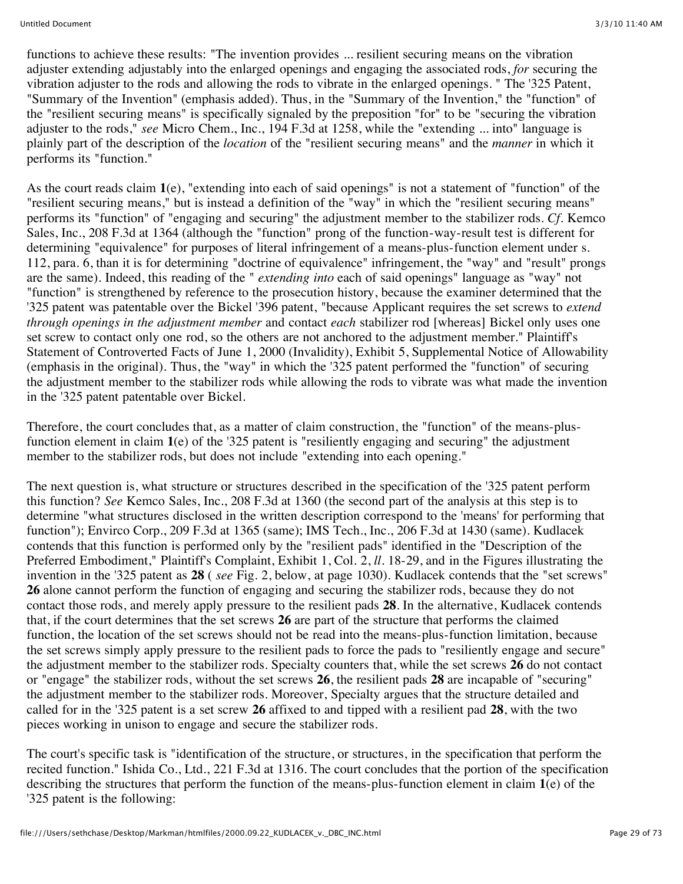functions to achieve these results: "The invention provides ... resilient securing means on the vibration adjuster extending adjustably into the enlarged openings and engaging the associated rods, *for* securing the vibration adjuster to the rods and allowing the rods to vibrate in the enlarged openings. " The '325 Patent, "Summary of the Invention" (emphasis added). Thus, in the "Summary of the Invention," the "function" of the "resilient securing means" is specifically signaled by the preposition "for" to be "securing the vibration adjuster to the rods," *see* Micro Chem., Inc., 194 F.3d at 1258, while the "extending ... into" language is plainly part of the description of the *location* of the "resilient securing means" and the *manner* in which it performs its "function."

As the court reads claim **1**(e), "extending into each of said openings" is not a statement of "function" of the "resilient securing means," but is instead a definition of the "way" in which the "resilient securing means" performs its "function" of "engaging and securing" the adjustment member to the stabilizer rods. *Cf.* Kemco Sales, Inc., 208 F.3d at 1364 (although the "function" prong of the function-way-result test is different for determining "equivalence" for purposes of literal infringement of a means-plus-function element under s. 112, para. 6, than it is for determining "doctrine of equivalence" infringement, the "way" and "result" prongs are the same). Indeed, this reading of the " *extending into* each of said openings" language as "way" not "function" is strengthened by reference to the prosecution history, because the examiner determined that the '325 patent was patentable over the Bickel '396 patent, "because Applicant requires the set screws to *extend through openings in the adjustment member* and contact *each* stabilizer rod [whereas] Bickel only uses one set screw to contact only one rod, so the others are not anchored to the adjustment member." Plaintiff's Statement of Controverted Facts of June 1, 2000 (Invalidity), Exhibit 5, Supplemental Notice of Allowability (emphasis in the original). Thus, the "way" in which the '325 patent performed the "function" of securing the adjustment member to the stabilizer rods while allowing the rods to vibrate was what made the invention in the '325 patent patentable over Bickel.

Therefore, the court concludes that, as a matter of claim construction, the "function" of the means-plusfunction element in claim **1**(e) of the '325 patent is "resiliently engaging and securing" the adjustment member to the stabilizer rods, but does not include "extending into each opening."

The next question is, what structure or structures described in the specification of the '325 patent perform this function? *See* Kemco Sales, Inc., 208 F.3d at 1360 (the second part of the analysis at this step is to determine "what structures disclosed in the written description correspond to the 'means' for performing that function"); Envirco Corp., 209 F.3d at 1365 (same); IMS Tech., Inc., 206 F.3d at 1430 (same). Kudlacek contends that this function is performed only by the "resilient pads" identified in the "Description of the Preferred Embodiment," Plaintiff's Complaint, Exhibit 1, Col. 2, *ll.* 18-29, and in the Figures illustrating the invention in the '325 patent as **28** ( *see* Fig. 2, below, at page 1030). Kudlacek contends that the "set screws" **26** alone cannot perform the function of engaging and securing the stabilizer rods, because they do not contact those rods, and merely apply pressure to the resilient pads **28**. In the alternative, Kudlacek contends that, if the court determines that the set screws **26** are part of the structure that performs the claimed function, the location of the set screws should not be read into the means-plus-function limitation, because the set screws simply apply pressure to the resilient pads to force the pads to "resiliently engage and secure" the adjustment member to the stabilizer rods. Specialty counters that, while the set screws **26** do not contact or "engage" the stabilizer rods, without the set screws **26**, the resilient pads **28** are incapable of "securing" the adjustment member to the stabilizer rods. Moreover, Specialty argues that the structure detailed and called for in the '325 patent is a set screw **26** affixed to and tipped with a resilient pad **28**, with the two pieces working in unison to engage and secure the stabilizer rods.

The court's specific task is "identification of the structure, or structures, in the specification that perform the recited function." Ishida Co., Ltd., 221 F.3d at 1316. The court concludes that the portion of the specification describing the structures that perform the function of the means-plus-function element in claim **1**(e) of the '325 patent is the following: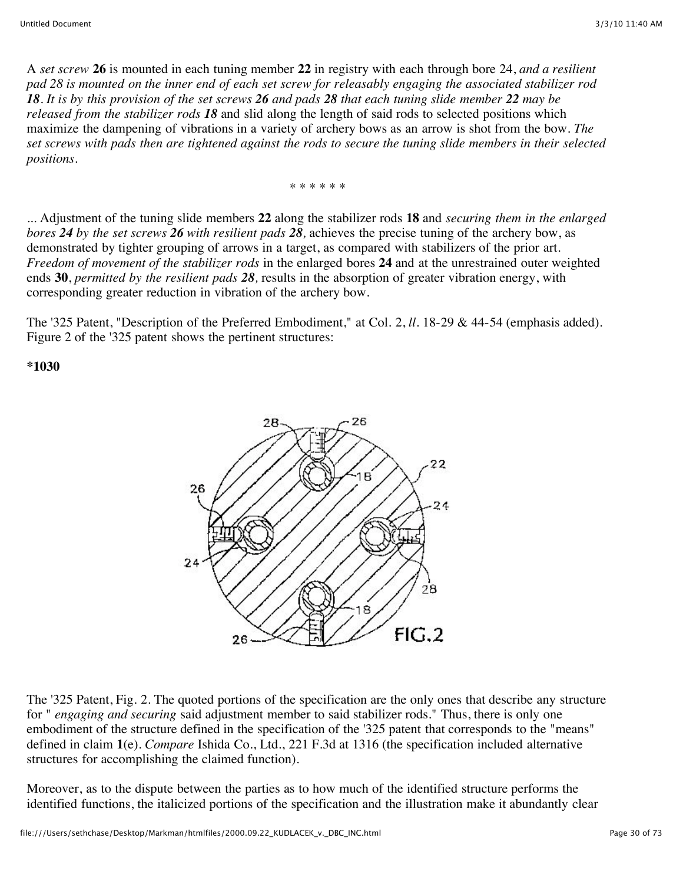A *set screw* **26** is mounted in each tuning member **22** in registry with each through bore 24, *and a resilient pad 28 is mounted on the inner end of each set screw for releasably engaging the associated stabilizer rod 18. It is by this provision of the set screws 26 and pads 28 that each tuning slide member 22 may be released from the stabilizer rods 18* and slid along the length of said rods to selected positions which maximize the dampening of vibrations in a variety of archery bows as an arrow is shot from the bow. *The set screws with pads then are tightened against the rods to secure the tuning slide members in their selected positions.*

\* \* \* \* \* \*

... Adjustment of the tuning slide members **22** along the stabilizer rods **18** and *securing them in the enlarged bores 24 by the set screws 26 with resilient pads 28,* achieves the precise tuning of the archery bow, as demonstrated by tighter grouping of arrows in a target, as compared with stabilizers of the prior art. *Freedom of movement of the stabilizer rods* in the enlarged bores **24** and at the unrestrained outer weighted ends **30**, *permitted by the resilient pads 28,* results in the absorption of greater vibration energy, with corresponding greater reduction in vibration of the archery bow.

The '325 Patent, "Description of the Preferred Embodiment," at Col. 2, *ll.* 18-29 & 44-54 (emphasis added). Figure 2 of the '325 patent shows the pertinent structures:

**\*1030**



The '325 Patent, Fig. 2. The quoted portions of the specification are the only ones that describe any structure for " *engaging and securing* said adjustment member to said stabilizer rods." Thus, there is only one embodiment of the structure defined in the specification of the '325 patent that corresponds to the "means" defined in claim **1**(e). *Compare* Ishida Co., Ltd., 221 F.3d at 1316 (the specification included alternative structures for accomplishing the claimed function).

Moreover, as to the dispute between the parties as to how much of the identified structure performs the identified functions, the italicized portions of the specification and the illustration make it abundantly clear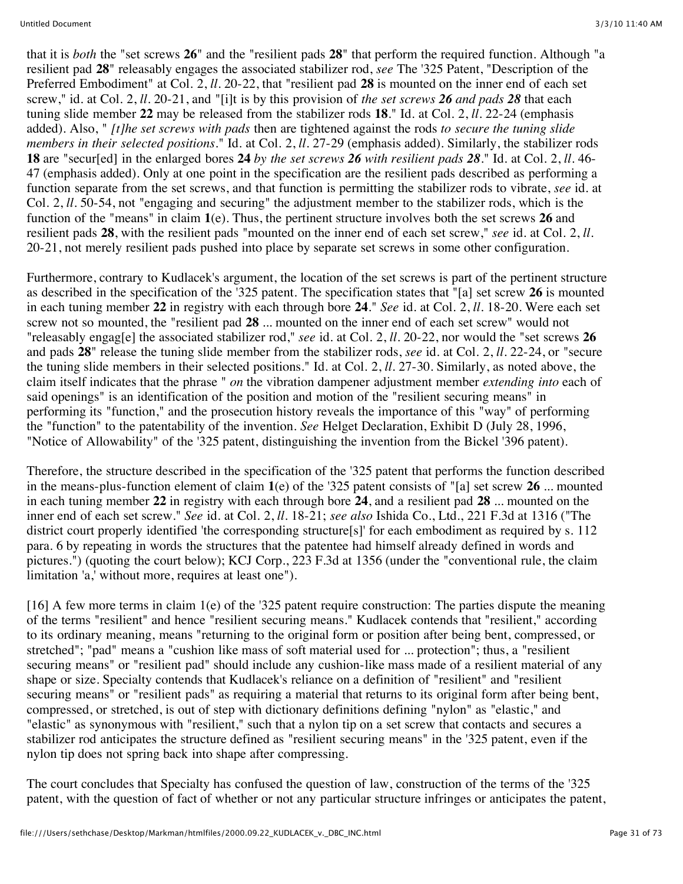that it is *both* the "set screws **26**" and the "resilient pads **28**" that perform the required function. Although "a resilient pad **28**" releasably engages the associated stabilizer rod, *see* The '325 Patent, "Description of the Preferred Embodiment" at Col. 2, *ll.* 20-22, that "resilient pad **28** is mounted on the inner end of each set screw," id. at Col. 2, *ll.* 20-21, and "[i]t is by this provision of *the set screws 26 and pads 28* that each tuning slide member **22** may be released from the stabilizer rods **18**." Id. at Col. 2, *ll.* 22-24 (emphasis added). Also, " *[t]he set screws with pads* then are tightened against the rods *to secure the tuning slide members in their selected positions.*" Id. at Col. 2, *ll.* 27-29 (emphasis added). Similarly, the stabilizer rods **18** are "secur[ed] in the enlarged bores **24** *by the set screws 26 with resilient pads 28.*" Id. at Col. 2, *ll.* 46- 47 (emphasis added). Only at one point in the specification are the resilient pads described as performing a function separate from the set screws, and that function is permitting the stabilizer rods to vibrate, *see* id. at Col. 2, *ll.* 50-54, not "engaging and securing" the adjustment member to the stabilizer rods, which is the function of the "means" in claim **1**(e). Thus, the pertinent structure involves both the set screws **26** and resilient pads **28**, with the resilient pads "mounted on the inner end of each set screw," *see* id. at Col. 2, *ll.* 20-21, not merely resilient pads pushed into place by separate set screws in some other configuration.

Furthermore, contrary to Kudlacek's argument, the location of the set screws is part of the pertinent structure as described in the specification of the '325 patent. The specification states that "[a] set screw **26** is mounted in each tuning member **22** in registry with each through bore **24**." *See* id. at Col. 2, *ll.* 18-20. Were each set screw not so mounted, the "resilient pad **28** ... mounted on the inner end of each set screw" would not "releasably engag[e] the associated stabilizer rod," *see* id. at Col. 2, *ll.* 20-22, nor would the "set screws **26** and pads **28**" release the tuning slide member from the stabilizer rods, *see* id. at Col. 2, *ll.* 22-24, or "secure the tuning slide members in their selected positions." Id. at Col. 2, *ll.* 27-30. Similarly, as noted above, the claim itself indicates that the phrase " *on* the vibration dampener adjustment member *extending into* each of said openings" is an identification of the position and motion of the "resilient securing means" in performing its "function," and the prosecution history reveals the importance of this "way" of performing the "function" to the patentability of the invention. *See* Helget Declaration, Exhibit D (July 28, 1996, "Notice of Allowability" of the '325 patent, distinguishing the invention from the Bickel '396 patent).

Therefore, the structure described in the specification of the '325 patent that performs the function described in the means-plus-function element of claim **1**(e) of the '325 patent consists of "[a] set screw **26** ... mounted in each tuning member **22** in registry with each through bore **24**, and a resilient pad **28** ... mounted on the inner end of each set screw." *See* id. at Col. 2, *ll.* 18-21; *see also* Ishida Co., Ltd., 221 F.3d at 1316 ("The district court properly identified 'the corresponding structure[s]' for each embodiment as required by s. 112 para. 6 by repeating in words the structures that the patentee had himself already defined in words and pictures.") (quoting the court below); KCJ Corp., 223 F.3d at 1356 (under the "conventional rule, the claim limitation 'a,' without more, requires at least one").

[16] A few more terms in claim 1(e) of the '325 patent require construction: The parties dispute the meaning of the terms "resilient" and hence "resilient securing means." Kudlacek contends that "resilient," according to its ordinary meaning, means "returning to the original form or position after being bent, compressed, or stretched"; "pad" means a "cushion like mass of soft material used for ... protection"; thus, a "resilient securing means" or "resilient pad" should include any cushion-like mass made of a resilient material of any shape or size. Specialty contends that Kudlacek's reliance on a definition of "resilient" and "resilient securing means" or "resilient pads" as requiring a material that returns to its original form after being bent, compressed, or stretched, is out of step with dictionary definitions defining "nylon" as "elastic," and "elastic" as synonymous with "resilient," such that a nylon tip on a set screw that contacts and secures a stabilizer rod anticipates the structure defined as "resilient securing means" in the '325 patent, even if the nylon tip does not spring back into shape after compressing.

The court concludes that Specialty has confused the question of law, construction of the terms of the '325 patent, with the question of fact of whether or not any particular structure infringes or anticipates the patent,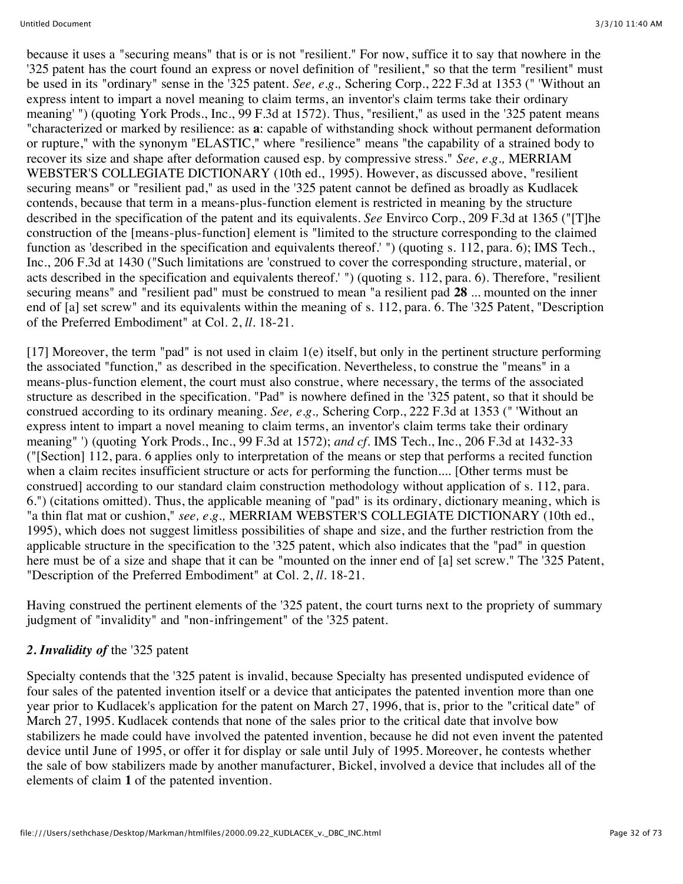because it uses a "securing means" that is or is not "resilient." For now, suffice it to say that nowhere in the '325 patent has the court found an express or novel definition of "resilient," so that the term "resilient" must be used in its "ordinary" sense in the '325 patent. *See, e.g.,* Schering Corp., 222 F.3d at 1353 (" 'Without an express intent to impart a novel meaning to claim terms, an inventor's claim terms take their ordinary meaning' ") (quoting York Prods., Inc., 99 F.3d at 1572). Thus, "resilient," as used in the '325 patent means "characterized or marked by resilience: as **a**: capable of withstanding shock without permanent deformation or rupture," with the synonym "ELASTIC," where "resilience" means "the capability of a strained body to recover its size and shape after deformation caused esp. by compressive stress." *See, e.g.,* MERRIAM WEBSTER'S COLLEGIATE DICTIONARY (10th ed., 1995). However, as discussed above, "resilient securing means" or "resilient pad," as used in the '325 patent cannot be defined as broadly as Kudlacek contends, because that term in a means-plus-function element is restricted in meaning by the structure described in the specification of the patent and its equivalents. *See* Envirco Corp., 209 F.3d at 1365 ("[T]he construction of the [means-plus-function] element is "limited to the structure corresponding to the claimed function as 'described in the specification and equivalents thereof.' ") (quoting s. 112, para. 6); IMS Tech., Inc., 206 F.3d at 1430 ("Such limitations are 'construed to cover the corresponding structure, material, or acts described in the specification and equivalents thereof.' ") (quoting s. 112, para. 6). Therefore, "resilient securing means" and "resilient pad" must be construed to mean "a resilient pad **28** ... mounted on the inner end of [a] set screw" and its equivalents within the meaning of s. 112, para. 6. The '325 Patent, "Description of the Preferred Embodiment" at Col. 2, *ll.* 18-21.

[17] Moreover, the term "pad" is not used in claim 1(e) itself, but only in the pertinent structure performing the associated "function," as described in the specification. Nevertheless, to construe the "means" in a means-plus-function element, the court must also construe, where necessary, the terms of the associated structure as described in the specification. "Pad" is nowhere defined in the '325 patent, so that it should be construed according to its ordinary meaning. *See, e.g.,* Schering Corp., 222 F.3d at 1353 (" 'Without an express intent to impart a novel meaning to claim terms, an inventor's claim terms take their ordinary meaning" ') (quoting York Prods., Inc., 99 F.3d at 1572); *and cf.* IMS Tech., Inc., 206 F.3d at 1432-33 ("[Section] 112, para. 6 applies only to interpretation of the means or step that performs a recited function when a claim recites insufficient structure or acts for performing the function.... [Other terms must be construed] according to our standard claim construction methodology without application of s. 112, para. 6.") (citations omitted). Thus, the applicable meaning of "pad" is its ordinary, dictionary meaning, which is "a thin flat mat or cushion," *see, e.g.,* MERRIAM WEBSTER'S COLLEGIATE DICTIONARY (10th ed., 1995), which does not suggest limitless possibilities of shape and size, and the further restriction from the applicable structure in the specification to the '325 patent, which also indicates that the "pad" in question here must be of a size and shape that it can be "mounted on the inner end of [a] set screw." The '325 Patent, "Description of the Preferred Embodiment" at Col. 2, *ll.* 18-21.

Having construed the pertinent elements of the '325 patent, the court turns next to the propriety of summary judgment of "invalidity" and "non-infringement" of the '325 patent.

### *2. Invalidity of* the '325 patent

Specialty contends that the '325 patent is invalid, because Specialty has presented undisputed evidence of four sales of the patented invention itself or a device that anticipates the patented invention more than one year prior to Kudlacek's application for the patent on March 27, 1996, that is, prior to the "critical date" of March 27, 1995. Kudlacek contends that none of the sales prior to the critical date that involve bow stabilizers he made could have involved the patented invention, because he did not even invent the patented device until June of 1995, or offer it for display or sale until July of 1995. Moreover, he contests whether the sale of bow stabilizers made by another manufacturer, Bickel, involved a device that includes all of the elements of claim **1** of the patented invention.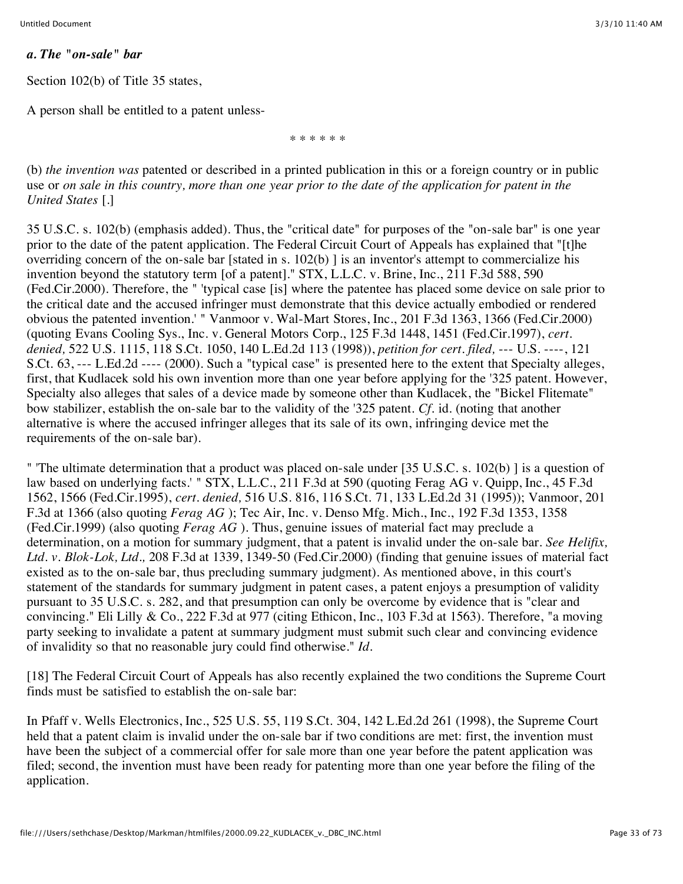#### *a. The "on-sale" bar*

Section 102(b) of Title 35 states,

A person shall be entitled to a patent unless-

\* \* \* \* \* \*

(b) *the invention was* patented or described in a printed publication in this or a foreign country or in public use or *on sale in this country, more than one year prior to the date of the application for patent in the United States* [.]

35 U.S.C. s. 102(b) (emphasis added). Thus, the "critical date" for purposes of the "on-sale bar" is one year prior to the date of the patent application. The Federal Circuit Court of Appeals has explained that "[t]he overriding concern of the on-sale bar [stated in s. 102(b) ] is an inventor's attempt to commercialize his invention beyond the statutory term [of a patent]." STX, L.L.C. v. Brine, Inc., 211 F.3d 588, 590 (Fed.Cir.2000). Therefore, the " 'typical case [is] where the patentee has placed some device on sale prior to the critical date and the accused infringer must demonstrate that this device actually embodied or rendered obvious the patented invention.' " Vanmoor v. Wal-Mart Stores, Inc., 201 F.3d 1363, 1366 (Fed.Cir.2000) (quoting Evans Cooling Sys., Inc. v. General Motors Corp., 125 F.3d 1448, 1451 (Fed.Cir.1997), *cert. denied,* 522 U.S. 1115, 118 S.Ct. 1050, 140 L.Ed.2d 113 (1998)), *petition for cert. filed,* --- U.S. ----, 121 S.Ct. 63, --- L.Ed.2d ---- (2000). Such a "typical case" is presented here to the extent that Specialty alleges, first, that Kudlacek sold his own invention more than one year before applying for the '325 patent. However, Specialty also alleges that sales of a device made by someone other than Kudlacek, the "Bickel Flitemate" bow stabilizer, establish the on-sale bar to the validity of the '325 patent. *Cf.* id. (noting that another alternative is where the accused infringer alleges that its sale of its own, infringing device met the requirements of the on-sale bar).

" 'The ultimate determination that a product was placed on-sale under [35 U.S.C. s. 102(b) ] is a question of law based on underlying facts.' " STX, L.L.C., 211 F.3d at 590 (quoting Ferag AG v. Quipp, Inc., 45 F.3d) 1562, 1566 (Fed.Cir.1995), *cert. denied,* 516 U.S. 816, 116 S.Ct. 71, 133 L.Ed.2d 31 (1995)); Vanmoor, 201 F.3d at 1366 (also quoting *Ferag AG* ); Tec Air, Inc. v. Denso Mfg. Mich., Inc., 192 F.3d 1353, 1358 (Fed.Cir.1999) (also quoting *Ferag AG* ). Thus, genuine issues of material fact may preclude a determination, on a motion for summary judgment, that a patent is invalid under the on-sale bar. *See Helifix, Ltd. v. Blok-Lok, Ltd.,* 208 F.3d at 1339, 1349-50 (Fed.Cir.2000) (finding that genuine issues of material fact existed as to the on-sale bar, thus precluding summary judgment). As mentioned above, in this court's statement of the standards for summary judgment in patent cases, a patent enjoys a presumption of validity pursuant to 35 U.S.C. s. 282, and that presumption can only be overcome by evidence that is "clear and convincing." Eli Lilly & Co., 222 F.3d at 977 (citing Ethicon, Inc., 103 F.3d at 1563). Therefore, "a moving party seeking to invalidate a patent at summary judgment must submit such clear and convincing evidence of invalidity so that no reasonable jury could find otherwise." *Id.*

[18] The Federal Circuit Court of Appeals has also recently explained the two conditions the Supreme Court finds must be satisfied to establish the on-sale bar:

In Pfaff v. Wells Electronics, Inc., 525 U.S. 55, 119 S.Ct. 304, 142 L.Ed.2d 261 (1998), the Supreme Court held that a patent claim is invalid under the on-sale bar if two conditions are met: first, the invention must have been the subject of a commercial offer for sale more than one year before the patent application was filed; second, the invention must have been ready for patenting more than one year before the filing of the application.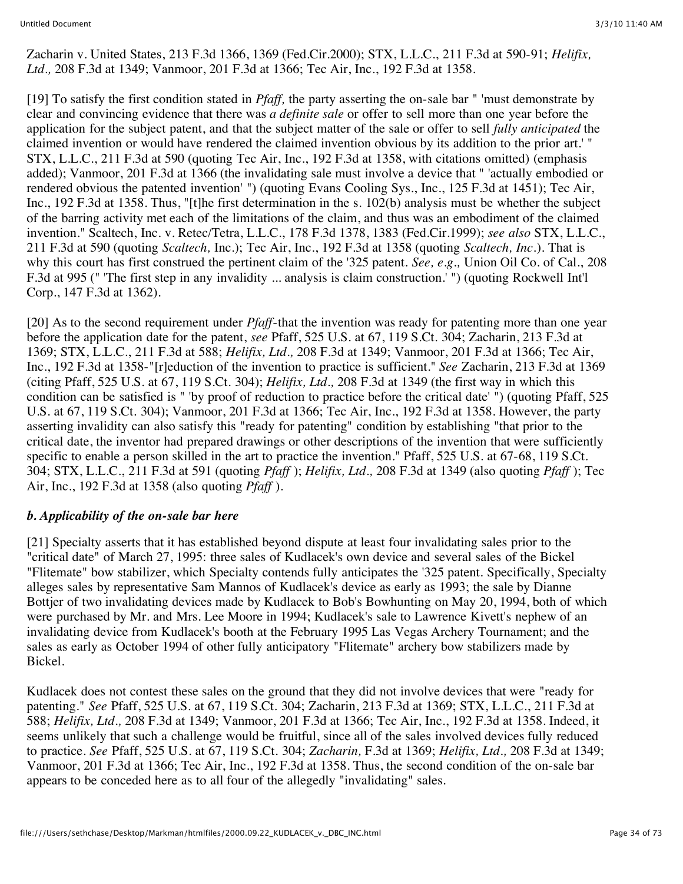Zacharin v. United States, 213 F.3d 1366, 1369 (Fed.Cir.2000); STX, L.L.C., 211 F.3d at 590-91; *Helifix, Ltd.,* 208 F.3d at 1349; Vanmoor, 201 F.3d at 1366; Tec Air, Inc., 192 F.3d at 1358.

[19] To satisfy the first condition stated in *Pfaff,* the party asserting the on-sale bar " 'must demonstrate by clear and convincing evidence that there was *a definite sale* or offer to sell more than one year before the application for the subject patent, and that the subject matter of the sale or offer to sell *fully anticipated* the claimed invention or would have rendered the claimed invention obvious by its addition to the prior art.' " STX, L.L.C., 211 F.3d at 590 (quoting Tec Air, Inc., 192 F.3d at 1358, with citations omitted) (emphasis added); Vanmoor, 201 F.3d at 1366 (the invalidating sale must involve a device that " 'actually embodied or rendered obvious the patented invention' ") (quoting Evans Cooling Sys., Inc., 125 F.3d at 1451); Tec Air, Inc., 192 F.3d at 1358. Thus, "[t]he first determination in the s. 102(b) analysis must be whether the subject of the barring activity met each of the limitations of the claim, and thus was an embodiment of the claimed invention." Scaltech, Inc. v. Retec/Tetra, L.L.C., 178 F.3d 1378, 1383 (Fed.Cir.1999); *see also* STX, L.L.C., 211 F.3d at 590 (quoting *Scaltech,* Inc.); Tec Air, Inc., 192 F.3d at 1358 (quoting *Scaltech, Inc.*). That is why this court has first construed the pertinent claim of the '325 patent. *See, e.g.,* Union Oil Co. of Cal., 208 F.3d at 995 (" 'The first step in any invalidity ... analysis is claim construction.' ") (quoting Rockwell Int'l Corp., 147 F.3d at 1362).

[20] As to the second requirement under *Pfaff*-that the invention was ready for patenting more than one year before the application date for the patent, *see* Pfaff, 525 U.S. at 67, 119 S.Ct. 304; Zacharin, 213 F.3d at 1369; STX, L.L.C., 211 F.3d at 588; *Helifix, Ltd.,* 208 F.3d at 1349; Vanmoor, 201 F.3d at 1366; Tec Air, Inc., 192 F.3d at 1358-"[r]eduction of the invention to practice is sufficient." *See* Zacharin, 213 F.3d at 1369 (citing Pfaff, 525 U.S. at 67, 119 S.Ct. 304); *Helifix, Ltd.,* 208 F.3d at 1349 (the first way in which this condition can be satisfied is " 'by proof of reduction to practice before the critical date' ") (quoting Pfaff, 525 U.S. at 67, 119 S.Ct. 304); Vanmoor, 201 F.3d at 1366; Tec Air, Inc., 192 F.3d at 1358. However, the party asserting invalidity can also satisfy this "ready for patenting" condition by establishing "that prior to the critical date, the inventor had prepared drawings or other descriptions of the invention that were sufficiently specific to enable a person skilled in the art to practice the invention." Pfaff, 525 U.S. at 67-68, 119 S.Ct. 304; STX, L.L.C., 211 F.3d at 591 (quoting *Pfaff* ); *Helifix, Ltd.,* 208 F.3d at 1349 (also quoting *Pfaff* ); Tec Air, Inc., 192 F.3d at 1358 (also quoting *Pfaff* ).

### *b. Applicability of the on-sale bar here*

[21] Specialty asserts that it has established beyond dispute at least four invalidating sales prior to the "critical date" of March 27, 1995: three sales of Kudlacek's own device and several sales of the Bickel "Flitemate" bow stabilizer, which Specialty contends fully anticipates the '325 patent. Specifically, Specialty alleges sales by representative Sam Mannos of Kudlacek's device as early as 1993; the sale by Dianne Bottjer of two invalidating devices made by Kudlacek to Bob's Bowhunting on May 20, 1994, both of which were purchased by Mr. and Mrs. Lee Moore in 1994; Kudlacek's sale to Lawrence Kivett's nephew of an invalidating device from Kudlacek's booth at the February 1995 Las Vegas Archery Tournament; and the sales as early as October 1994 of other fully anticipatory "Flitemate" archery bow stabilizers made by Bickel.

Kudlacek does not contest these sales on the ground that they did not involve devices that were "ready for patenting." *See* Pfaff, 525 U.S. at 67, 119 S.Ct. 304; Zacharin, 213 F.3d at 1369; STX, L.L.C., 211 F.3d at 588; *Helifix, Ltd.,* 208 F.3d at 1349; Vanmoor, 201 F.3d at 1366; Tec Air, Inc., 192 F.3d at 1358. Indeed, it seems unlikely that such a challenge would be fruitful, since all of the sales involved devices fully reduced to practice. *See* Pfaff, 525 U.S. at 67, 119 S.Ct. 304; *Zacharin,* F.3d at 1369; *Helifix, Ltd.,* 208 F.3d at 1349; Vanmoor, 201 F.3d at 1366; Tec Air, Inc., 192 F.3d at 1358. Thus, the second condition of the on-sale bar appears to be conceded here as to all four of the allegedly "invalidating" sales.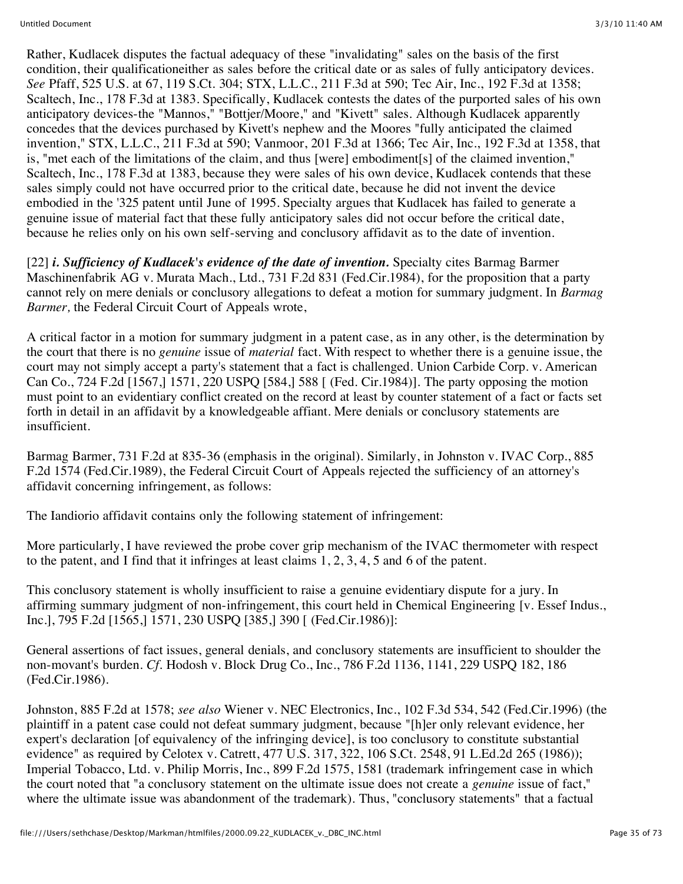Rather, Kudlacek disputes the factual adequacy of these "invalidating" sales on the basis of the first condition, their qualificationeither as sales before the critical date or as sales of fully anticipatory devices. *See* Pfaff, 525 U.S. at 67, 119 S.Ct. 304; STX, L.L.C., 211 F.3d at 590; Tec Air, Inc., 192 F.3d at 1358; Scaltech, Inc., 178 F.3d at 1383. Specifically, Kudlacek contests the dates of the purported sales of his own anticipatory devices-the "Mannos," "Bottjer/Moore," and "Kivett" sales. Although Kudlacek apparently concedes that the devices purchased by Kivett's nephew and the Moores "fully anticipated the claimed invention," STX, L.L.C., 211 F.3d at 590; Vanmoor, 201 F.3d at 1366; Tec Air, Inc., 192 F.3d at 1358, that is, "met each of the limitations of the claim, and thus [were] embodiment[s] of the claimed invention," Scaltech, Inc., 178 F.3d at 1383, because they were sales of his own device, Kudlacek contends that these sales simply could not have occurred prior to the critical date, because he did not invent the device embodied in the '325 patent until June of 1995. Specialty argues that Kudlacek has failed to generate a genuine issue of material fact that these fully anticipatory sales did not occur before the critical date, because he relies only on his own self-serving and conclusory affidavit as to the date of invention.

[22] *i. Sufficiency of Kudlacek's evidence of the date of invention.* Specialty cites Barmag Barmer Maschinenfabrik AG v. Murata Mach., Ltd., 731 F.2d 831 (Fed.Cir.1984), for the proposition that a party cannot rely on mere denials or conclusory allegations to defeat a motion for summary judgment. In *Barmag Barmer,* the Federal Circuit Court of Appeals wrote,

A critical factor in a motion for summary judgment in a patent case, as in any other, is the determination by the court that there is no *genuine* issue of *material* fact. With respect to whether there is a genuine issue, the court may not simply accept a party's statement that a fact is challenged. Union Carbide Corp. v. American Can Co., 724 F.2d [1567,] 1571, 220 USPQ [584,] 588 [ (Fed. Cir.1984)]. The party opposing the motion must point to an evidentiary conflict created on the record at least by counter statement of a fact or facts set forth in detail in an affidavit by a knowledgeable affiant. Mere denials or conclusory statements are insufficient.

Barmag Barmer, 731 F.2d at 835-36 (emphasis in the original). Similarly, in Johnston v. IVAC Corp., 885 F.2d 1574 (Fed.Cir.1989), the Federal Circuit Court of Appeals rejected the sufficiency of an attorney's affidavit concerning infringement, as follows:

The Iandiorio affidavit contains only the following statement of infringement:

More particularly, I have reviewed the probe cover grip mechanism of the IVAC thermometer with respect to the patent, and I find that it infringes at least claims 1, 2, 3, 4, 5 and 6 of the patent.

This conclusory statement is wholly insufficient to raise a genuine evidentiary dispute for a jury. In affirming summary judgment of non-infringement, this court held in Chemical Engineering [v. Essef Indus., Inc.], 795 F.2d [1565,] 1571, 230 USPQ [385,] 390 [ (Fed.Cir.1986)]:

General assertions of fact issues, general denials, and conclusory statements are insufficient to shoulder the non-movant's burden. *Cf.* Hodosh v. Block Drug Co., Inc., 786 F.2d 1136, 1141, 229 USPQ 182, 186 (Fed.Cir.1986).

Johnston, 885 F.2d at 1578; *see also* Wiener v. NEC Electronics, Inc., 102 F.3d 534, 542 (Fed.Cir.1996) (the plaintiff in a patent case could not defeat summary judgment, because "[h]er only relevant evidence, her expert's declaration [of equivalency of the infringing device], is too conclusory to constitute substantial evidence" as required by Celotex v. Catrett, 477 U.S. 317, 322, 106 S.Ct. 2548, 91 L.Ed.2d 265 (1986)); Imperial Tobacco, Ltd. v. Philip Morris, Inc., 899 F.2d 1575, 1581 (trademark infringement case in which the court noted that "a conclusory statement on the ultimate issue does not create a *genuine* issue of fact," where the ultimate issue was abandonment of the trademark). Thus, "conclusory statements" that a factual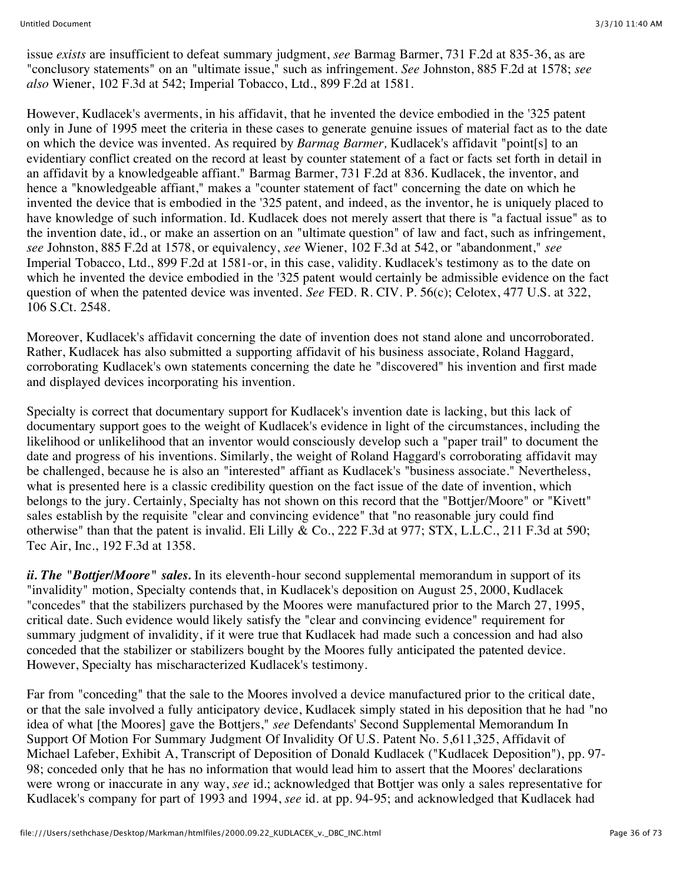issue *exists* are insufficient to defeat summary judgment, *see* Barmag Barmer, 731 F.2d at 835-36, as are "conclusory statements" on an "ultimate issue," such as infringement. *See* Johnston, 885 F.2d at 1578; *see also* Wiener, 102 F.3d at 542; Imperial Tobacco, Ltd., 899 F.2d at 1581.

However, Kudlacek's averments, in his affidavit, that he invented the device embodied in the '325 patent only in June of 1995 meet the criteria in these cases to generate genuine issues of material fact as to the date on which the device was invented. As required by *Barmag Barmer,* Kudlacek's affidavit "point[s] to an evidentiary conflict created on the record at least by counter statement of a fact or facts set forth in detail in an affidavit by a knowledgeable affiant." Barmag Barmer, 731 F.2d at 836. Kudlacek, the inventor, and hence a "knowledgeable affiant," makes a "counter statement of fact" concerning the date on which he invented the device that is embodied in the '325 patent, and indeed, as the inventor, he is uniquely placed to have knowledge of such information. Id. Kudlacek does not merely assert that there is "a factual issue" as to the invention date, id., or make an assertion on an "ultimate question" of law and fact, such as infringement, *see* Johnston, 885 F.2d at 1578, or equivalency, *see* Wiener, 102 F.3d at 542, or "abandonment," *see* Imperial Tobacco, Ltd., 899 F.2d at 1581-or, in this case, validity. Kudlacek's testimony as to the date on which he invented the device embodied in the '325 patent would certainly be admissible evidence on the fact question of when the patented device was invented. *See* FED. R. CIV. P. 56(c); Celotex, 477 U.S. at 322, 106 S.Ct. 2548.

Moreover, Kudlacek's affidavit concerning the date of invention does not stand alone and uncorroborated. Rather, Kudlacek has also submitted a supporting affidavit of his business associate, Roland Haggard, corroborating Kudlacek's own statements concerning the date he "discovered" his invention and first made and displayed devices incorporating his invention.

Specialty is correct that documentary support for Kudlacek's invention date is lacking, but this lack of documentary support goes to the weight of Kudlacek's evidence in light of the circumstances, including the likelihood or unlikelihood that an inventor would consciously develop such a "paper trail" to document the date and progress of his inventions. Similarly, the weight of Roland Haggard's corroborating affidavit may be challenged, because he is also an "interested" affiant as Kudlacek's "business associate." Nevertheless, what is presented here is a classic credibility question on the fact issue of the date of invention, which belongs to the jury. Certainly, Specialty has not shown on this record that the "Bottjer/Moore" or "Kivett" sales establish by the requisite "clear and convincing evidence" that "no reasonable jury could find otherwise" than that the patent is invalid. Eli Lilly & Co., 222 F.3d at 977; STX, L.L.C., 211 F.3d at 590; Tec Air, Inc., 192 F.3d at 1358.

*ii. The "Bottjer/Moore" sales.* In its eleventh-hour second supplemental memorandum in support of its "invalidity" motion, Specialty contends that, in Kudlacek's deposition on August 25, 2000, Kudlacek "concedes" that the stabilizers purchased by the Moores were manufactured prior to the March 27, 1995, critical date. Such evidence would likely satisfy the "clear and convincing evidence" requirement for summary judgment of invalidity, if it were true that Kudlacek had made such a concession and had also conceded that the stabilizer or stabilizers bought by the Moores fully anticipated the patented device. However, Specialty has mischaracterized Kudlacek's testimony.

Far from "conceding" that the sale to the Moores involved a device manufactured prior to the critical date, or that the sale involved a fully anticipatory device, Kudlacek simply stated in his deposition that he had "no idea of what [the Moores] gave the Bottjers," *see* Defendants' Second Supplemental Memorandum In Support Of Motion For Summary Judgment Of Invalidity Of U.S. Patent No. 5,611,325, Affidavit of Michael Lafeber, Exhibit A, Transcript of Deposition of Donald Kudlacek ("Kudlacek Deposition"), pp. 97- 98; conceded only that he has no information that would lead him to assert that the Moores' declarations were wrong or inaccurate in any way, *see* id.; acknowledged that Bottjer was only a sales representative for Kudlacek's company for part of 1993 and 1994, *see* id. at pp. 94-95; and acknowledged that Kudlacek had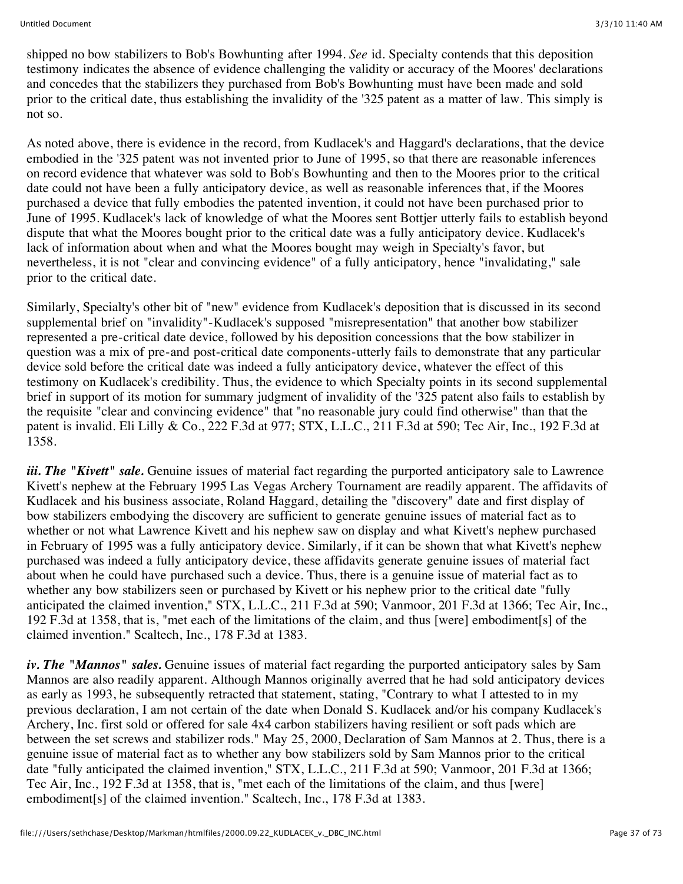shipped no bow stabilizers to Bob's Bowhunting after 1994. *See* id. Specialty contends that this deposition testimony indicates the absence of evidence challenging the validity or accuracy of the Moores' declarations and concedes that the stabilizers they purchased from Bob's Bowhunting must have been made and sold prior to the critical date, thus establishing the invalidity of the '325 patent as a matter of law. This simply is not so.

As noted above, there is evidence in the record, from Kudlacek's and Haggard's declarations, that the device embodied in the '325 patent was not invented prior to June of 1995, so that there are reasonable inferences on record evidence that whatever was sold to Bob's Bowhunting and then to the Moores prior to the critical date could not have been a fully anticipatory device, as well as reasonable inferences that, if the Moores purchased a device that fully embodies the patented invention, it could not have been purchased prior to June of 1995. Kudlacek's lack of knowledge of what the Moores sent Bottjer utterly fails to establish beyond dispute that what the Moores bought prior to the critical date was a fully anticipatory device. Kudlacek's lack of information about when and what the Moores bought may weigh in Specialty's favor, but nevertheless, it is not "clear and convincing evidence" of a fully anticipatory, hence "invalidating," sale prior to the critical date.

Similarly, Specialty's other bit of "new" evidence from Kudlacek's deposition that is discussed in its second supplemental brief on "invalidity"-Kudlacek's supposed "misrepresentation" that another bow stabilizer represented a pre-critical date device, followed by his deposition concessions that the bow stabilizer in question was a mix of pre-and post-critical date components-utterly fails to demonstrate that any particular device sold before the critical date was indeed a fully anticipatory device, whatever the effect of this testimony on Kudlacek's credibility. Thus, the evidence to which Specialty points in its second supplemental brief in support of its motion for summary judgment of invalidity of the '325 patent also fails to establish by the requisite "clear and convincing evidence" that "no reasonable jury could find otherwise" than that the patent is invalid. Eli Lilly & Co., 222 F.3d at 977; STX, L.L.C., 211 F.3d at 590; Tec Air, Inc., 192 F.3d at 1358.

*iii. The "Kivett" sale.* Genuine issues of material fact regarding the purported anticipatory sale to Lawrence Kivett's nephew at the February 1995 Las Vegas Archery Tournament are readily apparent. The affidavits of Kudlacek and his business associate, Roland Haggard, detailing the "discovery" date and first display of bow stabilizers embodying the discovery are sufficient to generate genuine issues of material fact as to whether or not what Lawrence Kivett and his nephew saw on display and what Kivett's nephew purchased in February of 1995 was a fully anticipatory device. Similarly, if it can be shown that what Kivett's nephew purchased was indeed a fully anticipatory device, these affidavits generate genuine issues of material fact about when he could have purchased such a device. Thus, there is a genuine issue of material fact as to whether any bow stabilizers seen or purchased by Kivett or his nephew prior to the critical date "fully anticipated the claimed invention," STX, L.L.C., 211 F.3d at 590; Vanmoor, 201 F.3d at 1366; Tec Air, Inc., 192 F.3d at 1358, that is, "met each of the limitations of the claim, and thus [were] embodiment[s] of the claimed invention." Scaltech, Inc., 178 F.3d at 1383.

*iv. The "Mannos" sales.* Genuine issues of material fact regarding the purported anticipatory sales by Sam Mannos are also readily apparent. Although Mannos originally averred that he had sold anticipatory devices as early as 1993, he subsequently retracted that statement, stating, "Contrary to what I attested to in my previous declaration, I am not certain of the date when Donald S. Kudlacek and/or his company Kudlacek's Archery, Inc. first sold or offered for sale 4x4 carbon stabilizers having resilient or soft pads which are between the set screws and stabilizer rods." May 25, 2000, Declaration of Sam Mannos at 2. Thus, there is a genuine issue of material fact as to whether any bow stabilizers sold by Sam Mannos prior to the critical date "fully anticipated the claimed invention," STX, L.L.C., 211 F.3d at 590; Vanmoor, 201 F.3d at 1366; Tec Air, Inc., 192 F.3d at 1358, that is, "met each of the limitations of the claim, and thus [were] embodiment[s] of the claimed invention." Scaltech, Inc., 178 F.3d at 1383.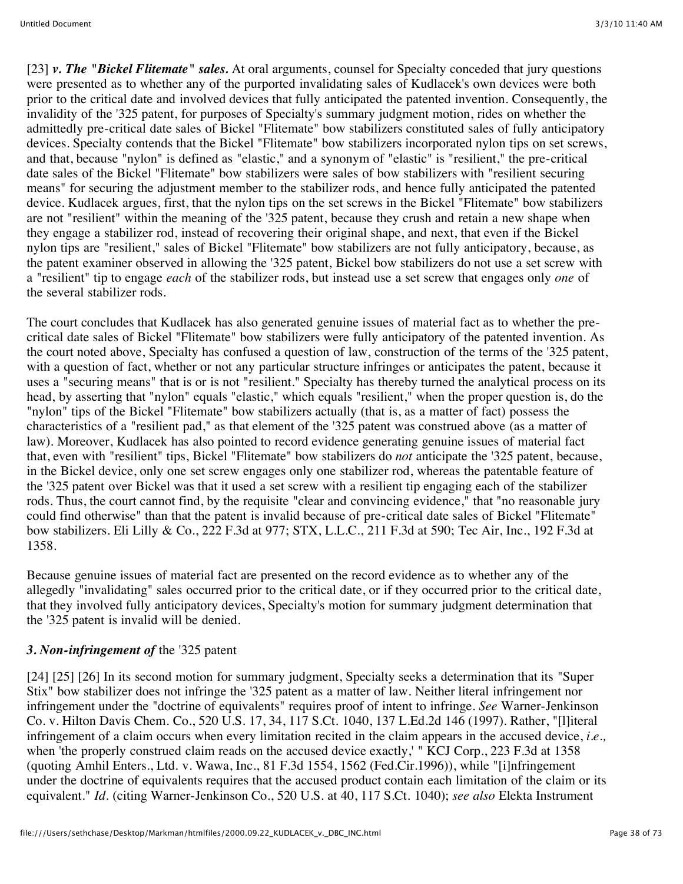[23] *v. The "Bickel Flitemate" sales.* At oral arguments, counsel for Specialty conceded that jury questions were presented as to whether any of the purported invalidating sales of Kudlacek's own devices were both prior to the critical date and involved devices that fully anticipated the patented invention. Consequently, the invalidity of the '325 patent, for purposes of Specialty's summary judgment motion, rides on whether the admittedly pre-critical date sales of Bickel "Flitemate" bow stabilizers constituted sales of fully anticipatory devices. Specialty contends that the Bickel "Flitemate" bow stabilizers incorporated nylon tips on set screws, and that, because "nylon" is defined as "elastic," and a synonym of "elastic" is "resilient," the pre-critical date sales of the Bickel "Flitemate" bow stabilizers were sales of bow stabilizers with "resilient securing means" for securing the adjustment member to the stabilizer rods, and hence fully anticipated the patented device. Kudlacek argues, first, that the nylon tips on the set screws in the Bickel "Flitemate" bow stabilizers are not "resilient" within the meaning of the '325 patent, because they crush and retain a new shape when they engage a stabilizer rod, instead of recovering their original shape, and next, that even if the Bickel nylon tips are "resilient," sales of Bickel "Flitemate" bow stabilizers are not fully anticipatory, because, as the patent examiner observed in allowing the '325 patent, Bickel bow stabilizers do not use a set screw with a "resilient" tip to engage *each* of the stabilizer rods, but instead use a set screw that engages only *one* of the several stabilizer rods.

The court concludes that Kudlacek has also generated genuine issues of material fact as to whether the precritical date sales of Bickel "Flitemate" bow stabilizers were fully anticipatory of the patented invention. As the court noted above, Specialty has confused a question of law, construction of the terms of the '325 patent, with a question of fact, whether or not any particular structure infringes or anticipates the patent, because it uses a "securing means" that is or is not "resilient." Specialty has thereby turned the analytical process on its head, by asserting that "nylon" equals "elastic," which equals "resilient," when the proper question is, do the "nylon" tips of the Bickel "Flitemate" bow stabilizers actually (that is, as a matter of fact) possess the characteristics of a "resilient pad," as that element of the '325 patent was construed above (as a matter of law). Moreover, Kudlacek has also pointed to record evidence generating genuine issues of material fact that, even with "resilient" tips, Bickel "Flitemate" bow stabilizers do *not* anticipate the '325 patent, because, in the Bickel device, only one set screw engages only one stabilizer rod, whereas the patentable feature of the '325 patent over Bickel was that it used a set screw with a resilient tip engaging each of the stabilizer rods. Thus, the court cannot find, by the requisite "clear and convincing evidence," that "no reasonable jury could find otherwise" than that the patent is invalid because of pre-critical date sales of Bickel "Flitemate" bow stabilizers. Eli Lilly & Co., 222 F.3d at 977; STX, L.L.C., 211 F.3d at 590; Tec Air, Inc., 192 F.3d at 1358.

Because genuine issues of material fact are presented on the record evidence as to whether any of the allegedly "invalidating" sales occurred prior to the critical date, or if they occurred prior to the critical date, that they involved fully anticipatory devices, Specialty's motion for summary judgment determination that the '325 patent is invalid will be denied.

# *3. Non-infringement of* the '325 patent

[24] [25] [26] In its second motion for summary judgment, Specialty seeks a determination that its "Super Stix" bow stabilizer does not infringe the '325 patent as a matter of law. Neither literal infringement nor infringement under the "doctrine of equivalents" requires proof of intent to infringe. *See* Warner-Jenkinson Co. v. Hilton Davis Chem. Co., 520 U.S. 17, 34, 117 S.Ct. 1040, 137 L.Ed.2d 146 (1997). Rather, "[l]iteral infringement of a claim occurs when every limitation recited in the claim appears in the accused device, *i.e.,* when the properly construed claim reads on the accused device exactly, " KCJ Corp., 223 F.3d at 1358 (quoting Amhil Enters., Ltd. v. Wawa, Inc., 81 F.3d 1554, 1562 (Fed.Cir.1996)), while "[i]nfringement under the doctrine of equivalents requires that the accused product contain each limitation of the claim or its equivalent." *Id.* (citing Warner-Jenkinson Co., 520 U.S. at 40, 117 S.Ct. 1040); *see also* Elekta Instrument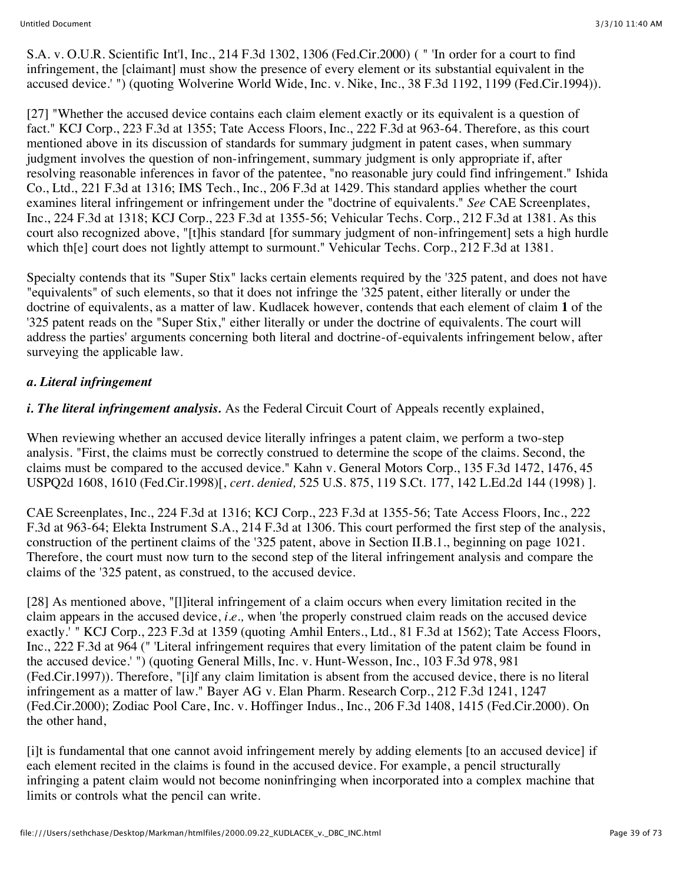S.A. v. O.U.R. Scientific Int'l, Inc., 214 F.3d 1302, 1306 (Fed.Cir.2000) ( " 'In order for a court to find infringement, the [claimant] must show the presence of every element or its substantial equivalent in the accused device.' ") (quoting Wolverine World Wide, Inc. v. Nike, Inc., 38 F.3d 1192, 1199 (Fed.Cir.1994)).

[27] "Whether the accused device contains each claim element exactly or its equivalent is a question of fact." KCJ Corp., 223 F.3d at 1355; Tate Access Floors, Inc., 222 F.3d at 963-64. Therefore, as this court mentioned above in its discussion of standards for summary judgment in patent cases, when summary judgment involves the question of non-infringement, summary judgment is only appropriate if, after resolving reasonable inferences in favor of the patentee, "no reasonable jury could find infringement." Ishida Co., Ltd., 221 F.3d at 1316; IMS Tech., Inc., 206 F.3d at 1429. This standard applies whether the court examines literal infringement or infringement under the "doctrine of equivalents." *See* CAE Screenplates, Inc., 224 F.3d at 1318; KCJ Corp., 223 F.3d at 1355-56; Vehicular Techs. Corp., 212 F.3d at 1381. As this court also recognized above, "[t]his standard [for summary judgment of non-infringement] sets a high hurdle which th[e] court does not lightly attempt to surmount." Vehicular Techs. Corp., 212 F.3d at 1381.

Specialty contends that its "Super Stix" lacks certain elements required by the '325 patent, and does not have "equivalents" of such elements, so that it does not infringe the '325 patent, either literally or under the doctrine of equivalents, as a matter of law. Kudlacek however, contends that each element of claim **1** of the '325 patent reads on the "Super Stix," either literally or under the doctrine of equivalents. The court will address the parties' arguments concerning both literal and doctrine-of-equivalents infringement below, after surveying the applicable law.

#### *a. Literal infringement*

*i. The literal infringement analysis.* As the Federal Circuit Court of Appeals recently explained,

When reviewing whether an accused device literally infringes a patent claim, we perform a two-step analysis. "First, the claims must be correctly construed to determine the scope of the claims. Second, the claims must be compared to the accused device." Kahn v. General Motors Corp., 135 F.3d 1472, 1476, 45 USPQ2d 1608, 1610 (Fed.Cir.1998)[, *cert. denied,* 525 U.S. 875, 119 S.Ct. 177, 142 L.Ed.2d 144 (1998) ].

CAE Screenplates, Inc., 224 F.3d at 1316; KCJ Corp., 223 F.3d at 1355-56; Tate Access Floors, Inc., 222 F.3d at 963-64; Elekta Instrument S.A., 214 F.3d at 1306. This court performed the first step of the analysis, construction of the pertinent claims of the '325 patent, above in Section II.B.1., beginning on page 1021. Therefore, the court must now turn to the second step of the literal infringement analysis and compare the claims of the '325 patent, as construed, to the accused device.

[28] As mentioned above, "[1]iteral infringement of a claim occurs when every limitation recited in the claim appears in the accused device, *i.e.,* when 'the properly construed claim reads on the accused device exactly.' " KCJ Corp., 223 F.3d at 1359 (quoting Amhil Enters., Ltd., 81 F.3d at 1562); Tate Access Floors, Inc., 222 F.3d at 964 (" 'Literal infringement requires that every limitation of the patent claim be found in the accused device.' ") (quoting General Mills, Inc. v. Hunt-Wesson, Inc., 103 F.3d 978, 981 (Fed.Cir.1997)). Therefore, "[i]f any claim limitation is absent from the accused device, there is no literal infringement as a matter of law." Bayer AG v. Elan Pharm. Research Corp., 212 F.3d 1241, 1247 (Fed.Cir.2000); Zodiac Pool Care, Inc. v. Hoffinger Indus., Inc., 206 F.3d 1408, 1415 (Fed.Cir.2000). On the other hand,

[i]t is fundamental that one cannot avoid infringement merely by adding elements [to an accused device] if each element recited in the claims is found in the accused device. For example, a pencil structurally infringing a patent claim would not become noninfringing when incorporated into a complex machine that limits or controls what the pencil can write.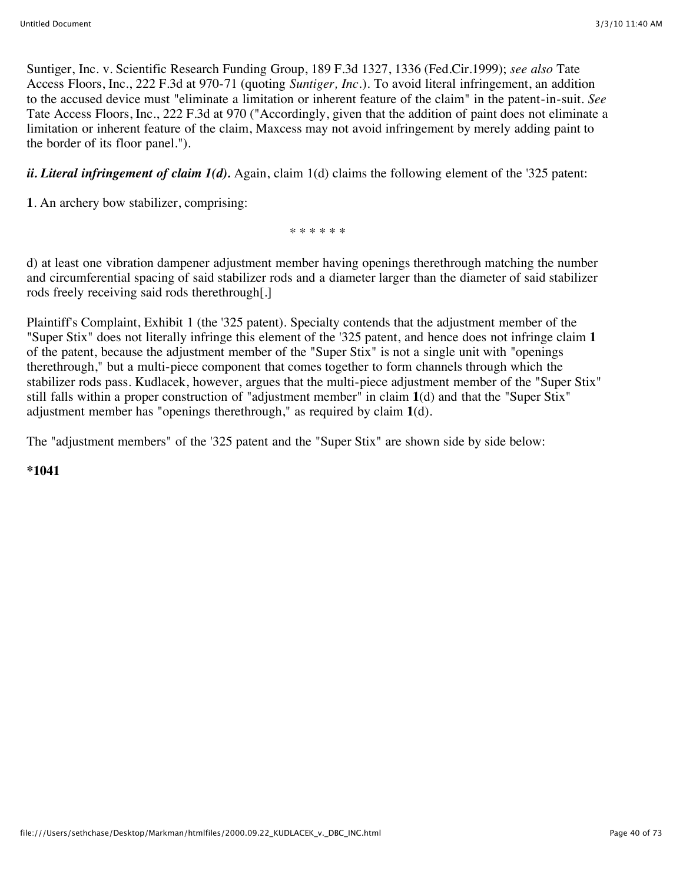Suntiger, Inc. v. Scientific Research Funding Group, 189 F.3d 1327, 1336 (Fed.Cir.1999); *see also* Tate Access Floors, Inc., 222 F.3d at 970-71 (quoting *Suntiger, Inc.*). To avoid literal infringement, an addition to the accused device must "eliminate a limitation or inherent feature of the claim" in the patent-in-suit. *See* Tate Access Floors, Inc., 222 F.3d at 970 ("Accordingly, given that the addition of paint does not eliminate a limitation or inherent feature of the claim, Maxcess may not avoid infringement by merely adding paint to the border of its floor panel.").

*ii. Literal infringement of claim*  $I(d)$ *.* Again, claim  $I(d)$  claims the following element of the '325 patent:

**1**. An archery bow stabilizer, comprising:

\* \* \* \* \* \*

d) at least one vibration dampener adjustment member having openings therethrough matching the number and circumferential spacing of said stabilizer rods and a diameter larger than the diameter of said stabilizer rods freely receiving said rods therethrough[.]

Plaintiff's Complaint, Exhibit 1 (the '325 patent). Specialty contends that the adjustment member of the "Super Stix" does not literally infringe this element of the '325 patent, and hence does not infringe claim **1** of the patent, because the adjustment member of the "Super Stix" is not a single unit with "openings therethrough," but a multi-piece component that comes together to form channels through which the stabilizer rods pass. Kudlacek, however, argues that the multi-piece adjustment member of the "Super Stix" still falls within a proper construction of "adjustment member" in claim **1**(d) and that the "Super Stix" adjustment member has "openings therethrough," as required by claim **1**(d).

The "adjustment members" of the '325 patent and the "Super Stix" are shown side by side below:

#### **\*1041**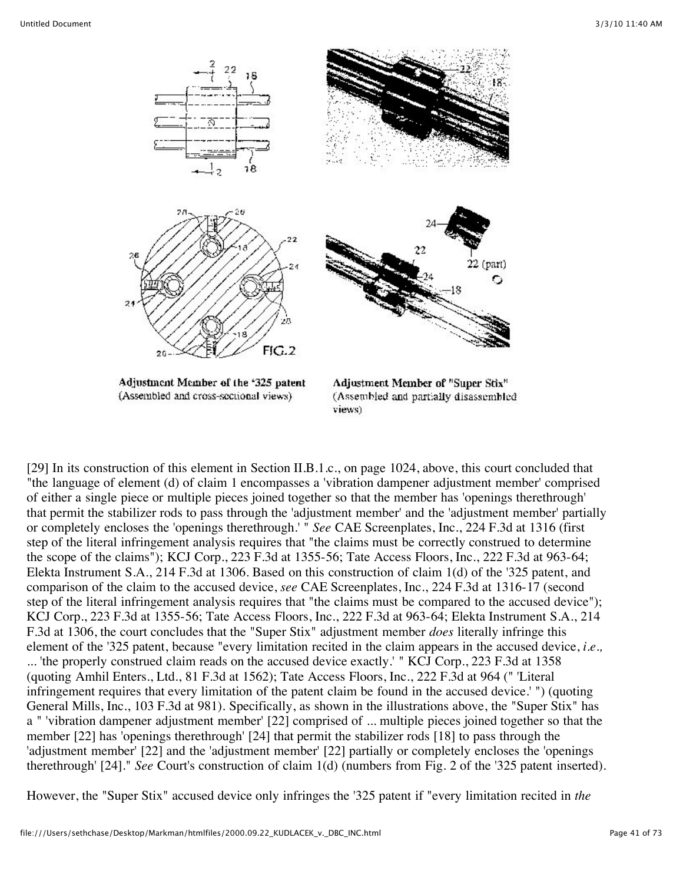

[29] In its construction of this element in Section II.B.1.c., on page 1024, above, this court concluded that "the language of element (d) of claim 1 encompasses a 'vibration dampener adjustment member' comprised of either a single piece or multiple pieces joined together so that the member has 'openings therethrough' that permit the stabilizer rods to pass through the 'adjustment member' and the 'adjustment member' partially or completely encloses the 'openings therethrough.' " *See* CAE Screenplates, Inc., 224 F.3d at 1316 (first step of the literal infringement analysis requires that "the claims must be correctly construed to determine the scope of the claims"); KCJ Corp., 223 F.3d at 1355-56; Tate Access Floors, Inc., 222 F.3d at 963-64; Elekta Instrument S.A., 214 F.3d at 1306. Based on this construction of claim 1(d) of the '325 patent, and comparison of the claim to the accused device, *see* CAE Screenplates, Inc., 224 F.3d at 1316-17 (second step of the literal infringement analysis requires that "the claims must be compared to the accused device"); KCJ Corp., 223 F.3d at 1355-56; Tate Access Floors, Inc., 222 F.3d at 963-64; Elekta Instrument S.A., 214 F.3d at 1306, the court concludes that the "Super Stix" adjustment member *does* literally infringe this element of the '325 patent, because "every limitation recited in the claim appears in the accused device, *i.e.,* ... 'the properly construed claim reads on the accused device exactly.' " KCJ Corp., 223 F.3d at 1358 (quoting Amhil Enters., Ltd., 81 F.3d at 1562); Tate Access Floors, Inc., 222 F.3d at 964 (" 'Literal infringement requires that every limitation of the patent claim be found in the accused device.' ") (quoting General Mills, Inc., 103 F.3d at 981). Specifically, as shown in the illustrations above, the "Super Stix" has a " 'vibration dampener adjustment member' [22] comprised of ... multiple pieces joined together so that the member [22] has 'openings therethrough' [24] that permit the stabilizer rods [18] to pass through the 'adjustment member' [22] and the 'adjustment member' [22] partially or completely encloses the 'openings therethrough' [24]." *See* Court's construction of claim 1(d) (numbers from Fig. 2 of the '325 patent inserted).

However, the "Super Stix" accused device only infringes the '325 patent if "every limitation recited in *the*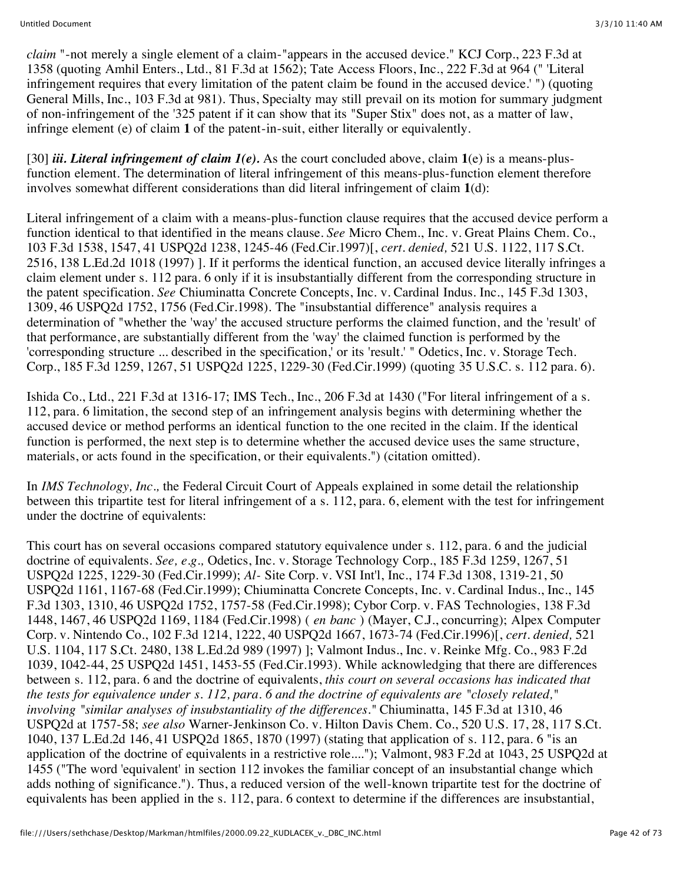*claim* "-not merely a single element of a claim-"appears in the accused device." KCJ Corp., 223 F.3d at 1358 (quoting Amhil Enters., Ltd., 81 F.3d at 1562); Tate Access Floors, Inc., 222 F.3d at 964 (" 'Literal infringement requires that every limitation of the patent claim be found in the accused device.' ") (quoting General Mills, Inc., 103 F.3d at 981). Thus, Specialty may still prevail on its motion for summary judgment of non-infringement of the '325 patent if it can show that its "Super Stix" does not, as a matter of law, infringe element (e) of claim **1** of the patent-in-suit, either literally or equivalently.

[30] *iii. Literal infringement of claim 1(e).* As the court concluded above, claim **1**(e) is a means-plusfunction element. The determination of literal infringement of this means-plus-function element therefore involves somewhat different considerations than did literal infringement of claim **1**(d):

Literal infringement of a claim with a means-plus-function clause requires that the accused device perform a function identical to that identified in the means clause. *See* Micro Chem., Inc. v. Great Plains Chem. Co., 103 F.3d 1538, 1547, 41 USPQ2d 1238, 1245-46 (Fed.Cir.1997)[, *cert. denied,* 521 U.S. 1122, 117 S.Ct. 2516, 138 L.Ed.2d 1018 (1997) ]. If it performs the identical function, an accused device literally infringes a claim element under s. 112 para. 6 only if it is insubstantially different from the corresponding structure in the patent specification. *See* Chiuminatta Concrete Concepts, Inc. v. Cardinal Indus. Inc., 145 F.3d 1303, 1309, 46 USPQ2d 1752, 1756 (Fed.Cir.1998). The "insubstantial difference" analysis requires a determination of "whether the 'way' the accused structure performs the claimed function, and the 'result' of that performance, are substantially different from the 'way' the claimed function is performed by the 'corresponding structure ... described in the specification,' or its 'result.' " Odetics, Inc. v. Storage Tech. Corp., 185 F.3d 1259, 1267, 51 USPQ2d 1225, 1229-30 (Fed.Cir.1999) (quoting 35 U.S.C. s. 112 para. 6).

Ishida Co., Ltd., 221 F.3d at 1316-17; IMS Tech., Inc., 206 F.3d at 1430 ("For literal infringement of a s. 112, para. 6 limitation, the second step of an infringement analysis begins with determining whether the accused device or method performs an identical function to the one recited in the claim. If the identical function is performed, the next step is to determine whether the accused device uses the same structure, materials, or acts found in the specification, or their equivalents.") (citation omitted).

In *IMS Technology, Inc.,* the Federal Circuit Court of Appeals explained in some detail the relationship between this tripartite test for literal infringement of a s. 112, para. 6, element with the test for infringement under the doctrine of equivalents:

This court has on several occasions compared statutory equivalence under s. 112, para. 6 and the judicial doctrine of equivalents. *See, e.g.,* Odetics, Inc. v. Storage Technology Corp., 185 F.3d 1259, 1267, 51 USPQ2d 1225, 1229-30 (Fed.Cir.1999); *Al-* Site Corp. v. VSI Int'l, Inc., 174 F.3d 1308, 1319-21, 50 USPQ2d 1161, 1167-68 (Fed.Cir.1999); Chiuminatta Concrete Concepts, Inc. v. Cardinal Indus., Inc., 145 F.3d 1303, 1310, 46 USPQ2d 1752, 1757-58 (Fed.Cir.1998); Cybor Corp. v. FAS Technologies, 138 F.3d 1448, 1467, 46 USPQ2d 1169, 1184 (Fed.Cir.1998) ( *en banc* ) (Mayer, C.J., concurring); Alpex Computer Corp. v. Nintendo Co., 102 F.3d 1214, 1222, 40 USPQ2d 1667, 1673-74 (Fed.Cir.1996)[, *cert. denied,* 521 U.S. 1104, 117 S.Ct. 2480, 138 L.Ed.2d 989 (1997) ]; Valmont Indus., Inc. v. Reinke Mfg. Co., 983 F.2d 1039, 1042-44, 25 USPQ2d 1451, 1453-55 (Fed.Cir.1993). While acknowledging that there are differences between s. 112, para. 6 and the doctrine of equivalents, *this court on several occasions has indicated that the tests for equivalence under s. 112, para. 6 and the doctrine of equivalents are "closely related," involving "similar analyses of insubstantiality of the differences."* Chiuminatta, 145 F.3d at 1310, 46 USPQ2d at 1757-58; *see also* Warner-Jenkinson Co. v. Hilton Davis Chem. Co., 520 U.S. 17, 28, 117 S.Ct. 1040, 137 L.Ed.2d 146, 41 USPQ2d 1865, 1870 (1997) (stating that application of s. 112, para. 6 "is an application of the doctrine of equivalents in a restrictive role...."); Valmont, 983 F.2d at 1043, 25 USPQ2d at 1455 ("The word 'equivalent' in section 112 invokes the familiar concept of an insubstantial change which adds nothing of significance."). Thus, a reduced version of the well-known tripartite test for the doctrine of equivalents has been applied in the s. 112, para. 6 context to determine if the differences are insubstantial,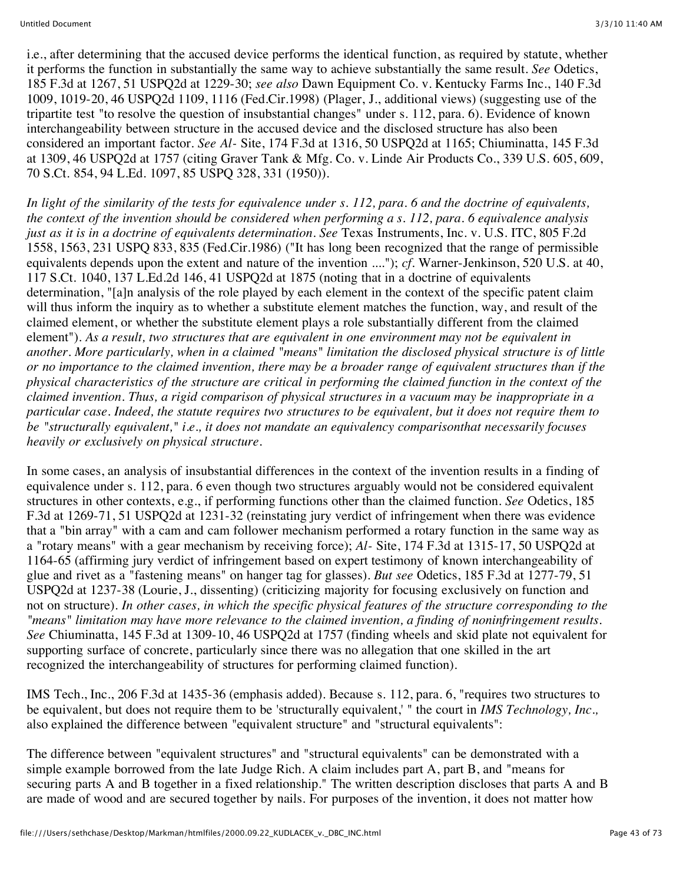i.e., after determining that the accused device performs the identical function, as required by statute, whether it performs the function in substantially the same way to achieve substantially the same result. *See* Odetics, 185 F.3d at 1267, 51 USPQ2d at 1229-30; *see also* Dawn Equipment Co. v. Kentucky Farms Inc., 140 F.3d 1009, 1019-20, 46 USPQ2d 1109, 1116 (Fed.Cir.1998) (Plager, J., additional views) (suggesting use of the tripartite test "to resolve the question of insubstantial changes" under s. 112, para. 6). Evidence of known interchangeability between structure in the accused device and the disclosed structure has also been considered an important factor. *See Al-* Site, 174 F.3d at 1316, 50 USPQ2d at 1165; Chiuminatta, 145 F.3d at 1309, 46 USPQ2d at 1757 (citing Graver Tank & Mfg. Co. v. Linde Air Products Co., 339 U.S. 605, 609, 70 S.Ct. 854, 94 L.Ed. 1097, 85 USPQ 328, 331 (1950)).

*In light of the similarity of the tests for equivalence under s. 112, para. 6 and the doctrine of equivalents, the context of the invention should be considered when performing a s. 112, para. 6 equivalence analysis just as it is in a doctrine of equivalents determination. See Texas Instruments, Inc. v. U.S. ITC, 805 F.2d* 1558, 1563, 231 USPQ 833, 835 (Fed.Cir.1986) ("It has long been recognized that the range of permissible equivalents depends upon the extent and nature of the invention ...."); *cf.* Warner-Jenkinson, 520 U.S. at 40, 117 S.Ct. 1040, 137 L.Ed.2d 146, 41 USPQ2d at 1875 (noting that in a doctrine of equivalents determination, "[a]n analysis of the role played by each element in the context of the specific patent claim will thus inform the inquiry as to whether a substitute element matches the function, way, and result of the claimed element, or whether the substitute element plays a role substantially different from the claimed element"). *As a result, two structures that are equivalent in one environment may not be equivalent in another. More particularly, when in a claimed "means" limitation the disclosed physical structure is of little or no importance to the claimed invention, there may be a broader range of equivalent structures than if the physical characteristics of the structure are critical in performing the claimed function in the context of the claimed invention. Thus, a rigid comparison of physical structures in a vacuum may be inappropriate in a particular case. Indeed, the statute requires two structures to be equivalent, but it does not require them to be "structurally equivalent," i.e., it does not mandate an equivalency comparisonthat necessarily focuses heavily or exclusively on physical structure.*

In some cases, an analysis of insubstantial differences in the context of the invention results in a finding of equivalence under s. 112, para. 6 even though two structures arguably would not be considered equivalent structures in other contexts, e.g., if performing functions other than the claimed function. *See* Odetics, 185 F.3d at 1269-71, 51 USPQ2d at 1231-32 (reinstating jury verdict of infringement when there was evidence that a "bin array" with a cam and cam follower mechanism performed a rotary function in the same way as a "rotary means" with a gear mechanism by receiving force); *Al-* Site, 174 F.3d at 1315-17, 50 USPQ2d at 1164-65 (affirming jury verdict of infringement based on expert testimony of known interchangeability of glue and rivet as a "fastening means" on hanger tag for glasses). *But see* Odetics, 185 F.3d at 1277-79, 51 USPQ2d at 1237-38 (Lourie, J., dissenting) (criticizing majority for focusing exclusively on function and not on structure). *In other cases, in which the specific physical features of the structure corresponding to the "means" limitation may have more relevance to the claimed invention, a finding of noninfringement results. See* Chiuminatta, 145 F.3d at 1309-10, 46 USPQ2d at 1757 (finding wheels and skid plate not equivalent for supporting surface of concrete, particularly since there was no allegation that one skilled in the art recognized the interchangeability of structures for performing claimed function).

IMS Tech., Inc., 206 F.3d at 1435-36 (emphasis added). Because s. 112, para. 6, "requires two structures to be equivalent, but does not require them to be 'structurally equivalent,' " the court in *IMS Technology, Inc.,* also explained the difference between "equivalent structure" and "structural equivalents":

The difference between "equivalent structures" and "structural equivalents" can be demonstrated with a simple example borrowed from the late Judge Rich. A claim includes part A, part B, and "means for securing parts A and B together in a fixed relationship." The written description discloses that parts A and B are made of wood and are secured together by nails. For purposes of the invention, it does not matter how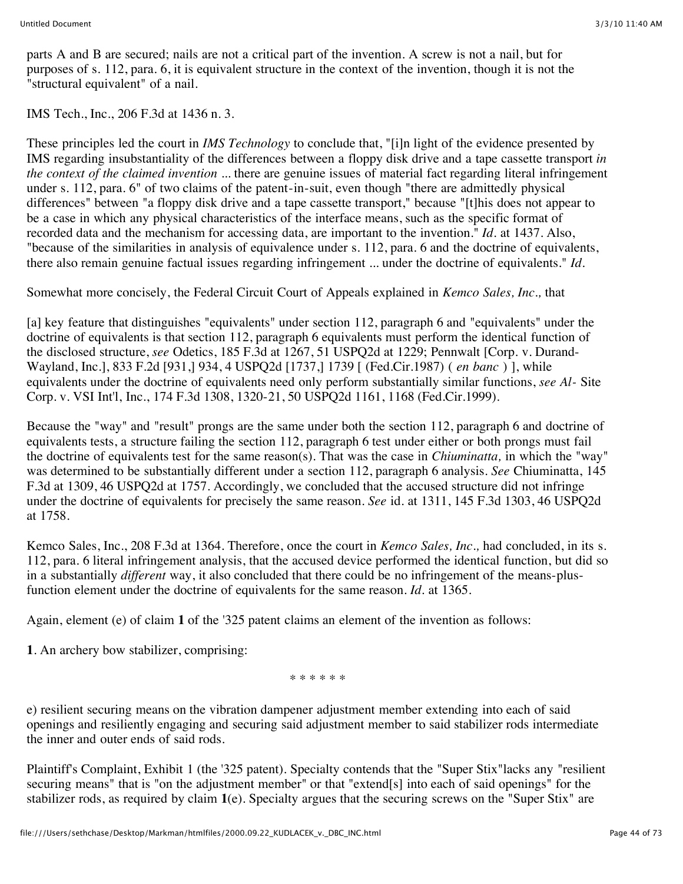parts A and B are secured; nails are not a critical part of the invention. A screw is not a nail, but for purposes of s. 112, para. 6, it is equivalent structure in the context of the invention, though it is not the "structural equivalent" of a nail.

IMS Tech., Inc., 206 F.3d at 1436 n. 3.

These principles led the court in *IMS Technology* to conclude that, "[i]n light of the evidence presented by IMS regarding insubstantiality of the differences between a floppy disk drive and a tape cassette transport *in the context of the claimed invention* ... there are genuine issues of material fact regarding literal infringement under s. 112, para. 6" of two claims of the patent-in-suit, even though "there are admittedly physical differences" between "a floppy disk drive and a tape cassette transport," because "[t]his does not appear to be a case in which any physical characteristics of the interface means, such as the specific format of recorded data and the mechanism for accessing data, are important to the invention." *Id.* at 1437. Also, "because of the similarities in analysis of equivalence under s. 112, para. 6 and the doctrine of equivalents, there also remain genuine factual issues regarding infringement ... under the doctrine of equivalents." *Id.*

Somewhat more concisely, the Federal Circuit Court of Appeals explained in *Kemco Sales, Inc.,* that

[a] key feature that distinguishes "equivalents" under section 112, paragraph 6 and "equivalents" under the doctrine of equivalents is that section 112, paragraph 6 equivalents must perform the identical function of the disclosed structure, *see* Odetics, 185 F.3d at 1267, 51 USPQ2d at 1229; Pennwalt [Corp. v. Durand-Wayland, Inc.], 833 F.2d [931,] 934, 4 USPQ2d [1737,] 1739 [ (Fed.Cir.1987) ( *en banc* ) ], while equivalents under the doctrine of equivalents need only perform substantially similar functions, *see Al-* Site Corp. v. VSI Int'l, Inc., 174 F.3d 1308, 1320-21, 50 USPQ2d 1161, 1168 (Fed.Cir.1999).

Because the "way" and "result" prongs are the same under both the section 112, paragraph 6 and doctrine of equivalents tests, a structure failing the section 112, paragraph 6 test under either or both prongs must fail the doctrine of equivalents test for the same reason(s). That was the case in *Chiuminatta,* in which the "way" was determined to be substantially different under a section 112, paragraph 6 analysis. *See* Chiuminatta, 145 F.3d at 1309, 46 USPQ2d at 1757. Accordingly, we concluded that the accused structure did not infringe under the doctrine of equivalents for precisely the same reason. *See* id. at 1311, 145 F.3d 1303, 46 USPQ2d at 1758.

Kemco Sales, Inc., 208 F.3d at 1364. Therefore, once the court in *Kemco Sales, Inc.,* had concluded, in its s. 112, para. 6 literal infringement analysis, that the accused device performed the identical function, but did so in a substantially *different* way, it also concluded that there could be no infringement of the means-plusfunction element under the doctrine of equivalents for the same reason. *Id.* at 1365.

Again, element (e) of claim **1** of the '325 patent claims an element of the invention as follows:

**1**. An archery bow stabilizer, comprising:

\* \* \* \* \* \*

e) resilient securing means on the vibration dampener adjustment member extending into each of said openings and resiliently engaging and securing said adjustment member to said stabilizer rods intermediate the inner and outer ends of said rods.

Plaintiff's Complaint, Exhibit 1 (the '325 patent). Specialty contends that the "Super Stix"lacks any "resilient securing means" that is "on the adjustment member" or that "extend[s] into each of said openings" for the stabilizer rods, as required by claim **1**(e). Specialty argues that the securing screws on the "Super Stix" are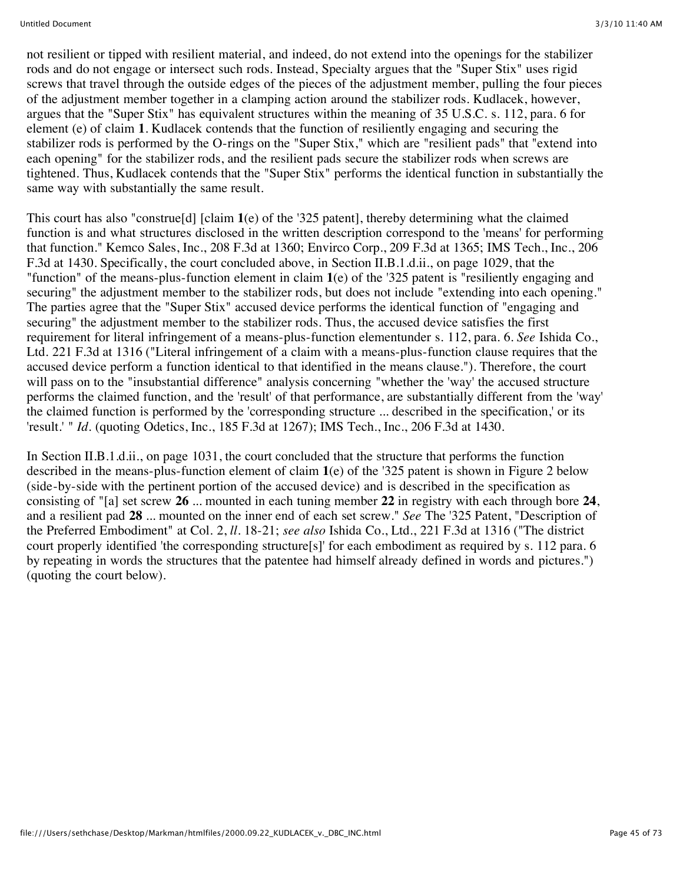not resilient or tipped with resilient material, and indeed, do not extend into the openings for the stabilizer rods and do not engage or intersect such rods. Instead, Specialty argues that the "Super Stix" uses rigid screws that travel through the outside edges of the pieces of the adjustment member, pulling the four pieces of the adjustment member together in a clamping action around the stabilizer rods. Kudlacek, however, argues that the "Super Stix" has equivalent structures within the meaning of 35 U.S.C. s. 112, para. 6 for element (e) of claim **1**. Kudlacek contends that the function of resiliently engaging and securing the stabilizer rods is performed by the O-rings on the "Super Stix," which are "resilient pads" that "extend into each opening" for the stabilizer rods, and the resilient pads secure the stabilizer rods when screws are tightened. Thus, Kudlacek contends that the "Super Stix" performs the identical function in substantially the same way with substantially the same result.

This court has also "construe[d] [claim **1**(e) of the '325 patent], thereby determining what the claimed function is and what structures disclosed in the written description correspond to the 'means' for performing that function." Kemco Sales, Inc., 208 F.3d at 1360; Envirco Corp., 209 F.3d at 1365; IMS Tech., Inc., 206 F.3d at 1430. Specifically, the court concluded above, in Section II.B.1.d.ii., on page 1029, that the "function" of the means-plus-function element in claim **1**(e) of the '325 patent is "resiliently engaging and securing" the adjustment member to the stabilizer rods, but does not include "extending into each opening." The parties agree that the "Super Stix" accused device performs the identical function of "engaging and securing" the adjustment member to the stabilizer rods. Thus, the accused device satisfies the first requirement for literal infringement of a means-plus-function elementunder s. 112, para. 6. *See* Ishida Co., Ltd. 221 F.3d at 1316 ("Literal infringement of a claim with a means-plus-function clause requires that the accused device perform a function identical to that identified in the means clause."). Therefore, the court will pass on to the "insubstantial difference" analysis concerning "whether the 'way' the accused structure performs the claimed function, and the 'result' of that performance, are substantially different from the 'way' the claimed function is performed by the 'corresponding structure ... described in the specification,' or its 'result.' " *Id.* (quoting Odetics, Inc., 185 F.3d at 1267); IMS Tech., Inc., 206 F.3d at 1430.

In Section II.B.1.d.ii., on page 1031, the court concluded that the structure that performs the function described in the means-plus-function element of claim **1**(e) of the '325 patent is shown in Figure 2 below (side-by-side with the pertinent portion of the accused device) and is described in the specification as consisting of "[a] set screw **26** ... mounted in each tuning member **22** in registry with each through bore **24**, and a resilient pad **28** ... mounted on the inner end of each set screw." *See* The '325 Patent, "Description of the Preferred Embodiment" at Col. 2, *ll.* 18-21; *see also* Ishida Co., Ltd., 221 F.3d at 1316 ("The district court properly identified 'the corresponding structure[s]' for each embodiment as required by s. 112 para. 6 by repeating in words the structures that the patentee had himself already defined in words and pictures.") (quoting the court below).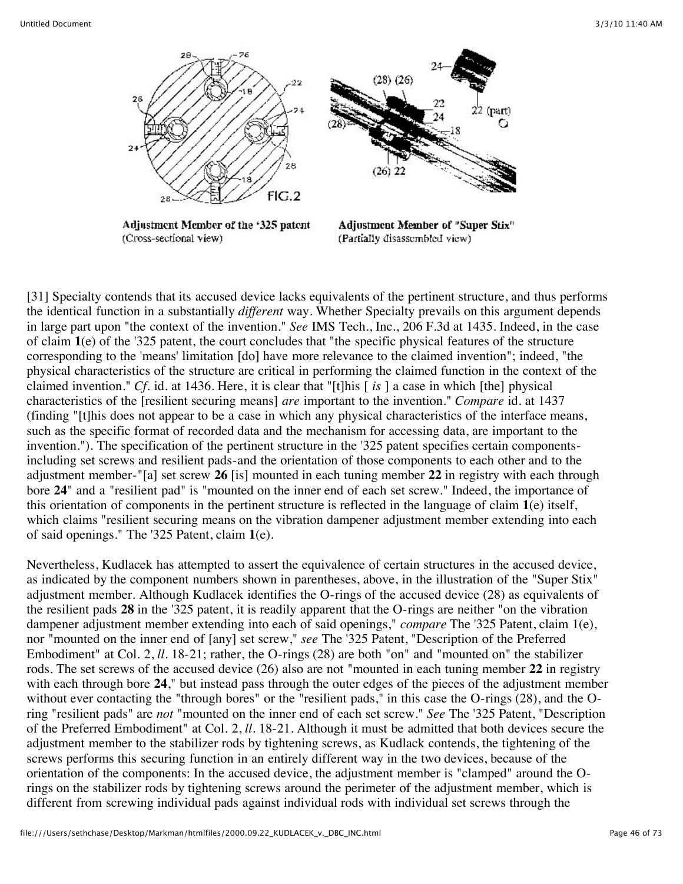

[31] Specialty contends that its accused device lacks equivalents of the pertinent structure, and thus performs the identical function in a substantially *different* way. Whether Specialty prevails on this argument depends in large part upon "the context of the invention." *See* IMS Tech., Inc., 206 F.3d at 1435. Indeed, in the case of claim **1**(e) of the '325 patent, the court concludes that "the specific physical features of the structure corresponding to the 'means' limitation [do] have more relevance to the claimed invention"; indeed, "the physical characteristics of the structure are critical in performing the claimed function in the context of the claimed invention." *Cf.* id. at 1436. Here, it is clear that "[t]his [ *is* ] a case in which [the] physical characteristics of the [resilient securing means] *are* important to the invention." *Compare* id. at 1437 (finding "[t]his does not appear to be a case in which any physical characteristics of the interface means, such as the specific format of recorded data and the mechanism for accessing data, are important to the invention."). The specification of the pertinent structure in the '325 patent specifies certain componentsincluding set screws and resilient pads-and the orientation of those components to each other and to the adjustment member-"[a] set screw **26** [is] mounted in each tuning member **22** in registry with each through bore **24**" and a "resilient pad" is "mounted on the inner end of each set screw." Indeed, the importance of this orientation of components in the pertinent structure is reflected in the language of claim **1**(e) itself, which claims "resilient securing means on the vibration dampener adjustment member extending into each of said openings." The '325 Patent, claim **1**(e).

Nevertheless, Kudlacek has attempted to assert the equivalence of certain structures in the accused device, as indicated by the component numbers shown in parentheses, above, in the illustration of the "Super Stix" adjustment member. Although Kudlacek identifies the O-rings of the accused device (28) as equivalents of the resilient pads **28** in the '325 patent, it is readily apparent that the O-rings are neither "on the vibration dampener adjustment member extending into each of said openings," *compare* The '325 Patent, claim 1(e), nor "mounted on the inner end of [any] set screw," *see* The '325 Patent, "Description of the Preferred Embodiment" at Col. 2, *ll.* 18-21; rather, the O-rings (28) are both "on" and "mounted on" the stabilizer rods. The set screws of the accused device (26) also are not "mounted in each tuning member **22** in registry with each through bore **24**," but instead pass through the outer edges of the pieces of the adjustment member without ever contacting the "through bores" or the "resilient pads," in this case the O-rings (28), and the Oring "resilient pads" are *not* "mounted on the inner end of each set screw." *See* The '325 Patent, "Description of the Preferred Embodiment" at Col. 2, *ll.* 18-21. Although it must be admitted that both devices secure the adjustment member to the stabilizer rods by tightening screws, as Kudlack contends, the tightening of the screws performs this securing function in an entirely different way in the two devices, because of the orientation of the components: In the accused device, the adjustment member is "clamped" around the Orings on the stabilizer rods by tightening screws around the perimeter of the adjustment member, which is different from screwing individual pads against individual rods with individual set screws through the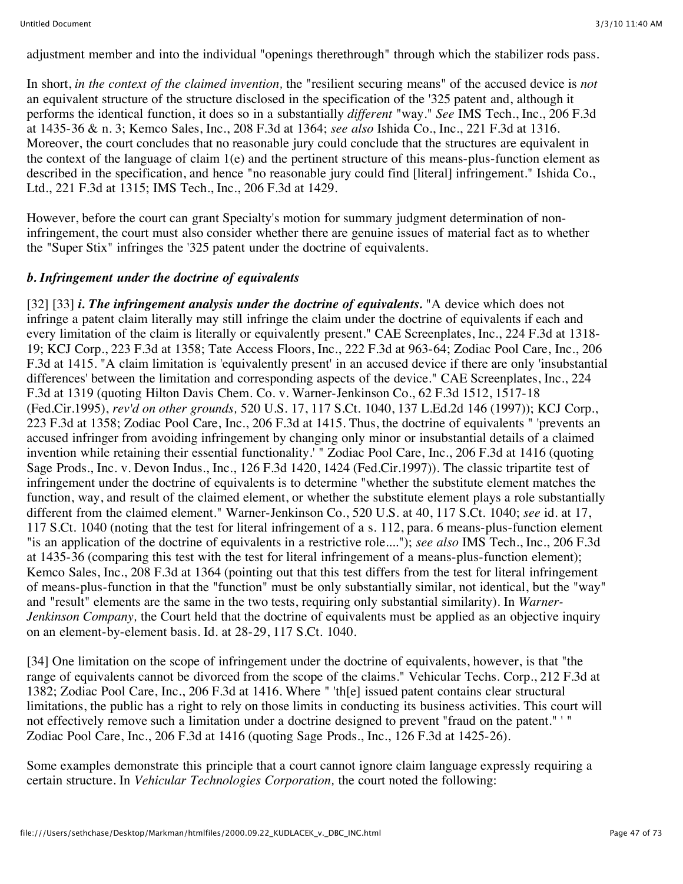adjustment member and into the individual "openings therethrough" through which the stabilizer rods pass.

In short, *in the context of the claimed invention,* the "resilient securing means" of the accused device is *not* an equivalent structure of the structure disclosed in the specification of the '325 patent and, although it performs the identical function, it does so in a substantially *different* "way." *See* IMS Tech., Inc., 206 F.3d at 1435-36 & n. 3; Kemco Sales, Inc., 208 F.3d at 1364; *see also* Ishida Co., Inc., 221 F.3d at 1316. Moreover, the court concludes that no reasonable jury could conclude that the structures are equivalent in the context of the language of claim 1(e) and the pertinent structure of this means-plus-function element as described in the specification, and hence "no reasonable jury could find [literal] infringement." Ishida Co., Ltd., 221 F.3d at 1315; IMS Tech., Inc., 206 F.3d at 1429.

However, before the court can grant Specialty's motion for summary judgment determination of noninfringement, the court must also consider whether there are genuine issues of material fact as to whether the "Super Stix" infringes the '325 patent under the doctrine of equivalents.

# *b. Infringement under the doctrine of equivalents*

[32] [33] *i. The infringement analysis under the doctrine of equivalents.* "A device which does not infringe a patent claim literally may still infringe the claim under the doctrine of equivalents if each and every limitation of the claim is literally or equivalently present." CAE Screenplates, Inc., 224 F.3d at 1318- 19; KCJ Corp., 223 F.3d at 1358; Tate Access Floors, Inc., 222 F.3d at 963-64; Zodiac Pool Care, Inc., 206 F.3d at 1415. "A claim limitation is 'equivalently present' in an accused device if there are only 'insubstantial differences' between the limitation and corresponding aspects of the device." CAE Screenplates, Inc., 224 F.3d at 1319 (quoting Hilton Davis Chem. Co. v. Warner-Jenkinson Co., 62 F.3d 1512, 1517-18 (Fed.Cir.1995), *rev'd on other grounds,* 520 U.S. 17, 117 S.Ct. 1040, 137 L.Ed.2d 146 (1997)); KCJ Corp., 223 F.3d at 1358; Zodiac Pool Care, Inc., 206 F.3d at 1415. Thus, the doctrine of equivalents " 'prevents an accused infringer from avoiding infringement by changing only minor or insubstantial details of a claimed invention while retaining their essential functionality.' " Zodiac Pool Care, Inc., 206 F.3d at 1416 (quoting Sage Prods., Inc. v. Devon Indus., Inc., 126 F.3d 1420, 1424 (Fed.Cir.1997)). The classic tripartite test of infringement under the doctrine of equivalents is to determine "whether the substitute element matches the function, way, and result of the claimed element, or whether the substitute element plays a role substantially different from the claimed element." Warner-Jenkinson Co., 520 U.S. at 40, 117 S.Ct. 1040; *see* id. at 17, 117 S.Ct. 1040 (noting that the test for literal infringement of a s. 112, para. 6 means-plus-function element "is an application of the doctrine of equivalents in a restrictive role...."); *see also* IMS Tech., Inc., 206 F.3d at 1435-36 (comparing this test with the test for literal infringement of a means-plus-function element); Kemco Sales, Inc., 208 F.3d at 1364 (pointing out that this test differs from the test for literal infringement of means-plus-function in that the "function" must be only substantially similar, not identical, but the "way" and "result" elements are the same in the two tests, requiring only substantial similarity). In *Warner-Jenkinson Company,* the Court held that the doctrine of equivalents must be applied as an objective inquiry on an element-by-element basis. Id. at 28-29, 117 S.Ct. 1040.

[34] One limitation on the scope of infringement under the doctrine of equivalents, however, is that "the range of equivalents cannot be divorced from the scope of the claims." Vehicular Techs. Corp., 212 F.3d at 1382; Zodiac Pool Care, Inc., 206 F.3d at 1416. Where " 'th[e] issued patent contains clear structural limitations, the public has a right to rely on those limits in conducting its business activities. This court will not effectively remove such a limitation under a doctrine designed to prevent "fraud on the patent." ' " Zodiac Pool Care, Inc., 206 F.3d at 1416 (quoting Sage Prods., Inc., 126 F.3d at 1425-26).

Some examples demonstrate this principle that a court cannot ignore claim language expressly requiring a certain structure. In *Vehicular Technologies Corporation,* the court noted the following: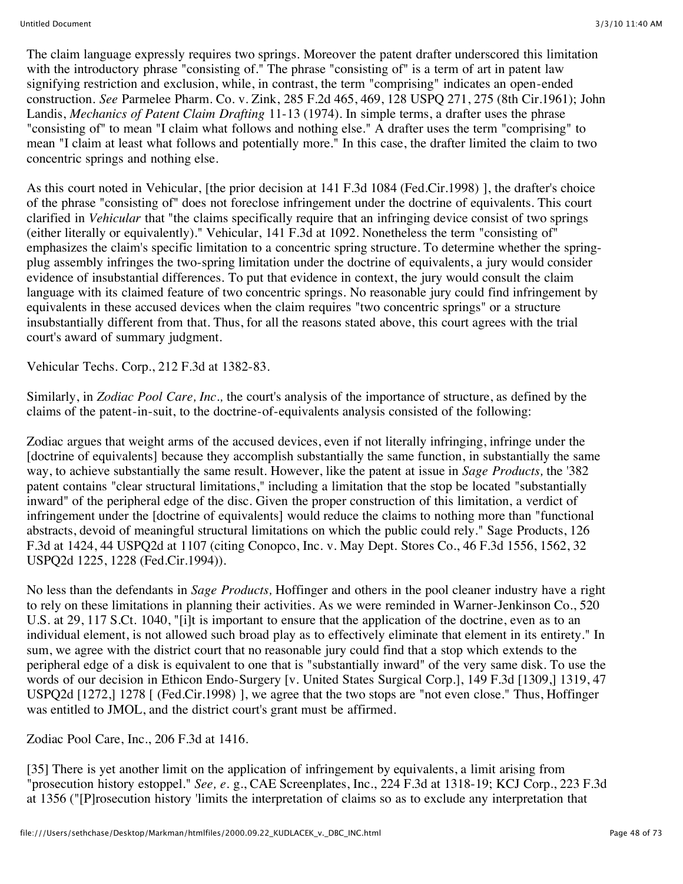The claim language expressly requires two springs. Moreover the patent drafter underscored this limitation with the introductory phrase "consisting of." The phrase "consisting of" is a term of art in patent law signifying restriction and exclusion, while, in contrast, the term "comprising" indicates an open-ended construction. *See* Parmelee Pharm. Co. v. Zink, 285 F.2d 465, 469, 128 USPQ 271, 275 (8th Cir.1961); John Landis, *Mechanics of Patent Claim Drafting* 11-13 (1974). In simple terms, a drafter uses the phrase "consisting of" to mean "I claim what follows and nothing else." A drafter uses the term "comprising" to mean "I claim at least what follows and potentially more." In this case, the drafter limited the claim to two concentric springs and nothing else.

As this court noted in Vehicular, [the prior decision at 141 F.3d 1084 (Fed.Cir.1998) ], the drafter's choice of the phrase "consisting of" does not foreclose infringement under the doctrine of equivalents. This court clarified in *Vehicular* that "the claims specifically require that an infringing device consist of two springs (either literally or equivalently)." Vehicular, 141 F.3d at 1092. Nonetheless the term "consisting of" emphasizes the claim's specific limitation to a concentric spring structure. To determine whether the springplug assembly infringes the two-spring limitation under the doctrine of equivalents, a jury would consider evidence of insubstantial differences. To put that evidence in context, the jury would consult the claim language with its claimed feature of two concentric springs. No reasonable jury could find infringement by equivalents in these accused devices when the claim requires "two concentric springs" or a structure insubstantially different from that. Thus, for all the reasons stated above, this court agrees with the trial court's award of summary judgment.

Vehicular Techs. Corp., 212 F.3d at 1382-83.

Similarly, in *Zodiac Pool Care, Inc.,* the court's analysis of the importance of structure, as defined by the claims of the patent-in-suit, to the doctrine-of-equivalents analysis consisted of the following:

Zodiac argues that weight arms of the accused devices, even if not literally infringing, infringe under the [doctrine of equivalents] because they accomplish substantially the same function, in substantially the same way, to achieve substantially the same result. However, like the patent at issue in *Sage Products,* the '382 patent contains "clear structural limitations," including a limitation that the stop be located "substantially inward" of the peripheral edge of the disc. Given the proper construction of this limitation, a verdict of infringement under the [doctrine of equivalents] would reduce the claims to nothing more than "functional abstracts, devoid of meaningful structural limitations on which the public could rely." Sage Products, 126 F.3d at 1424, 44 USPQ2d at 1107 (citing Conopco, Inc. v. May Dept. Stores Co., 46 F.3d 1556, 1562, 32 USPQ2d 1225, 1228 (Fed.Cir.1994)).

No less than the defendants in *Sage Products,* Hoffinger and others in the pool cleaner industry have a right to rely on these limitations in planning their activities. As we were reminded in Warner-Jenkinson Co., 520 U.S. at 29, 117 S.Ct. 1040, "[i]t is important to ensure that the application of the doctrine, even as to an individual element, is not allowed such broad play as to effectively eliminate that element in its entirety." In sum, we agree with the district court that no reasonable jury could find that a stop which extends to the peripheral edge of a disk is equivalent to one that is "substantially inward" of the very same disk. To use the words of our decision in Ethicon Endo-Surgery [v. United States Surgical Corp.], 149 F.3d [1309,] 1319, 47 USPQ2d [1272,] 1278 [ (Fed.Cir.1998) ], we agree that the two stops are "not even close." Thus, Hoffinger was entitled to JMOL, and the district court's grant must be affirmed.

Zodiac Pool Care, Inc., 206 F.3d at 1416.

[35] There is yet another limit on the application of infringement by equivalents, a limit arising from "prosecution history estoppel." *See, e. g., CAE Screenplates, Inc., 224 F.3d at 1318-19; KCJ Corp., 223 F.3d* at 1356 ("[P]rosecution history 'limits the interpretation of claims so as to exclude any interpretation that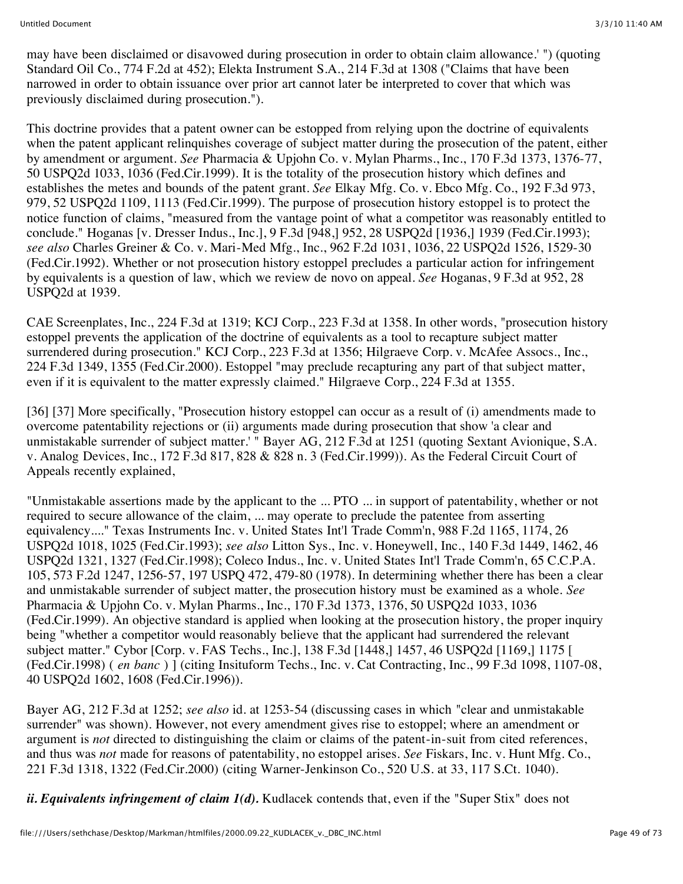may have been disclaimed or disavowed during prosecution in order to obtain claim allowance.' ") (quoting Standard Oil Co., 774 F.2d at 452); Elekta Instrument S.A., 214 F.3d at 1308 ("Claims that have been narrowed in order to obtain issuance over prior art cannot later be interpreted to cover that which was previously disclaimed during prosecution.").

This doctrine provides that a patent owner can be estopped from relying upon the doctrine of equivalents when the patent applicant relinquishes coverage of subject matter during the prosecution of the patent, either by amendment or argument. *See* Pharmacia & Upjohn Co. v. Mylan Pharms., Inc., 170 F.3d 1373, 1376-77, 50 USPQ2d 1033, 1036 (Fed.Cir.1999). It is the totality of the prosecution history which defines and establishes the metes and bounds of the patent grant. *See* Elkay Mfg. Co. v. Ebco Mfg. Co., 192 F.3d 973, 979, 52 USPQ2d 1109, 1113 (Fed.Cir.1999). The purpose of prosecution history estoppel is to protect the notice function of claims, "measured from the vantage point of what a competitor was reasonably entitled to conclude." Hoganas [v. Dresser Indus., Inc.], 9 F.3d [948,] 952, 28 USPQ2d [1936,] 1939 (Fed.Cir.1993); *see also* Charles Greiner & Co. v. Mari-Med Mfg., Inc., 962 F.2d 1031, 1036, 22 USPQ2d 1526, 1529-30 (Fed.Cir.1992). Whether or not prosecution history estoppel precludes a particular action for infringement by equivalents is a question of law, which we review de novo on appeal. *See* Hoganas, 9 F.3d at 952, 28 USPQ2d at 1939.

CAE Screenplates, Inc., 224 F.3d at 1319; KCJ Corp., 223 F.3d at 1358. In other words, "prosecution history estoppel prevents the application of the doctrine of equivalents as a tool to recapture subject matter surrendered during prosecution." KCJ Corp., 223 F.3d at 1356; Hilgraeve Corp. v. McAfee Assocs., Inc., 224 F.3d 1349, 1355 (Fed.Cir.2000). Estoppel "may preclude recapturing any part of that subject matter, even if it is equivalent to the matter expressly claimed." Hilgraeve Corp., 224 F.3d at 1355.

[36] [37] More specifically, "Prosecution history estoppel can occur as a result of (i) amendments made to overcome patentability rejections or (ii) arguments made during prosecution that show 'a clear and unmistakable surrender of subject matter.' " Bayer AG, 212 F.3d at 1251 (quoting Sextant Avionique, S.A. v. Analog Devices, Inc., 172 F.3d 817, 828 & 828 n. 3 (Fed.Cir.1999)). As the Federal Circuit Court of Appeals recently explained,

"Unmistakable assertions made by the applicant to the ... PTO ... in support of patentability, whether or not required to secure allowance of the claim, ... may operate to preclude the patentee from asserting equivalency...." Texas Instruments Inc. v. United States Int'l Trade Comm'n, 988 F.2d 1165, 1174, 26 USPQ2d 1018, 1025 (Fed.Cir.1993); *see also* Litton Sys., Inc. v. Honeywell, Inc., 140 F.3d 1449, 1462, 46 USPQ2d 1321, 1327 (Fed.Cir.1998); Coleco Indus., Inc. v. United States Int'l Trade Comm'n, 65 C.C.P.A. 105, 573 F.2d 1247, 1256-57, 197 USPQ 472, 479-80 (1978). In determining whether there has been a clear and unmistakable surrender of subject matter, the prosecution history must be examined as a whole. *See* Pharmacia & Upjohn Co. v. Mylan Pharms., Inc., 170 F.3d 1373, 1376, 50 USPQ2d 1033, 1036 (Fed.Cir.1999). An objective standard is applied when looking at the prosecution history, the proper inquiry being "whether a competitor would reasonably believe that the applicant had surrendered the relevant subject matter." Cybor [Corp. v. FAS Techs., Inc.], 138 F.3d [1448,] 1457, 46 USPQ2d [1169,] 1175 [ (Fed.Cir.1998) ( *en banc* ) ] (citing Insituform Techs., Inc. v. Cat Contracting, Inc., 99 F.3d 1098, 1107-08, 40 USPQ2d 1602, 1608 (Fed.Cir.1996)).

Bayer AG, 212 F.3d at 1252; *see also* id. at 1253-54 (discussing cases in which "clear and unmistakable surrender" was shown). However, not every amendment gives rise to estoppel; where an amendment or argument is *not* directed to distinguishing the claim or claims of the patent-in-suit from cited references, and thus was *not* made for reasons of patentability, no estoppel arises. *See* Fiskars, Inc. v. Hunt Mfg. Co., 221 F.3d 1318, 1322 (Fed.Cir.2000) (citing Warner-Jenkinson Co., 520 U.S. at 33, 117 S.Ct. 1040).

*ii. Equivalents infringement of claim 1(d).* Kudlacek contends that, even if the "Super Stix" does not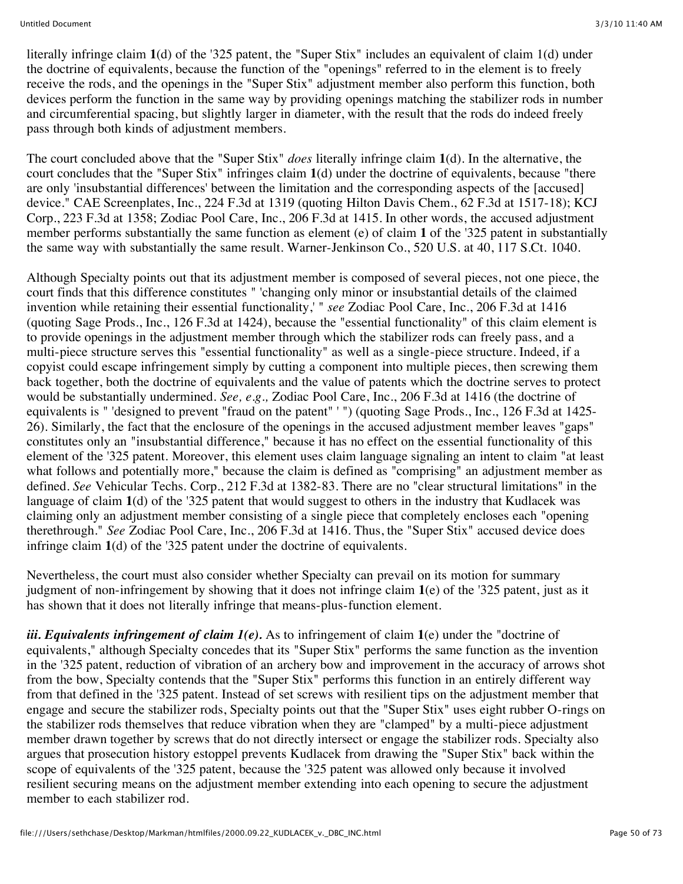literally infringe claim **1**(d) of the '325 patent, the "Super Stix" includes an equivalent of claim 1(d) under the doctrine of equivalents, because the function of the "openings" referred to in the element is to freely receive the rods, and the openings in the "Super Stix" adjustment member also perform this function, both devices perform the function in the same way by providing openings matching the stabilizer rods in number and circumferential spacing, but slightly larger in diameter, with the result that the rods do indeed freely pass through both kinds of adjustment members.

The court concluded above that the "Super Stix" *does* literally infringe claim **1**(d). In the alternative, the court concludes that the "Super Stix" infringes claim **1**(d) under the doctrine of equivalents, because "there are only 'insubstantial differences' between the limitation and the corresponding aspects of the [accused] device." CAE Screenplates, Inc., 224 F.3d at 1319 (quoting Hilton Davis Chem., 62 F.3d at 1517-18); KCJ Corp., 223 F.3d at 1358; Zodiac Pool Care, Inc., 206 F.3d at 1415. In other words, the accused adjustment member performs substantially the same function as element (e) of claim **1** of the '325 patent in substantially the same way with substantially the same result. Warner-Jenkinson Co., 520 U.S. at 40, 117 S.Ct. 1040.

Although Specialty points out that its adjustment member is composed of several pieces, not one piece, the court finds that this difference constitutes " 'changing only minor or insubstantial details of the claimed invention while retaining their essential functionality,' " *see* Zodiac Pool Care, Inc., 206 F.3d at 1416 (quoting Sage Prods., Inc., 126 F.3d at 1424), because the "essential functionality" of this claim element is to provide openings in the adjustment member through which the stabilizer rods can freely pass, and a multi-piece structure serves this "essential functionality" as well as a single-piece structure. Indeed, if a copyist could escape infringement simply by cutting a component into multiple pieces, then screwing them back together, both the doctrine of equivalents and the value of patents which the doctrine serves to protect would be substantially undermined. *See, e.g.,* Zodiac Pool Care, Inc., 206 F.3d at 1416 (the doctrine of equivalents is " 'designed to prevent "fraud on the patent" ' ") (quoting Sage Prods., Inc., 126 F.3d at 1425- 26). Similarly, the fact that the enclosure of the openings in the accused adjustment member leaves "gaps" constitutes only an "insubstantial difference," because it has no effect on the essential functionality of this element of the '325 patent. Moreover, this element uses claim language signaling an intent to claim "at least what follows and potentially more," because the claim is defined as "comprising" an adjustment member as defined. *See* Vehicular Techs. Corp., 212 F.3d at 1382-83. There are no "clear structural limitations" in the language of claim **1**(d) of the '325 patent that would suggest to others in the industry that Kudlacek was claiming only an adjustment member consisting of a single piece that completely encloses each "opening therethrough." *See* Zodiac Pool Care, Inc., 206 F.3d at 1416. Thus, the "Super Stix" accused device does infringe claim **1**(d) of the '325 patent under the doctrine of equivalents.

Nevertheless, the court must also consider whether Specialty can prevail on its motion for summary judgment of non-infringement by showing that it does not infringe claim **1**(e) of the '325 patent, just as it has shown that it does not literally infringe that means-plus-function element.

*iii. Equivalents infringement of claim 1(e).* As to infringement of claim **1**(e) under the "doctrine of equivalents," although Specialty concedes that its "Super Stix" performs the same function as the invention in the '325 patent, reduction of vibration of an archery bow and improvement in the accuracy of arrows shot from the bow, Specialty contends that the "Super Stix" performs this function in an entirely different way from that defined in the '325 patent. Instead of set screws with resilient tips on the adjustment member that engage and secure the stabilizer rods, Specialty points out that the "Super Stix" uses eight rubber O-rings on the stabilizer rods themselves that reduce vibration when they are "clamped" by a multi-piece adjustment member drawn together by screws that do not directly intersect or engage the stabilizer rods. Specialty also argues that prosecution history estoppel prevents Kudlacek from drawing the "Super Stix" back within the scope of equivalents of the '325 patent, because the '325 patent was allowed only because it involved resilient securing means on the adjustment member extending into each opening to secure the adjustment member to each stabilizer rod.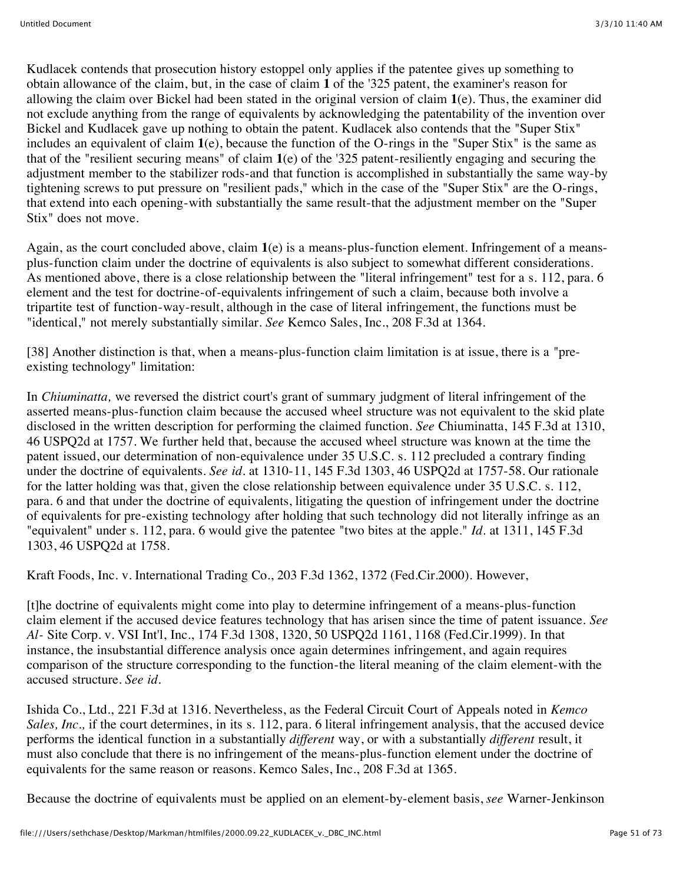Kudlacek contends that prosecution history estoppel only applies if the patentee gives up something to obtain allowance of the claim, but, in the case of claim **1** of the '325 patent, the examiner's reason for allowing the claim over Bickel had been stated in the original version of claim **1**(e). Thus, the examiner did not exclude anything from the range of equivalents by acknowledging the patentability of the invention over Bickel and Kudlacek gave up nothing to obtain the patent. Kudlacek also contends that the "Super Stix" includes an equivalent of claim **1**(e), because the function of the O-rings in the "Super Stix" is the same as that of the "resilient securing means" of claim **1**(e) of the '325 patent-resiliently engaging and securing the adjustment member to the stabilizer rods-and that function is accomplished in substantially the same way-by tightening screws to put pressure on "resilient pads," which in the case of the "Super Stix" are the O-rings, that extend into each opening-with substantially the same result-that the adjustment member on the "Super Stix" does not move.

Again, as the court concluded above, claim **1**(e) is a means-plus-function element. Infringement of a meansplus-function claim under the doctrine of equivalents is also subject to somewhat different considerations. As mentioned above, there is a close relationship between the "literal infringement" test for a s. 112, para. 6 element and the test for doctrine-of-equivalents infringement of such a claim, because both involve a tripartite test of function-way-result, although in the case of literal infringement, the functions must be "identical," not merely substantially similar. *See* Kemco Sales, Inc., 208 F.3d at 1364.

[38] Another distinction is that, when a means-plus-function claim limitation is at issue, there is a "preexisting technology" limitation:

In *Chiuminatta,* we reversed the district court's grant of summary judgment of literal infringement of the asserted means-plus-function claim because the accused wheel structure was not equivalent to the skid plate disclosed in the written description for performing the claimed function. *See* Chiuminatta, 145 F.3d at 1310, 46 USPQ2d at 1757. We further held that, because the accused wheel structure was known at the time the patent issued, our determination of non-equivalence under 35 U.S.C. s. 112 precluded a contrary finding under the doctrine of equivalents. *See id.* at 1310-11, 145 F.3d 1303, 46 USPQ2d at 1757-58. Our rationale for the latter holding was that, given the close relationship between equivalence under 35 U.S.C. s. 112, para. 6 and that under the doctrine of equivalents, litigating the question of infringement under the doctrine of equivalents for pre-existing technology after holding that such technology did not literally infringe as an "equivalent" under s. 112, para. 6 would give the patentee "two bites at the apple." *Id.* at 1311, 145 F.3d 1303, 46 USPQ2d at 1758.

Kraft Foods, Inc. v. International Trading Co., 203 F.3d 1362, 1372 (Fed.Cir.2000). However,

[t]he doctrine of equivalents might come into play to determine infringement of a means-plus-function claim element if the accused device features technology that has arisen since the time of patent issuance. *See Al-* Site Corp. v. VSI Int'l, Inc., 174 F.3d 1308, 1320, 50 USPQ2d 1161, 1168 (Fed.Cir.1999). In that instance, the insubstantial difference analysis once again determines infringement, and again requires comparison of the structure corresponding to the function-the literal meaning of the claim element-with the accused structure. *See id.*

Ishida Co., Ltd., 221 F.3d at 1316. Nevertheless, as the Federal Circuit Court of Appeals noted in *Kemco Sales, Inc.,* if the court determines, in its s. 112, para. 6 literal infringement analysis, that the accused device performs the identical function in a substantially *different* way, or with a substantially *different* result, it must also conclude that there is no infringement of the means-plus-function element under the doctrine of equivalents for the same reason or reasons. Kemco Sales, Inc., 208 F.3d at 1365.

Because the doctrine of equivalents must be applied on an element-by-element basis, *see* Warner-Jenkinson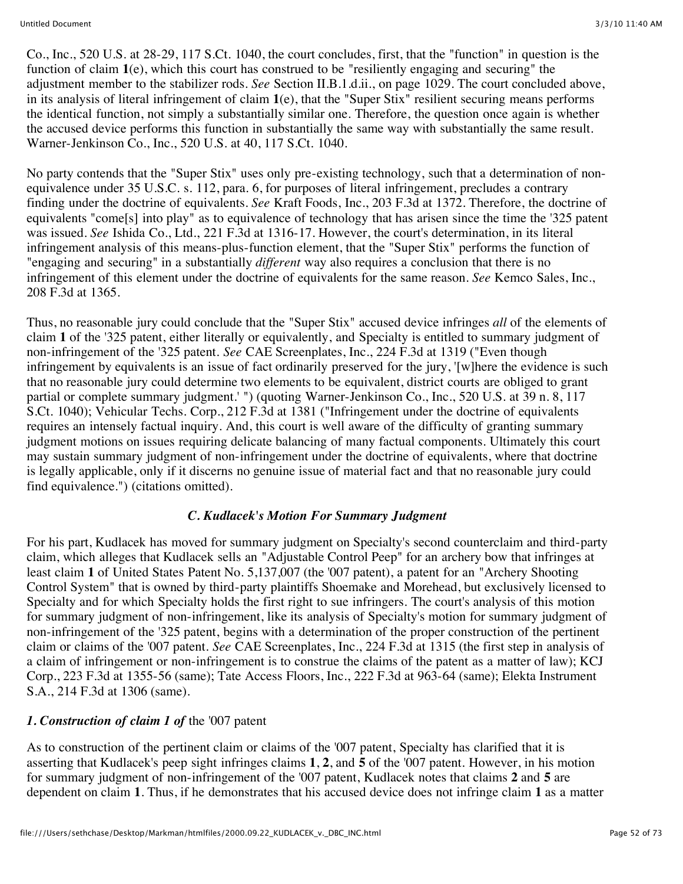Co., Inc., 520 U.S. at 28-29, 117 S.Ct. 1040, the court concludes, first, that the "function" in question is the function of claim **1**(e), which this court has construed to be "resiliently engaging and securing" the adjustment member to the stabilizer rods. *See* Section II.B.1.d.ii., on page 1029. The court concluded above, in its analysis of literal infringement of claim **1**(e), that the "Super Stix" resilient securing means performs the identical function, not simply a substantially similar one. Therefore, the question once again is whether the accused device performs this function in substantially the same way with substantially the same result. Warner-Jenkinson Co., Inc., 520 U.S. at 40, 117 S.Ct. 1040.

No party contends that the "Super Stix" uses only pre-existing technology, such that a determination of nonequivalence under 35 U.S.C. s. 112, para. 6, for purposes of literal infringement, precludes a contrary finding under the doctrine of equivalents. *See* Kraft Foods, Inc., 203 F.3d at 1372. Therefore, the doctrine of equivalents "come[s] into play" as to equivalence of technology that has arisen since the time the '325 patent was issued. *See* Ishida Co., Ltd., 221 F.3d at 1316-17. However, the court's determination, in its literal infringement analysis of this means-plus-function element, that the "Super Stix" performs the function of "engaging and securing" in a substantially *different* way also requires a conclusion that there is no infringement of this element under the doctrine of equivalents for the same reason. *See* Kemco Sales, Inc., 208 F.3d at 1365.

Thus, no reasonable jury could conclude that the "Super Stix" accused device infringes *all* of the elements of claim **1** of the '325 patent, either literally or equivalently, and Specialty is entitled to summary judgment of non-infringement of the '325 patent. *See* CAE Screenplates, Inc., 224 F.3d at 1319 ("Even though infringement by equivalents is an issue of fact ordinarily preserved for the jury, '[w]here the evidence is such that no reasonable jury could determine two elements to be equivalent, district courts are obliged to grant partial or complete summary judgment.' ") (quoting Warner-Jenkinson Co., Inc., 520 U.S. at 39 n. 8, 117 S.Ct. 1040); Vehicular Techs. Corp., 212 F.3d at 1381 ("Infringement under the doctrine of equivalents requires an intensely factual inquiry. And, this court is well aware of the difficulty of granting summary judgment motions on issues requiring delicate balancing of many factual components. Ultimately this court may sustain summary judgment of non-infringement under the doctrine of equivalents, where that doctrine is legally applicable, only if it discerns no genuine issue of material fact and that no reasonable jury could find equivalence.") (citations omitted).

# *C. Kudlacek's Motion For Summary Judgment*

For his part, Kudlacek has moved for summary judgment on Specialty's second counterclaim and third-party claim, which alleges that Kudlacek sells an "Adjustable Control Peep" for an archery bow that infringes at least claim **1** of United States Patent No. 5,137,007 (the '007 patent), a patent for an "Archery Shooting Control System" that is owned by third-party plaintiffs Shoemake and Morehead, but exclusively licensed to Specialty and for which Specialty holds the first right to sue infringers. The court's analysis of this motion for summary judgment of non-infringement, like its analysis of Specialty's motion for summary judgment of non-infringement of the '325 patent, begins with a determination of the proper construction of the pertinent claim or claims of the '007 patent. *See* CAE Screenplates, Inc., 224 F.3d at 1315 (the first step in analysis of a claim of infringement or non-infringement is to construe the claims of the patent as a matter of law); KCJ Corp., 223 F.3d at 1355-56 (same); Tate Access Floors, Inc., 222 F.3d at 963-64 (same); Elekta Instrument S.A., 214 F.3d at 1306 (same).

# *1. Construction of claim 1 of* the '007 patent

As to construction of the pertinent claim or claims of the '007 patent, Specialty has clarified that it is asserting that Kudlacek's peep sight infringes claims **1**, **2**, and **5** of the '007 patent. However, in his motion for summary judgment of non-infringement of the '007 patent, Kudlacek notes that claims **2** and **5** are dependent on claim **1**. Thus, if he demonstrates that his accused device does not infringe claim **1** as a matter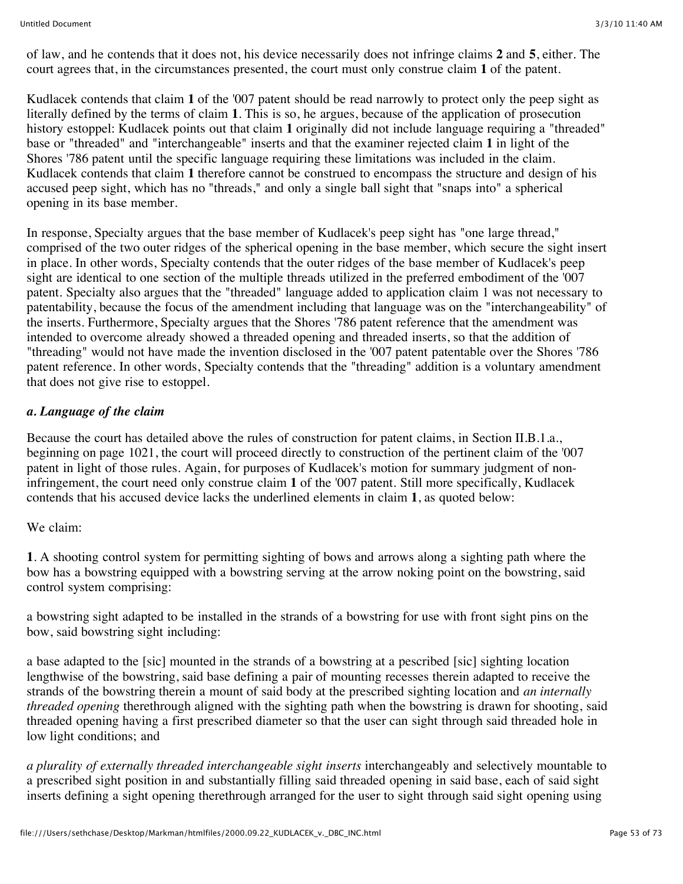of law, and he contends that it does not, his device necessarily does not infringe claims **2** and **5**, either. The court agrees that, in the circumstances presented, the court must only construe claim **1** of the patent.

Kudlacek contends that claim **1** of the '007 patent should be read narrowly to protect only the peep sight as literally defined by the terms of claim **1**. This is so, he argues, because of the application of prosecution history estoppel: Kudlacek points out that claim **1** originally did not include language requiring a "threaded" base or "threaded" and "interchangeable" inserts and that the examiner rejected claim **1** in light of the Shores '786 patent until the specific language requiring these limitations was included in the claim. Kudlacek contends that claim **1** therefore cannot be construed to encompass the structure and design of his accused peep sight, which has no "threads," and only a single ball sight that "snaps into" a spherical opening in its base member.

In response, Specialty argues that the base member of Kudlacek's peep sight has "one large thread," comprised of the two outer ridges of the spherical opening in the base member, which secure the sight insert in place. In other words, Specialty contends that the outer ridges of the base member of Kudlacek's peep sight are identical to one section of the multiple threads utilized in the preferred embodiment of the '007 patent. Specialty also argues that the "threaded" language added to application claim 1 was not necessary to patentability, because the focus of the amendment including that language was on the "interchangeability" of the inserts. Furthermore, Specialty argues that the Shores '786 patent reference that the amendment was intended to overcome already showed a threaded opening and threaded inserts, so that the addition of "threading" would not have made the invention disclosed in the '007 patent patentable over the Shores '786 patent reference. In other words, Specialty contends that the "threading" addition is a voluntary amendment that does not give rise to estoppel.

# *a. Language of the claim*

Because the court has detailed above the rules of construction for patent claims, in Section II.B.1.a., beginning on page 1021, the court will proceed directly to construction of the pertinent claim of the '007 patent in light of those rules. Again, for purposes of Kudlacek's motion for summary judgment of noninfringement, the court need only construe claim **1** of the '007 patent. Still more specifically, Kudlacek contends that his accused device lacks the underlined elements in claim **1**, as quoted below:

#### We claim:

**1**. A shooting control system for permitting sighting of bows and arrows along a sighting path where the bow has a bowstring equipped with a bowstring serving at the arrow noking point on the bowstring, said control system comprising:

a bowstring sight adapted to be installed in the strands of a bowstring for use with front sight pins on the bow, said bowstring sight including:

a base adapted to the [sic] mounted in the strands of a bowstring at a pescribed [sic] sighting location lengthwise of the bowstring, said base defining a pair of mounting recesses therein adapted to receive the strands of the bowstring therein a mount of said body at the prescribed sighting location and *an internally threaded opening* therethrough aligned with the sighting path when the bowstring is drawn for shooting, said threaded opening having a first prescribed diameter so that the user can sight through said threaded hole in low light conditions; and

*a plurality of externally threaded interchangeable sight inserts* interchangeably and selectively mountable to a prescribed sight position in and substantially filling said threaded opening in said base, each of said sight inserts defining a sight opening therethrough arranged for the user to sight through said sight opening using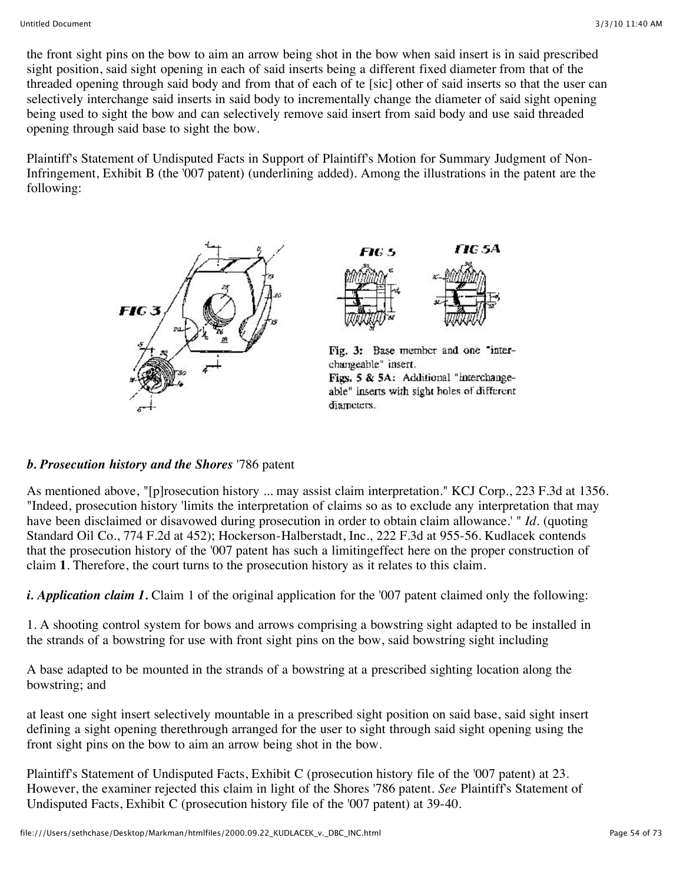the front sight pins on the bow to aim an arrow being shot in the bow when said insert is in said prescribed sight position, said sight opening in each of said inserts being a different fixed diameter from that of the threaded opening through said body and from that of each of te [sic] other of said inserts so that the user can selectively interchange said inserts in said body to incrementally change the diameter of said sight opening being used to sight the bow and can selectively remove said insert from said body and use said threaded opening through said base to sight the bow.

Plaintiff's Statement of Undisputed Facts in Support of Plaintiff's Motion for Summary Judgment of Non-Infringement, Exhibit B (the '007 patent) (underlining added). Among the illustrations in the patent are the following:





Fig. 3: Base member and one "interchangeable" insert. Figs. 5 & 5A: Additional "interchangeable" inserts with sight holes of different diameters.

# *b. Prosecution history and the Shores* '786 patent

As mentioned above, "[p]rosecution history ... may assist claim interpretation." KCJ Corp., 223 F.3d at 1356. "Indeed, prosecution history 'limits the interpretation of claims so as to exclude any interpretation that may have been disclaimed or disavowed during prosecution in order to obtain claim allowance.' " *Id.* (quoting Standard Oil Co., 774 F.2d at 452); Hockerson-Halberstadt, Inc., 222 F.3d at 955-56. Kudlacek contends that the prosecution history of the '007 patent has such a limitingeffect here on the proper construction of claim **1**. Therefore, the court turns to the prosecution history as it relates to this claim.

*i. Application claim 1.* Claim 1 of the original application for the '007 patent claimed only the following:

1. A shooting control system for bows and arrows comprising a bowstring sight adapted to be installed in the strands of a bowstring for use with front sight pins on the bow, said bowstring sight including

A base adapted to be mounted in the strands of a bowstring at a prescribed sighting location along the bowstring; and

at least one sight insert selectively mountable in a prescribed sight position on said base, said sight insert defining a sight opening therethrough arranged for the user to sight through said sight opening using the front sight pins on the bow to aim an arrow being shot in the bow.

Plaintiff's Statement of Undisputed Facts, Exhibit C (prosecution history file of the '007 patent) at 23. However, the examiner rejected this claim in light of the Shores '786 patent. *See* Plaintiff's Statement of Undisputed Facts, Exhibit C (prosecution history file of the '007 patent) at 39-40.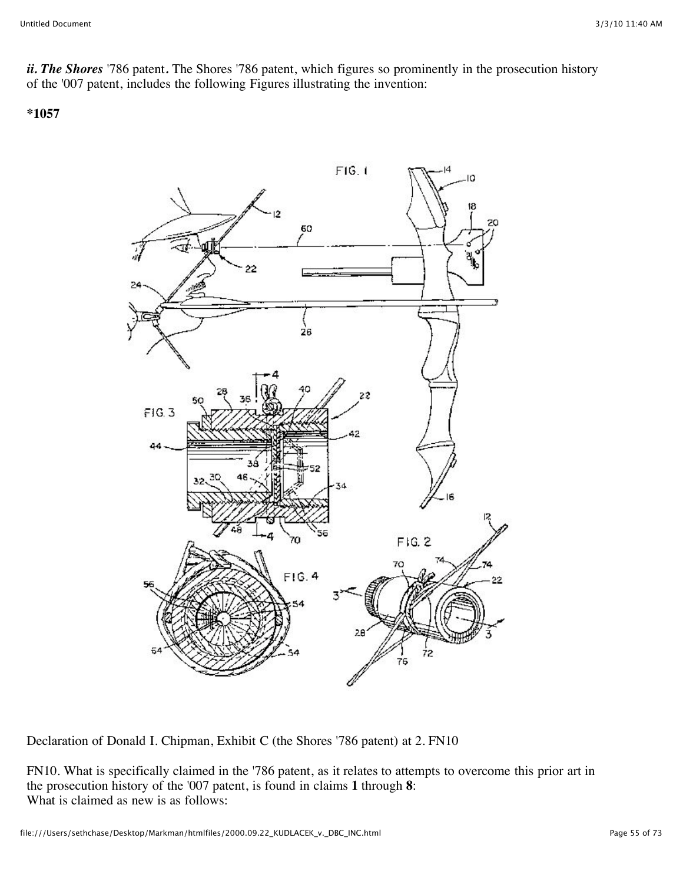*ii. The Shores* '786 patent*.* The Shores '786 patent, which figures so prominently in the prosecution history of the '007 patent, includes the following Figures illustrating the invention:

**\*1057**



Declaration of Donald I. Chipman, Exhibit C (the Shores '786 patent) at 2. FN10

FN10. What is specifically claimed in the '786 patent, as it relates to attempts to overcome this prior art in the prosecution history of the '007 patent, is found in claims **1** through **8**: What is claimed as new is as follows: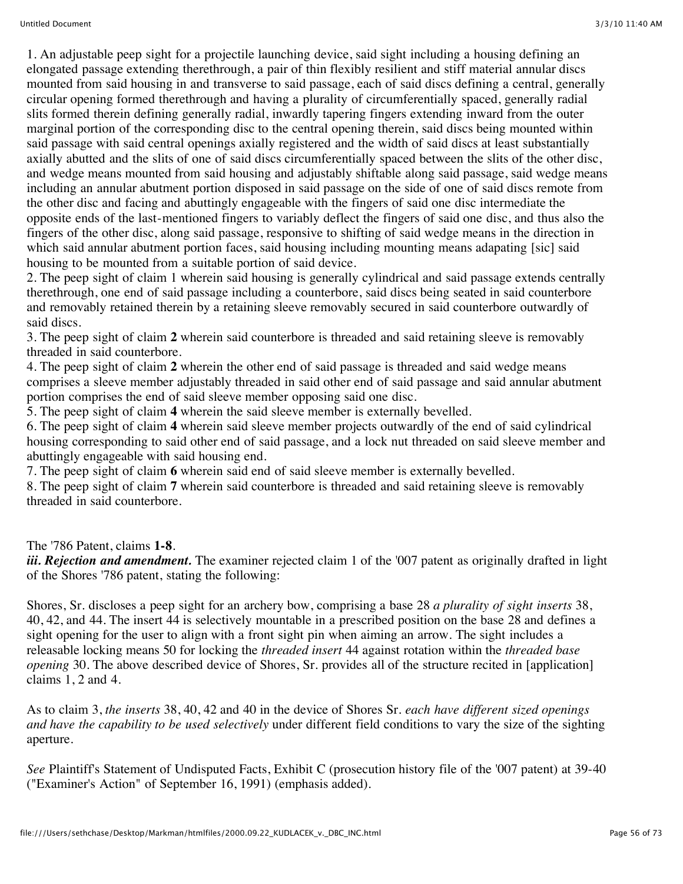1. An adjustable peep sight for a projectile launching device, said sight including a housing defining an elongated passage extending therethrough, a pair of thin flexibly resilient and stiff material annular discs mounted from said housing in and transverse to said passage, each of said discs defining a central, generally circular opening formed therethrough and having a plurality of circumferentially spaced, generally radial slits formed therein defining generally radial, inwardly tapering fingers extending inward from the outer marginal portion of the corresponding disc to the central opening therein, said discs being mounted within said passage with said central openings axially registered and the width of said discs at least substantially axially abutted and the slits of one of said discs circumferentially spaced between the slits of the other disc, and wedge means mounted from said housing and adjustably shiftable along said passage, said wedge means including an annular abutment portion disposed in said passage on the side of one of said discs remote from the other disc and facing and abuttingly engageable with the fingers of said one disc intermediate the opposite ends of the last-mentioned fingers to variably deflect the fingers of said one disc, and thus also the fingers of the other disc, along said passage, responsive to shifting of said wedge means in the direction in which said annular abutment portion faces, said housing including mounting means adapating [sic] said housing to be mounted from a suitable portion of said device.

2. The peep sight of claim 1 wherein said housing is generally cylindrical and said passage extends centrally therethrough, one end of said passage including a counterbore, said discs being seated in said counterbore and removably retained therein by a retaining sleeve removably secured in said counterbore outwardly of said discs.

3. The peep sight of claim **2** wherein said counterbore is threaded and said retaining sleeve is removably threaded in said counterbore.

4. The peep sight of claim **2** wherein the other end of said passage is threaded and said wedge means comprises a sleeve member adjustably threaded in said other end of said passage and said annular abutment portion comprises the end of said sleeve member opposing said one disc.

5. The peep sight of claim **4** wherein the said sleeve member is externally bevelled.

6. The peep sight of claim **4** wherein said sleeve member projects outwardly of the end of said cylindrical housing corresponding to said other end of said passage, and a lock nut threaded on said sleeve member and abuttingly engageable with said housing end.

7. The peep sight of claim **6** wherein said end of said sleeve member is externally bevelled.

8. The peep sight of claim **7** wherein said counterbore is threaded and said retaining sleeve is removably threaded in said counterbore.

The '786 Patent, claims **1-8**.

*iii. Rejection and amendment.* The examiner rejected claim 1 of the '007 patent as originally drafted in light of the Shores '786 patent, stating the following:

Shores, Sr. discloses a peep sight for an archery bow, comprising a base 28 *a plurality of sight inserts* 38, 40, 42, and 44. The insert 44 is selectively mountable in a prescribed position on the base 28 and defines a sight opening for the user to align with a front sight pin when aiming an arrow. The sight includes a releasable locking means 50 for locking the *threaded insert* 44 against rotation within the *threaded base opening* 30. The above described device of Shores, Sr. provides all of the structure recited in [application] claims 1, 2 and 4.

As to claim 3, *the inserts* 38, 40, 42 and 40 in the device of Shores Sr. *each have different sized openings and have the capability to be used selectively* under different field conditions to vary the size of the sighting aperture.

*See* Plaintiff's Statement of Undisputed Facts, Exhibit C (prosecution history file of the '007 patent) at 39-40 ("Examiner's Action" of September 16, 1991) (emphasis added).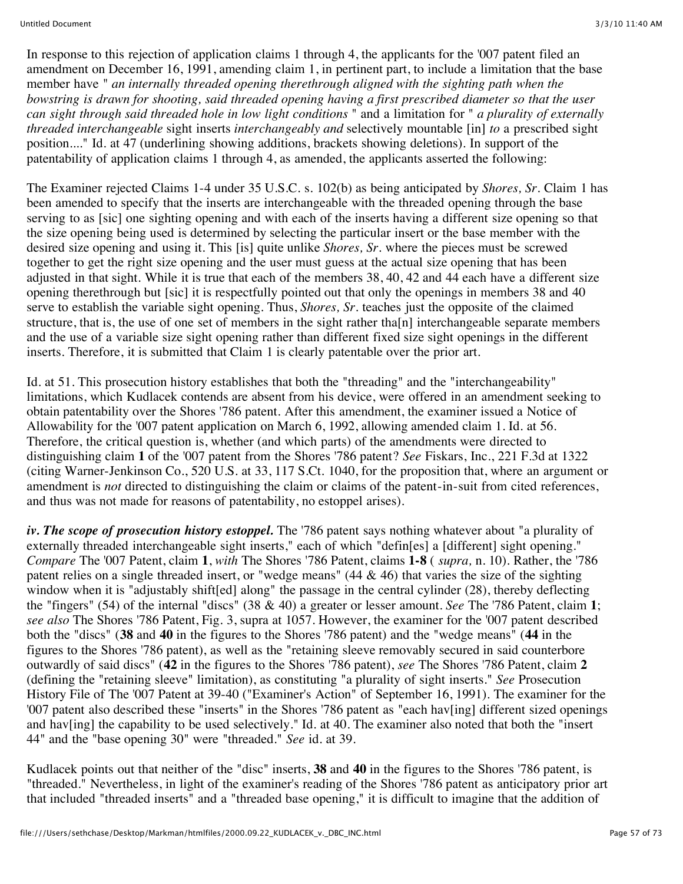In response to this rejection of application claims 1 through 4, the applicants for the '007 patent filed an amendment on December 16, 1991, amending claim 1, in pertinent part, to include a limitation that the base member have " *an internally threaded opening therethrough aligned with the sighting path when the bowstring is drawn for shooting, said threaded opening having a first prescribed diameter so that the user can sight through said threaded hole in low light conditions* " and a limitation for " *a plurality of externally threaded interchangeable* sight inserts *interchangeably and* selectively mountable [in] *to* a prescribed sight position...." Id. at 47 (underlining showing additions, brackets showing deletions). In support of the patentability of application claims 1 through 4, as amended, the applicants asserted the following:

The Examiner rejected Claims 1-4 under 35 U.S.C. s. 102(b) as being anticipated by *Shores, Sr.* Claim 1 has been amended to specify that the inserts are interchangeable with the threaded opening through the base serving to as [sic] one sighting opening and with each of the inserts having a different size opening so that the size opening being used is determined by selecting the particular insert or the base member with the desired size opening and using it. This [is] quite unlike *Shores, Sr.* where the pieces must be screwed together to get the right size opening and the user must guess at the actual size opening that has been adjusted in that sight. While it is true that each of the members 38, 40, 42 and 44 each have a different size opening therethrough but [sic] it is respectfully pointed out that only the openings in members 38 and 40 serve to establish the variable sight opening. Thus, *Shores, Sr.* teaches just the opposite of the claimed structure, that is, the use of one set of members in the sight rather tha[n] interchangeable separate members and the use of a variable size sight opening rather than different fixed size sight openings in the different inserts. Therefore, it is submitted that Claim 1 is clearly patentable over the prior art.

Id. at 51. This prosecution history establishes that both the "threading" and the "interchangeability" limitations, which Kudlacek contends are absent from his device, were offered in an amendment seeking to obtain patentability over the Shores '786 patent. After this amendment, the examiner issued a Notice of Allowability for the '007 patent application on March 6, 1992, allowing amended claim 1. Id. at 56. Therefore, the critical question is, whether (and which parts) of the amendments were directed to distinguishing claim **1** of the '007 patent from the Shores '786 patent? *See* Fiskars, Inc., 221 F.3d at 1322 (citing Warner-Jenkinson Co., 520 U.S. at 33, 117 S.Ct. 1040, for the proposition that, where an argument or amendment is *not* directed to distinguishing the claim or claims of the patent-in-suit from cited references, and thus was not made for reasons of patentability, no estoppel arises).

*iv. The scope of prosecution history estoppel.* The '786 patent says nothing whatever about "a plurality of externally threaded interchangeable sight inserts," each of which "defin[es] a [different] sight opening." *Compare* The '007 Patent, claim **1**, *with* The Shores '786 Patent, claims **1-8** ( *supra,* n. 10). Rather, the '786 patent relies on a single threaded insert, or "wedge means" (44 & 46) that varies the size of the sighting window when it is "adjustably shift[ed] along" the passage in the central cylinder (28), thereby deflecting the "fingers" (54) of the internal "discs" (38 & 40) a greater or lesser amount. *See* The '786 Patent, claim **1**; *see also* The Shores '786 Patent, Fig. 3, supra at 1057. However, the examiner for the '007 patent described both the "discs" (**38** and **40** in the figures to the Shores '786 patent) and the "wedge means" (**44** in the figures to the Shores '786 patent), as well as the "retaining sleeve removably secured in said counterbore outwardly of said discs" (**42** in the figures to the Shores '786 patent), *see* The Shores '786 Patent, claim **2** (defining the "retaining sleeve" limitation), as constituting "a plurality of sight inserts." *See* Prosecution History File of The '007 Patent at 39-40 ("Examiner's Action" of September 16, 1991). The examiner for the '007 patent also described these "inserts" in the Shores '786 patent as "each hav[ing] different sized openings and hav[ing] the capability to be used selectively." Id. at 40. The examiner also noted that both the "insert 44" and the "base opening 30" were "threaded." *See* id. at 39.

Kudlacek points out that neither of the "disc" inserts, **38** and **40** in the figures to the Shores '786 patent, is "threaded." Nevertheless, in light of the examiner's reading of the Shores '786 patent as anticipatory prior art that included "threaded inserts" and a "threaded base opening," it is difficult to imagine that the addition of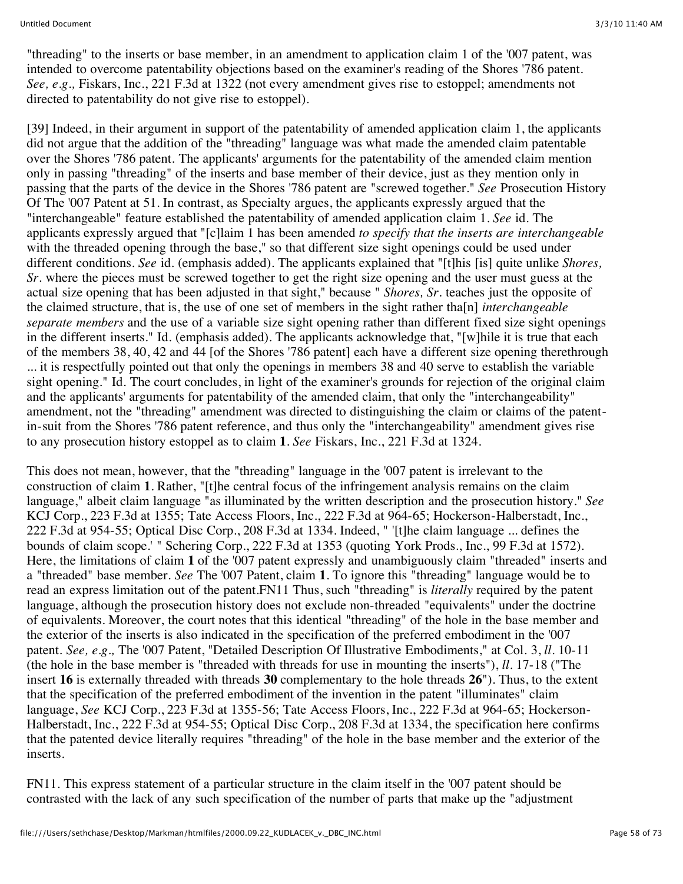"threading" to the inserts or base member, in an amendment to application claim 1 of the '007 patent, was intended to overcome patentability objections based on the examiner's reading of the Shores '786 patent. *See, e.g.,* Fiskars, Inc., 221 F.3d at 1322 (not every amendment gives rise to estoppel; amendments not directed to patentability do not give rise to estoppel).

[39] Indeed, in their argument in support of the patentability of amended application claim 1, the applicants did not argue that the addition of the "threading" language was what made the amended claim patentable over the Shores '786 patent. The applicants' arguments for the patentability of the amended claim mention only in passing "threading" of the inserts and base member of their device, just as they mention only in passing that the parts of the device in the Shores '786 patent are "screwed together." *See* Prosecution History Of The '007 Patent at 51. In contrast, as Specialty argues, the applicants expressly argued that the "interchangeable" feature established the patentability of amended application claim 1. *See* id. The applicants expressly argued that "[c]laim 1 has been amended *to specify that the inserts are interchangeable* with the threaded opening through the base," so that different size sight openings could be used under different conditions. *See* id. (emphasis added). The applicants explained that "[t]his [is] quite unlike *Shores, Sr.* where the pieces must be screwed together to get the right size opening and the user must guess at the actual size opening that has been adjusted in that sight," because " *Shores, Sr.* teaches just the opposite of the claimed structure, that is, the use of one set of members in the sight rather tha[n] *interchangeable separate members* and the use of a variable size sight opening rather than different fixed size sight openings in the different inserts." Id. (emphasis added). The applicants acknowledge that, "[w]hile it is true that each of the members 38, 40, 42 and 44 [of the Shores '786 patent] each have a different size opening therethrough ... it is respectfully pointed out that only the openings in members 38 and 40 serve to establish the variable sight opening." Id. The court concludes, in light of the examiner's grounds for rejection of the original claim and the applicants' arguments for patentability of the amended claim, that only the "interchangeability" amendment, not the "threading" amendment was directed to distinguishing the claim or claims of the patentin-suit from the Shores '786 patent reference, and thus only the "interchangeability" amendment gives rise to any prosecution history estoppel as to claim **1**. *See* Fiskars, Inc., 221 F.3d at 1324.

This does not mean, however, that the "threading" language in the '007 patent is irrelevant to the construction of claim **1**. Rather, "[t]he central focus of the infringement analysis remains on the claim language," albeit claim language "as illuminated by the written description and the prosecution history." *See* KCJ Corp., 223 F.3d at 1355; Tate Access Floors, Inc., 222 F.3d at 964-65; Hockerson-Halberstadt, Inc., 222 F.3d at 954-55; Optical Disc Corp., 208 F.3d at 1334. Indeed, " '[t]he claim language ... defines the bounds of claim scope.' " Schering Corp., 222 F.3d at 1353 (quoting York Prods., Inc., 99 F.3d at 1572). Here, the limitations of claim **1** of the '007 patent expressly and unambiguously claim "threaded" inserts and a "threaded" base member. *See* The '007 Patent, claim **1**. To ignore this "threading" language would be to read an express limitation out of the patent.FN11 Thus, such "threading" is *literally* required by the patent language, although the prosecution history does not exclude non-threaded "equivalents" under the doctrine of equivalents. Moreover, the court notes that this identical "threading" of the hole in the base member and the exterior of the inserts is also indicated in the specification of the preferred embodiment in the '007 patent. *See, e.g.,* The '007 Patent, "Detailed Description Of Illustrative Embodiments," at Col. 3, *ll.* 10-11 (the hole in the base member is "threaded with threads for use in mounting the inserts"), *ll.* 17-18 ("The insert **16** is externally threaded with threads **30** complementary to the hole threads **26**"). Thus, to the extent that the specification of the preferred embodiment of the invention in the patent "illuminates" claim language, *See* KCJ Corp., 223 F.3d at 1355-56; Tate Access Floors, Inc., 222 F.3d at 964-65; Hockerson-Halberstadt, Inc., 222 F.3d at 954-55; Optical Disc Corp., 208 F.3d at 1334, the specification here confirms that the patented device literally requires "threading" of the hole in the base member and the exterior of the inserts.

FN11. This express statement of a particular structure in the claim itself in the '007 patent should be contrasted with the lack of any such specification of the number of parts that make up the "adjustment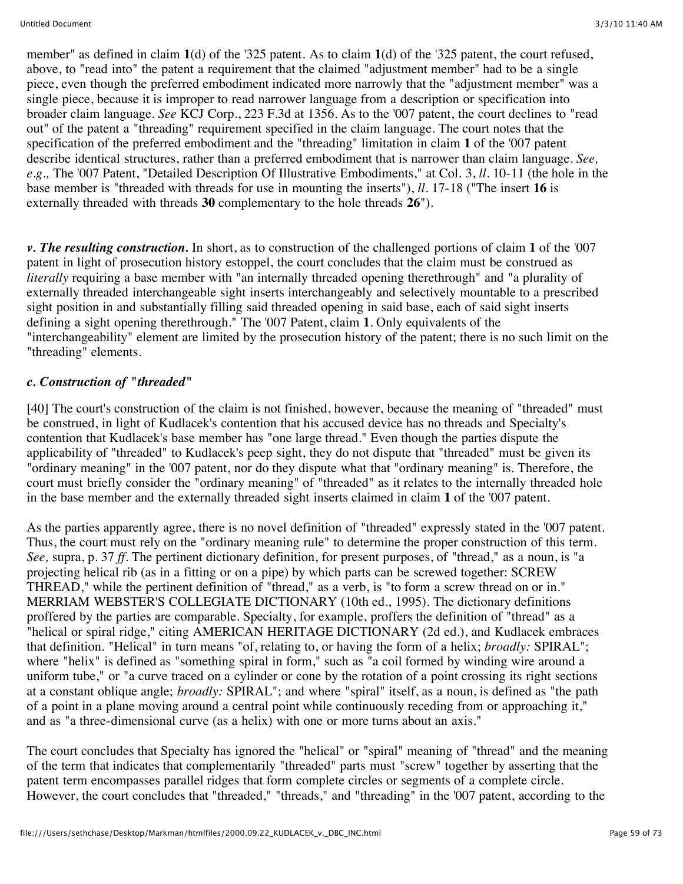member" as defined in claim **1**(d) of the '325 patent. As to claim **1**(d) of the '325 patent, the court refused, above, to "read into" the patent a requirement that the claimed "adjustment member" had to be a single piece, even though the preferred embodiment indicated more narrowly that the "adjustment member" was a single piece, because it is improper to read narrower language from a description or specification into broader claim language. *See* KCJ Corp., 223 F.3d at 1356. As to the '007 patent, the court declines to "read out" of the patent a "threading" requirement specified in the claim language. The court notes that the specification of the preferred embodiment and the "threading" limitation in claim **1** of the '007 patent describe identical structures, rather than a preferred embodiment that is narrower than claim language. *See, e.g.,* The '007 Patent, "Detailed Description Of Illustrative Embodiments," at Col. 3, *ll.* 10-11 (the hole in the base member is "threaded with threads for use in mounting the inserts"), *ll.* 17-18 ("The insert **16** is externally threaded with threads **30** complementary to the hole threads **26**").

*v. The resulting construction.* In short, as to construction of the challenged portions of claim **1** of the '007 patent in light of prosecution history estoppel, the court concludes that the claim must be construed as *literally* requiring a base member with "an internally threaded opening therethrough" and "a plurality of externally threaded interchangeable sight inserts interchangeably and selectively mountable to a prescribed sight position in and substantially filling said threaded opening in said base, each of said sight inserts defining a sight opening therethrough." The '007 Patent, claim **1**. Only equivalents of the "interchangeability" element are limited by the prosecution history of the patent; there is no such limit on the "threading" elements.

#### *c. Construction of "threaded"*

[40] The court's construction of the claim is not finished, however, because the meaning of "threaded" must be construed, in light of Kudlacek's contention that his accused device has no threads and Specialty's contention that Kudlacek's base member has "one large thread." Even though the parties dispute the applicability of "threaded" to Kudlacek's peep sight, they do not dispute that "threaded" must be given its "ordinary meaning" in the '007 patent, nor do they dispute what that "ordinary meaning" is. Therefore, the court must briefly consider the "ordinary meaning" of "threaded" as it relates to the internally threaded hole in the base member and the externally threaded sight inserts claimed in claim **1** of the '007 patent.

As the parties apparently agree, there is no novel definition of "threaded" expressly stated in the '007 patent. Thus, the court must rely on the "ordinary meaning rule" to determine the proper construction of this term. *See,* supra, p. 37 *ff.* The pertinent dictionary definition, for present purposes, of "thread," as a noun, is "a projecting helical rib (as in a fitting or on a pipe) by which parts can be screwed together: SCREW THREAD," while the pertinent definition of "thread," as a verb, is "to form a screw thread on or in." MERRIAM WEBSTER'S COLLEGIATE DICTIONARY (10th ed., 1995). The dictionary definitions proffered by the parties are comparable. Specialty, for example, proffers the definition of "thread" as a "helical or spiral ridge," citing AMERICAN HERITAGE DICTIONARY (2d ed.), and Kudlacek embraces that definition. "Helical" in turn means "of, relating to, or having the form of a helix; *broadly:* SPIRAL"; where "helix" is defined as "something spiral in form," such as "a coil formed by winding wire around a uniform tube," or "a curve traced on a cylinder or cone by the rotation of a point crossing its right sections at a constant oblique angle; *broadly:* SPIRAL"; and where "spiral" itself, as a noun, is defined as "the path of a point in a plane moving around a central point while continuously receding from or approaching it," and as "a three-dimensional curve (as a helix) with one or more turns about an axis."

The court concludes that Specialty has ignored the "helical" or "spiral" meaning of "thread" and the meaning of the term that indicates that complementarily "threaded" parts must "screw" together by asserting that the patent term encompasses parallel ridges that form complete circles or segments of a complete circle. However, the court concludes that "threaded," "threads," and "threading" in the '007 patent, according to the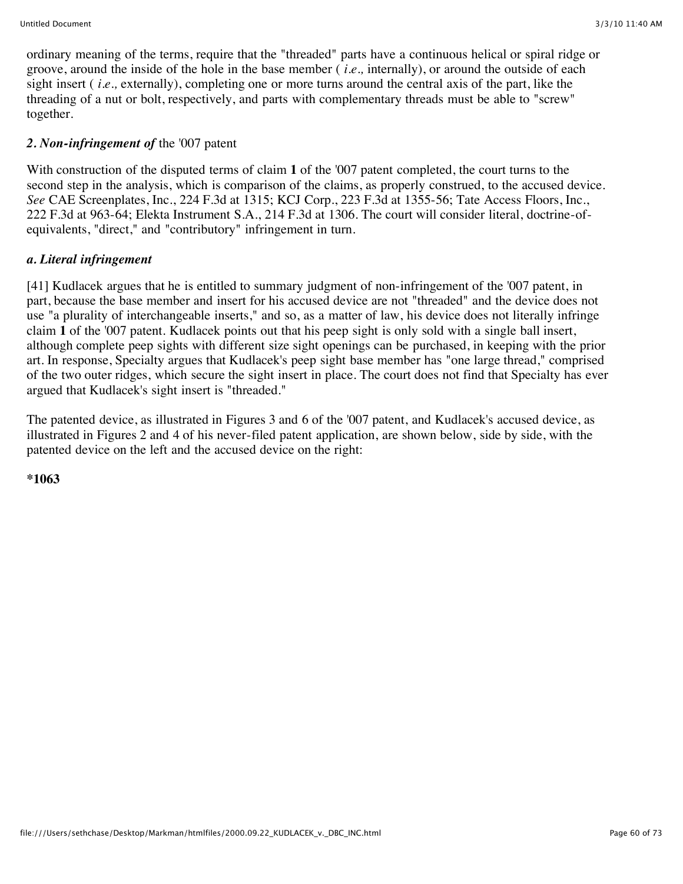ordinary meaning of the terms, require that the "threaded" parts have a continuous helical or spiral ridge or groove, around the inside of the hole in the base member ( *i.e.,* internally), or around the outside of each sight insert ( *i.e.,* externally), completing one or more turns around the central axis of the part, like the threading of a nut or bolt, respectively, and parts with complementary threads must be able to "screw" together.

#### *2. Non-infringement of* the '007 patent

With construction of the disputed terms of claim **1** of the '007 patent completed, the court turns to the second step in the analysis, which is comparison of the claims, as properly construed, to the accused device. *See* CAE Screenplates, Inc., 224 F.3d at 1315; KCJ Corp., 223 F.3d at 1355-56; Tate Access Floors, Inc., 222 F.3d at 963-64; Elekta Instrument S.A., 214 F.3d at 1306. The court will consider literal, doctrine-ofequivalents, "direct," and "contributory" infringement in turn.

#### *a. Literal infringement*

[41] Kudlacek argues that he is entitled to summary judgment of non-infringement of the '007 patent, in part, because the base member and insert for his accused device are not "threaded" and the device does not use "a plurality of interchangeable inserts," and so, as a matter of law, his device does not literally infringe claim **1** of the '007 patent. Kudlacek points out that his peep sight is only sold with a single ball insert, although complete peep sights with different size sight openings can be purchased, in keeping with the prior art. In response, Specialty argues that Kudlacek's peep sight base member has "one large thread," comprised of the two outer ridges, which secure the sight insert in place. The court does not find that Specialty has ever argued that Kudlacek's sight insert is "threaded."

The patented device, as illustrated in Figures 3 and 6 of the '007 patent, and Kudlacek's accused device, as illustrated in Figures 2 and 4 of his never-filed patent application, are shown below, side by side, with the patented device on the left and the accused device on the right:

**\*1063**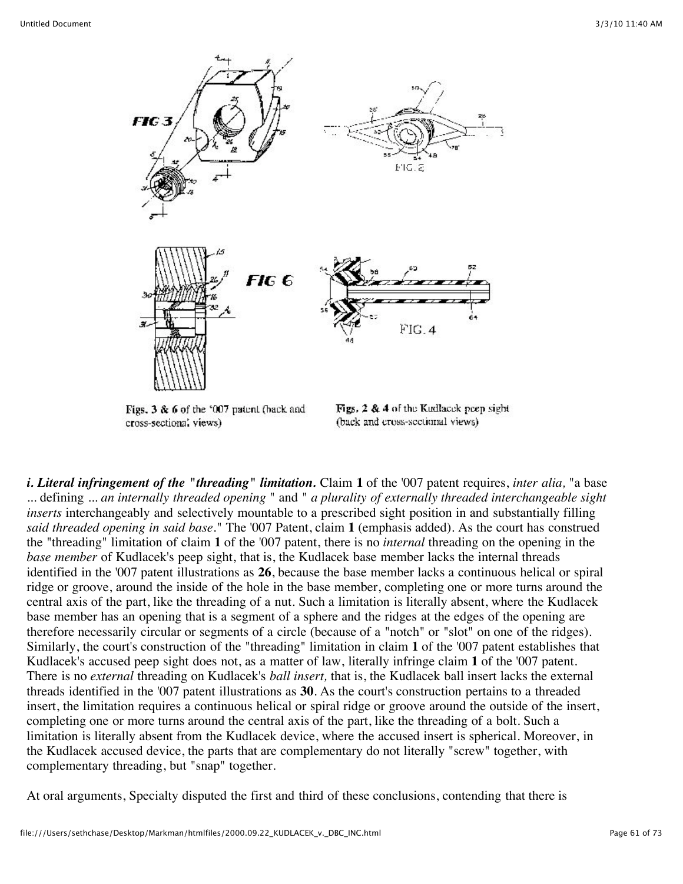

Figs. 3 & 6 of the '007 patent (back and cross-sectional views)

Figs. 2 & 4 of the Kudlacek peep sight (back and cross-sectional views)

*i. Literal infringement of the "threading" limitation.* Claim **1** of the '007 patent requires, *inter alia,* "a base ... defining ... *an internally threaded opening* " and " *a plurality of externally threaded interchangeable sight inserts* interchangeably and selectively mountable to a prescribed sight position in and substantially filling *said threaded opening in said base.*" The '007 Patent, claim **1** (emphasis added). As the court has construed the "threading" limitation of claim **1** of the '007 patent, there is no *internal* threading on the opening in the *base member* of Kudlacek's peep sight, that is, the Kudlacek base member lacks the internal threads identified in the '007 patent illustrations as **26**, because the base member lacks a continuous helical or spiral ridge or groove, around the inside of the hole in the base member, completing one or more turns around the central axis of the part, like the threading of a nut. Such a limitation is literally absent, where the Kudlacek base member has an opening that is a segment of a sphere and the ridges at the edges of the opening are therefore necessarily circular or segments of a circle (because of a "notch" or "slot" on one of the ridges). Similarly, the court's construction of the "threading" limitation in claim **1** of the '007 patent establishes that Kudlacek's accused peep sight does not, as a matter of law, literally infringe claim **1** of the '007 patent. There is no *external* threading on Kudlacek's *ball insert,* that is, the Kudlacek ball insert lacks the external threads identified in the '007 patent illustrations as **30**. As the court's construction pertains to a threaded insert, the limitation requires a continuous helical or spiral ridge or groove around the outside of the insert, completing one or more turns around the central axis of the part, like the threading of a bolt. Such a limitation is literally absent from the Kudlacek device, where the accused insert is spherical. Moreover, in the Kudlacek accused device, the parts that are complementary do not literally "screw" together, with complementary threading, but "snap" together.

At oral arguments, Specialty disputed the first and third of these conclusions, contending that there is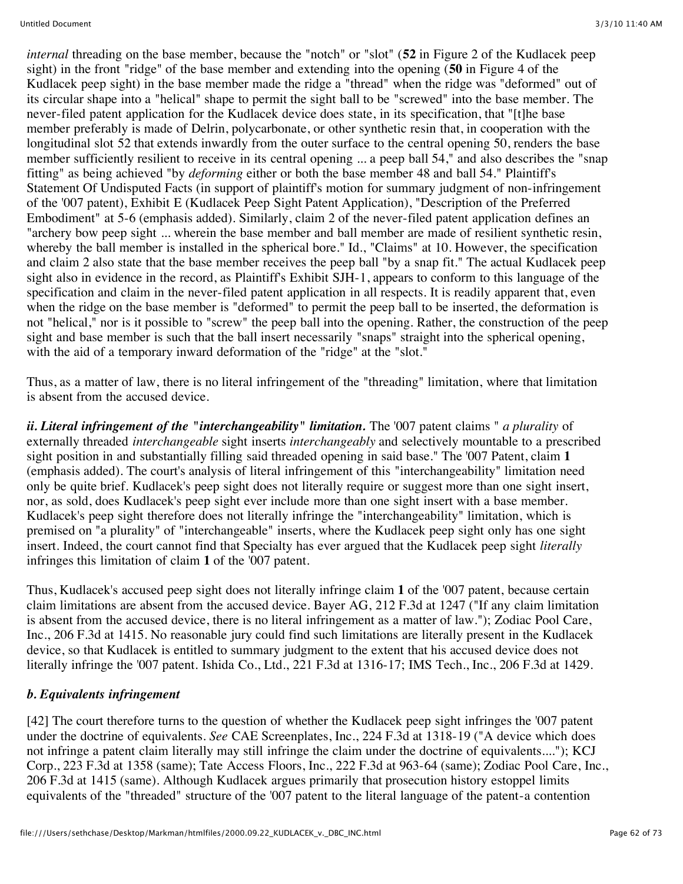*internal* threading on the base member, because the "notch" or "slot" (**52** in Figure 2 of the Kudlacek peep sight) in the front "ridge" of the base member and extending into the opening (**50** in Figure 4 of the Kudlacek peep sight) in the base member made the ridge a "thread" when the ridge was "deformed" out of its circular shape into a "helical" shape to permit the sight ball to be "screwed" into the base member. The never-filed patent application for the Kudlacek device does state, in its specification, that "[t]he base member preferably is made of Delrin, polycarbonate, or other synthetic resin that, in cooperation with the longitudinal slot 52 that extends inwardly from the outer surface to the central opening 50, renders the base member sufficiently resilient to receive in its central opening ... a peep ball 54," and also describes the "snap fitting" as being achieved "by *deforming* either or both the base member 48 and ball 54." Plaintiff's Statement Of Undisputed Facts (in support of plaintiff's motion for summary judgment of non-infringement of the '007 patent), Exhibit E (Kudlacek Peep Sight Patent Application), "Description of the Preferred Embodiment" at 5-6 (emphasis added). Similarly, claim 2 of the never-filed patent application defines an "archery bow peep sight ... wherein the base member and ball member are made of resilient synthetic resin, whereby the ball member is installed in the spherical bore." Id., "Claims" at 10. However, the specification and claim 2 also state that the base member receives the peep ball "by a snap fit." The actual Kudlacek peep sight also in evidence in the record, as Plaintiff's Exhibit SJH-1, appears to conform to this language of the specification and claim in the never-filed patent application in all respects. It is readily apparent that, even when the ridge on the base member is "deformed" to permit the peep ball to be inserted, the deformation is not "helical," nor is it possible to "screw" the peep ball into the opening. Rather, the construction of the peep sight and base member is such that the ball insert necessarily "snaps" straight into the spherical opening, with the aid of a temporary inward deformation of the "ridge" at the "slot."

Thus, as a matter of law, there is no literal infringement of the "threading" limitation, where that limitation is absent from the accused device.

*ii. Literal infringement of the "interchangeability" limitation.* The '007 patent claims " *a plurality* of externally threaded *interchangeable* sight inserts *interchangeably* and selectively mountable to a prescribed sight position in and substantially filling said threaded opening in said base." The '007 Patent, claim **1** (emphasis added). The court's analysis of literal infringement of this "interchangeability" limitation need only be quite brief. Kudlacek's peep sight does not literally require or suggest more than one sight insert, nor, as sold, does Kudlacek's peep sight ever include more than one sight insert with a base member. Kudlacek's peep sight therefore does not literally infringe the "interchangeability" limitation, which is premised on "a plurality" of "interchangeable" inserts, where the Kudlacek peep sight only has one sight insert. Indeed, the court cannot find that Specialty has ever argued that the Kudlacek peep sight *literally* infringes this limitation of claim **1** of the '007 patent.

Thus, Kudlacek's accused peep sight does not literally infringe claim **1** of the '007 patent, because certain claim limitations are absent from the accused device. Bayer AG, 212 F.3d at 1247 ("If any claim limitation is absent from the accused device, there is no literal infringement as a matter of law."); Zodiac Pool Care, Inc., 206 F.3d at 1415. No reasonable jury could find such limitations are literally present in the Kudlacek device, so that Kudlacek is entitled to summary judgment to the extent that his accused device does not literally infringe the '007 patent. Ishida Co., Ltd., 221 F.3d at 1316-17; IMS Tech., Inc., 206 F.3d at 1429.

# *b. Equivalents infringement*

[42] The court therefore turns to the question of whether the Kudlacek peep sight infringes the '007 patent under the doctrine of equivalents. *See* CAE Screenplates, Inc., 224 F.3d at 1318-19 ("A device which does not infringe a patent claim literally may still infringe the claim under the doctrine of equivalents...."); KCJ Corp., 223 F.3d at 1358 (same); Tate Access Floors, Inc., 222 F.3d at 963-64 (same); Zodiac Pool Care, Inc., 206 F.3d at 1415 (same). Although Kudlacek argues primarily that prosecution history estoppel limits equivalents of the "threaded" structure of the '007 patent to the literal language of the patent-a contention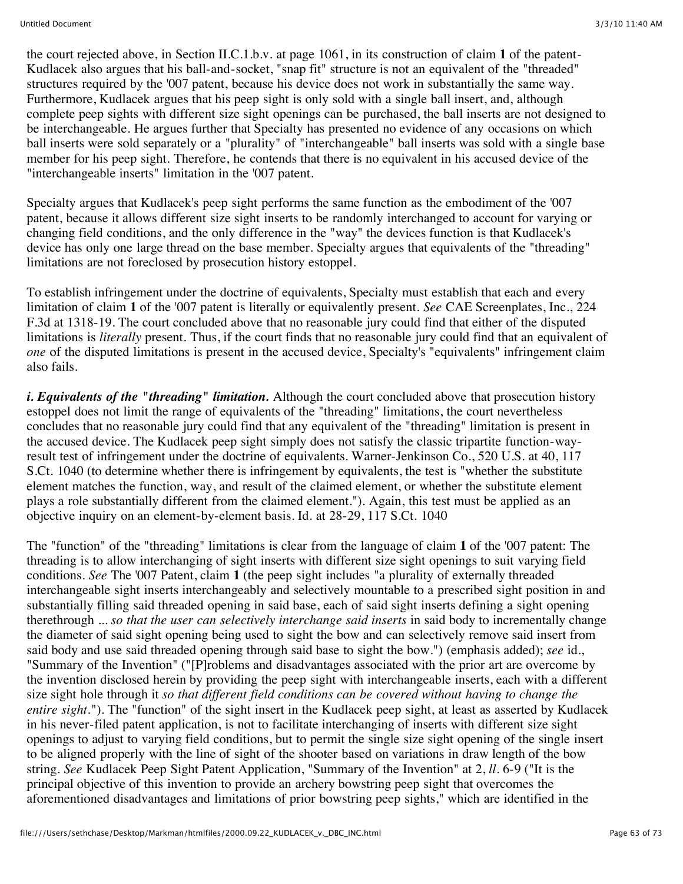the court rejected above, in Section II.C.1.b.v. at page 1061, in its construction of claim **1** of the patent-Kudlacek also argues that his ball-and-socket, "snap fit" structure is not an equivalent of the "threaded" structures required by the '007 patent, because his device does not work in substantially the same way. Furthermore, Kudlacek argues that his peep sight is only sold with a single ball insert, and, although complete peep sights with different size sight openings can be purchased, the ball inserts are not designed to be interchangeable. He argues further that Specialty has presented no evidence of any occasions on which ball inserts were sold separately or a "plurality" of "interchangeable" ball inserts was sold with a single base member for his peep sight. Therefore, he contends that there is no equivalent in his accused device of the "interchangeable inserts" limitation in the '007 patent.

Specialty argues that Kudlacek's peep sight performs the same function as the embodiment of the '007 patent, because it allows different size sight inserts to be randomly interchanged to account for varying or changing field conditions, and the only difference in the "way" the devices function is that Kudlacek's device has only one large thread on the base member. Specialty argues that equivalents of the "threading" limitations are not foreclosed by prosecution history estoppel.

To establish infringement under the doctrine of equivalents, Specialty must establish that each and every limitation of claim **1** of the '007 patent is literally or equivalently present. *See* CAE Screenplates, Inc., 224 F.3d at 1318-19. The court concluded above that no reasonable jury could find that either of the disputed limitations is *literally* present. Thus, if the court finds that no reasonable jury could find that an equivalent of *one* of the disputed limitations is present in the accused device, Specialty's "equivalents" infringement claim also fails.

*i. Equivalents of the "threading" limitation.* Although the court concluded above that prosecution history estoppel does not limit the range of equivalents of the "threading" limitations, the court nevertheless concludes that no reasonable jury could find that any equivalent of the "threading" limitation is present in the accused device. The Kudlacek peep sight simply does not satisfy the classic tripartite function-wayresult test of infringement under the doctrine of equivalents. Warner-Jenkinson Co., 520 U.S. at 40, 117 S.Ct. 1040 (to determine whether there is infringement by equivalents, the test is "whether the substitute element matches the function, way, and result of the claimed element, or whether the substitute element plays a role substantially different from the claimed element."). Again, this test must be applied as an objective inquiry on an element-by-element basis. Id. at 28-29, 117 S.Ct. 1040

The "function" of the "threading" limitations is clear from the language of claim **1** of the '007 patent: The threading is to allow interchanging of sight inserts with different size sight openings to suit varying field conditions. *See* The '007 Patent, claim **1** (the peep sight includes "a plurality of externally threaded interchangeable sight inserts interchangeably and selectively mountable to a prescribed sight position in and substantially filling said threaded opening in said base, each of said sight inserts defining a sight opening therethrough ... *so that the user can selectively interchange said inserts* in said body to incrementally change the diameter of said sight opening being used to sight the bow and can selectively remove said insert from said body and use said threaded opening through said base to sight the bow.") (emphasis added); *see* id., "Summary of the Invention" ("[P]roblems and disadvantages associated with the prior art are overcome by the invention disclosed herein by providing the peep sight with interchangeable inserts, each with a different size sight hole through it *so that different field conditions can be covered without having to change the entire sight.*"). The "function" of the sight insert in the Kudlacek peep sight, at least as asserted by Kudlacek in his never-filed patent application, is not to facilitate interchanging of inserts with different size sight openings to adjust to varying field conditions, but to permit the single size sight opening of the single insert to be aligned properly with the line of sight of the shooter based on variations in draw length of the bow string. *See* Kudlacek Peep Sight Patent Application, "Summary of the Invention" at 2, *ll.* 6-9 ("It is the principal objective of this invention to provide an archery bowstring peep sight that overcomes the aforementioned disadvantages and limitations of prior bowstring peep sights," which are identified in the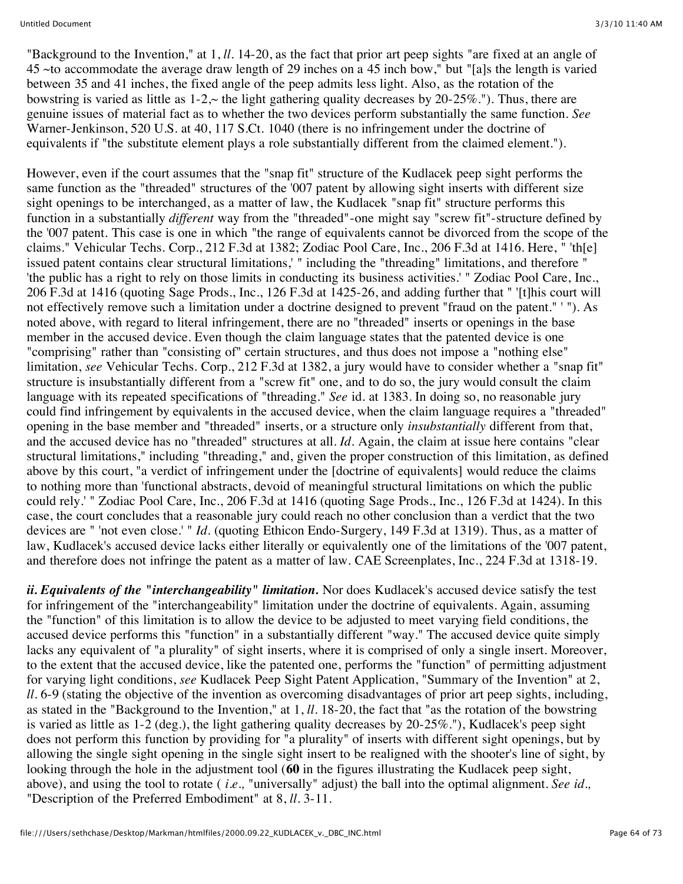"Background to the Invention," at 1, *ll.* 14-20, as the fact that prior art peep sights "are fixed at an angle of 45 ~to accommodate the average draw length of 29 inches on a 45 inch bow," but "[a]s the length is varied between 35 and 41 inches, the fixed angle of the peep admits less light. Also, as the rotation of the bowstring is varied as little as  $1-2 \sim$  the light gathering quality decreases by  $20-25\%$ ."). Thus, there are genuine issues of material fact as to whether the two devices perform substantially the same function. *See* Warner-Jenkinson, 520 U.S. at 40, 117 S.Ct. 1040 (there is no infringement under the doctrine of equivalents if "the substitute element plays a role substantially different from the claimed element.").

However, even if the court assumes that the "snap fit" structure of the Kudlacek peep sight performs the same function as the "threaded" structures of the '007 patent by allowing sight inserts with different size sight openings to be interchanged, as a matter of law, the Kudlacek "snap fit" structure performs this function in a substantially *different* way from the "threaded"-one might say "screw fit"-structure defined by the '007 patent. This case is one in which "the range of equivalents cannot be divorced from the scope of the claims." Vehicular Techs. Corp., 212 F.3d at 1382; Zodiac Pool Care, Inc., 206 F.3d at 1416. Here, " 'th[e] issued patent contains clear structural limitations,' " including the "threading" limitations, and therefore " 'the public has a right to rely on those limits in conducting its business activities.' " Zodiac Pool Care, Inc., 206 F.3d at 1416 (quoting Sage Prods., Inc., 126 F.3d at 1425-26, and adding further that " '[t]his court will not effectively remove such a limitation under a doctrine designed to prevent "fraud on the patent." ' "). As noted above, with regard to literal infringement, there are no "threaded" inserts or openings in the base member in the accused device. Even though the claim language states that the patented device is one "comprising" rather than "consisting of" certain structures, and thus does not impose a "nothing else" limitation, *see* Vehicular Techs. Corp., 212 F.3d at 1382, a jury would have to consider whether a "snap fit" structure is insubstantially different from a "screw fit" one, and to do so, the jury would consult the claim language with its repeated specifications of "threading." *See* id. at 1383. In doing so, no reasonable jury could find infringement by equivalents in the accused device, when the claim language requires a "threaded" opening in the base member and "threaded" inserts, or a structure only *insubstantially* different from that, and the accused device has no "threaded" structures at all. *Id.* Again, the claim at issue here contains "clear structural limitations," including "threading," and, given the proper construction of this limitation, as defined above by this court, "a verdict of infringement under the [doctrine of equivalents] would reduce the claims to nothing more than 'functional abstracts, devoid of meaningful structural limitations on which the public could rely.' " Zodiac Pool Care, Inc., 206 F.3d at 1416 (quoting Sage Prods., Inc., 126 F.3d at 1424). In this case, the court concludes that a reasonable jury could reach no other conclusion than a verdict that the two devices are " 'not even close.' " *Id.* (quoting Ethicon Endo-Surgery, 149 F.3d at 1319). Thus, as a matter of law, Kudlacek's accused device lacks either literally or equivalently one of the limitations of the '007 patent, and therefore does not infringe the patent as a matter of law. CAE Screenplates, Inc., 224 F.3d at 1318-19.

*ii. Equivalents of the "interchangeability" limitation.* Nor does Kudlacek's accused device satisfy the test for infringement of the "interchangeability" limitation under the doctrine of equivalents. Again, assuming the "function" of this limitation is to allow the device to be adjusted to meet varying field conditions, the accused device performs this "function" in a substantially different "way." The accused device quite simply lacks any equivalent of "a plurality" of sight inserts, where it is comprised of only a single insert. Moreover, to the extent that the accused device, like the patented one, performs the "function" of permitting adjustment for varying light conditions, *see* Kudlacek Peep Sight Patent Application, "Summary of the Invention" at 2, *ll.* 6-9 (stating the objective of the invention as overcoming disadvantages of prior art peep sights, including, as stated in the "Background to the Invention," at 1, *ll.* 18-20, the fact that "as the rotation of the bowstring is varied as little as 1-2 (deg.), the light gathering quality decreases by 20-25%."), Kudlacek's peep sight does not perform this function by providing for "a plurality" of inserts with different sight openings, but by allowing the single sight opening in the single sight insert to be realigned with the shooter's line of sight, by looking through the hole in the adjustment tool (**60** in the figures illustrating the Kudlacek peep sight, above), and using the tool to rotate ( *i.e.,* "universally" adjust) the ball into the optimal alignment. *See id.,* "Description of the Preferred Embodiment" at 8, *ll.* 3-11.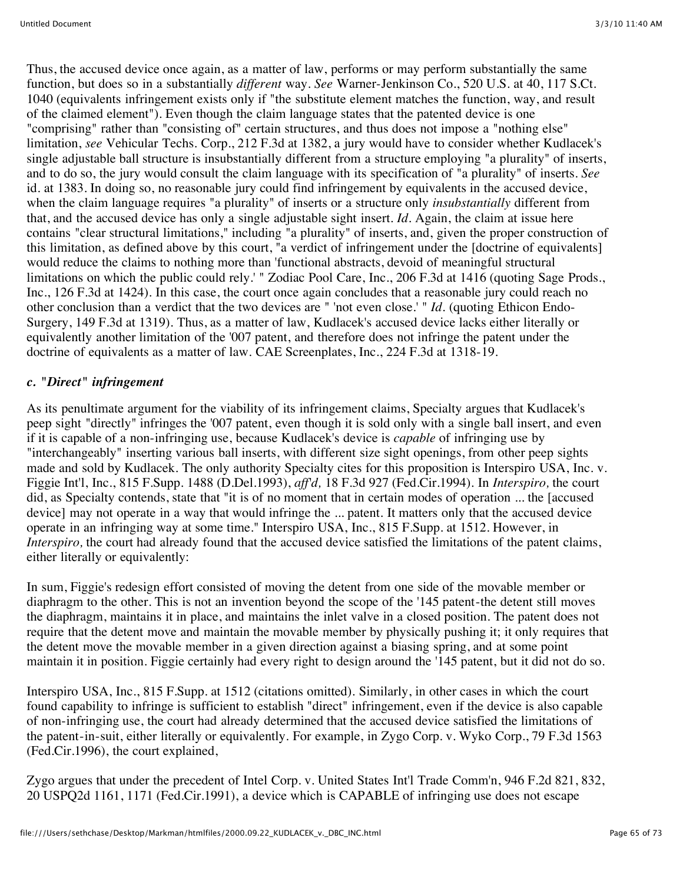Thus, the accused device once again, as a matter of law, performs or may perform substantially the same function, but does so in a substantially *different* way. *See* Warner-Jenkinson Co., 520 U.S. at 40, 117 S.Ct. 1040 (equivalents infringement exists only if "the substitute element matches the function, way, and result of the claimed element"). Even though the claim language states that the patented device is one "comprising" rather than "consisting of" certain structures, and thus does not impose a "nothing else" limitation, *see* Vehicular Techs. Corp., 212 F.3d at 1382, a jury would have to consider whether Kudlacek's single adjustable ball structure is insubstantially different from a structure employing "a plurality" of inserts, and to do so, the jury would consult the claim language with its specification of "a plurality" of inserts. *See* id. at 1383. In doing so, no reasonable jury could find infringement by equivalents in the accused device, when the claim language requires "a plurality" of inserts or a structure only *insubstantially* different from that, and the accused device has only a single adjustable sight insert. *Id.* Again, the claim at issue here contains "clear structural limitations," including "a plurality" of inserts, and, given the proper construction of this limitation, as defined above by this court, "a verdict of infringement under the [doctrine of equivalents] would reduce the claims to nothing more than 'functional abstracts, devoid of meaningful structural limitations on which the public could rely.' " Zodiac Pool Care, Inc., 206 F.3d at 1416 (quoting Sage Prods., Inc., 126 F.3d at 1424). In this case, the court once again concludes that a reasonable jury could reach no other conclusion than a verdict that the two devices are " 'not even close.' " *Id.* (quoting Ethicon Endo-Surgery, 149 F.3d at 1319). Thus, as a matter of law, Kudlacek's accused device lacks either literally or equivalently another limitation of the '007 patent, and therefore does not infringe the patent under the doctrine of equivalents as a matter of law. CAE Screenplates, Inc., 224 F.3d at 1318-19.

# *c. "Direct" infringement*

As its penultimate argument for the viability of its infringement claims, Specialty argues that Kudlacek's peep sight "directly" infringes the '007 patent, even though it is sold only with a single ball insert, and even if it is capable of a non-infringing use, because Kudlacek's device is *capable* of infringing use by "interchangeably" inserting various ball inserts, with different size sight openings, from other peep sights made and sold by Kudlacek. The only authority Specialty cites for this proposition is Interspiro USA, Inc. v. Figgie Int'l, Inc., 815 F.Supp. 1488 (D.Del.1993), *aff'd,* 18 F.3d 927 (Fed.Cir.1994). In *Interspiro,* the court did, as Specialty contends, state that "it is of no moment that in certain modes of operation ... the [accused device] may not operate in a way that would infringe the ... patent. It matters only that the accused device operate in an infringing way at some time." Interspiro USA, Inc., 815 F.Supp. at 1512. However, in *Interspiro*, the court had already found that the accused device satisfied the limitations of the patent claims, either literally or equivalently:

In sum, Figgie's redesign effort consisted of moving the detent from one side of the movable member or diaphragm to the other. This is not an invention beyond the scope of the '145 patent-the detent still moves the diaphragm, maintains it in place, and maintains the inlet valve in a closed position. The patent does not require that the detent move and maintain the movable member by physically pushing it; it only requires that the detent move the movable member in a given direction against a biasing spring, and at some point maintain it in position. Figgie certainly had every right to design around the '145 patent, but it did not do so.

Interspiro USA, Inc., 815 F.Supp. at 1512 (citations omitted). Similarly, in other cases in which the court found capability to infringe is sufficient to establish "direct" infringement, even if the device is also capable of non-infringing use, the court had already determined that the accused device satisfied the limitations of the patent-in-suit, either literally or equivalently. For example, in Zygo Corp. v. Wyko Corp., 79 F.3d 1563 (Fed.Cir.1996), the court explained,

Zygo argues that under the precedent of Intel Corp. v. United States Int'l Trade Comm'n, 946 F.2d 821, 832, 20 USPQ2d 1161, 1171 (Fed.Cir.1991), a device which is CAPABLE of infringing use does not escape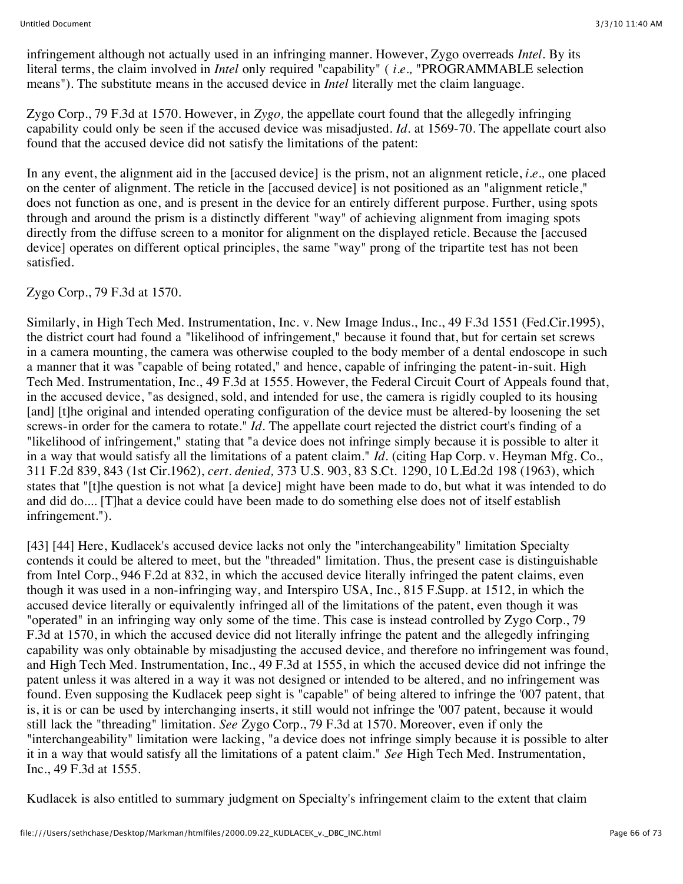infringement although not actually used in an infringing manner. However, Zygo overreads *Intel.* By its literal terms, the claim involved in *Intel* only required "capability" ( *i.e.,* "PROGRAMMABLE selection means"). The substitute means in the accused device in *Intel* literally met the claim language.

Zygo Corp., 79 F.3d at 1570. However, in *Zygo,* the appellate court found that the allegedly infringing capability could only be seen if the accused device was misadjusted. *Id.* at 1569-70. The appellate court also found that the accused device did not satisfy the limitations of the patent:

In any event, the alignment aid in the [accused device] is the prism, not an alignment reticle, *i.e.,* one placed on the center of alignment. The reticle in the [accused device] is not positioned as an "alignment reticle," does not function as one, and is present in the device for an entirely different purpose. Further, using spots through and around the prism is a distinctly different "way" of achieving alignment from imaging spots directly from the diffuse screen to a monitor for alignment on the displayed reticle. Because the [accused device] operates on different optical principles, the same "way" prong of the tripartite test has not been satisfied.

#### Zygo Corp., 79 F.3d at 1570.

Similarly, in High Tech Med. Instrumentation, Inc. v. New Image Indus., Inc., 49 F.3d 1551 (Fed.Cir.1995), the district court had found a "likelihood of infringement," because it found that, but for certain set screws in a camera mounting, the camera was otherwise coupled to the body member of a dental endoscope in such a manner that it was "capable of being rotated," and hence, capable of infringing the patent-in-suit. High Tech Med. Instrumentation, Inc., 49 F.3d at 1555. However, the Federal Circuit Court of Appeals found that, in the accused device, "as designed, sold, and intended for use, the camera is rigidly coupled to its housing [and] [t]he original and intended operating configuration of the device must be altered-by loosening the set screws-in order for the camera to rotate." *Id.* The appellate court rejected the district court's finding of a "likelihood of infringement," stating that "a device does not infringe simply because it is possible to alter it in a way that would satisfy all the limitations of a patent claim." *Id.* (citing Hap Corp. v. Heyman Mfg. Co., 311 F.2d 839, 843 (1st Cir.1962), *cert. denied,* 373 U.S. 903, 83 S.Ct. 1290, 10 L.Ed.2d 198 (1963), which states that "[t]he question is not what [a device] might have been made to do, but what it was intended to do and did do.... [T]hat a device could have been made to do something else does not of itself establish infringement.").

[43] [44] Here, Kudlacek's accused device lacks not only the "interchangeability" limitation Specialty contends it could be altered to meet, but the "threaded" limitation. Thus, the present case is distinguishable from Intel Corp., 946 F.2d at 832, in which the accused device literally infringed the patent claims, even though it was used in a non-infringing way, and Interspiro USA, Inc., 815 F.Supp. at 1512, in which the accused device literally or equivalently infringed all of the limitations of the patent, even though it was "operated" in an infringing way only some of the time. This case is instead controlled by Zygo Corp., 79 F.3d at 1570, in which the accused device did not literally infringe the patent and the allegedly infringing capability was only obtainable by misadjusting the accused device, and therefore no infringement was found, and High Tech Med. Instrumentation, Inc., 49 F.3d at 1555, in which the accused device did not infringe the patent unless it was altered in a way it was not designed or intended to be altered, and no infringement was found. Even supposing the Kudlacek peep sight is "capable" of being altered to infringe the '007 patent, that is, it is or can be used by interchanging inserts, it still would not infringe the '007 patent, because it would still lack the "threading" limitation. *See* Zygo Corp., 79 F.3d at 1570. Moreover, even if only the "interchangeability" limitation were lacking, "a device does not infringe simply because it is possible to alter it in a way that would satisfy all the limitations of a patent claim." *See* High Tech Med. Instrumentation, Inc., 49 F.3d at 1555.

Kudlacek is also entitled to summary judgment on Specialty's infringement claim to the extent that claim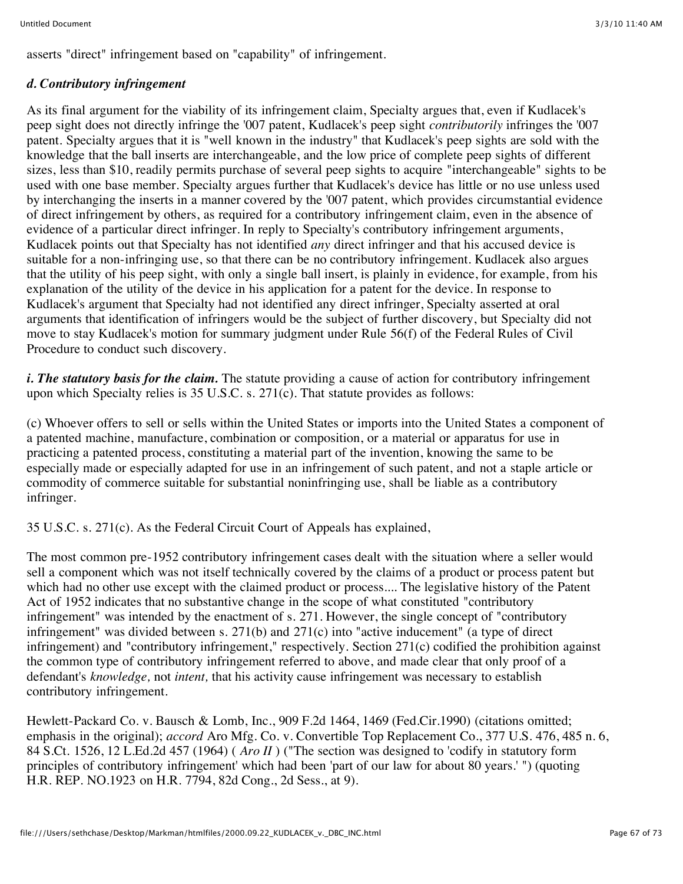asserts "direct" infringement based on "capability" of infringement.

#### *d. Contributory infringement*

As its final argument for the viability of its infringement claim, Specialty argues that, even if Kudlacek's peep sight does not directly infringe the '007 patent, Kudlacek's peep sight *contributorily* infringes the '007 patent. Specialty argues that it is "well known in the industry" that Kudlacek's peep sights are sold with the knowledge that the ball inserts are interchangeable, and the low price of complete peep sights of different sizes, less than \$10, readily permits purchase of several peep sights to acquire "interchangeable" sights to be used with one base member. Specialty argues further that Kudlacek's device has little or no use unless used by interchanging the inserts in a manner covered by the '007 patent, which provides circumstantial evidence of direct infringement by others, as required for a contributory infringement claim, even in the absence of evidence of a particular direct infringer. In reply to Specialty's contributory infringement arguments, Kudlacek points out that Specialty has not identified *any* direct infringer and that his accused device is suitable for a non-infringing use, so that there can be no contributory infringement. Kudlacek also argues that the utility of his peep sight, with only a single ball insert, is plainly in evidence, for example, from his explanation of the utility of the device in his application for a patent for the device. In response to Kudlacek's argument that Specialty had not identified any direct infringer, Specialty asserted at oral arguments that identification of infringers would be the subject of further discovery, but Specialty did not move to stay Kudlacek's motion for summary judgment under Rule 56(f) of the Federal Rules of Civil Procedure to conduct such discovery.

*i. The statutory basis for the claim.* The statute providing a cause of action for contributory infringement upon which Specialty relies is 35 U.S.C. s. 271(c). That statute provides as follows:

(c) Whoever offers to sell or sells within the United States or imports into the United States a component of a patented machine, manufacture, combination or composition, or a material or apparatus for use in practicing a patented process, constituting a material part of the invention, knowing the same to be especially made or especially adapted for use in an infringement of such patent, and not a staple article or commodity of commerce suitable for substantial noninfringing use, shall be liable as a contributory infringer.

35 U.S.C. s. 271(c). As the Federal Circuit Court of Appeals has explained,

The most common pre-1952 contributory infringement cases dealt with the situation where a seller would sell a component which was not itself technically covered by the claims of a product or process patent but which had no other use except with the claimed product or process.... The legislative history of the Patent Act of 1952 indicates that no substantive change in the scope of what constituted "contributory infringement" was intended by the enactment of s. 271. However, the single concept of "contributory infringement" was divided between s. 271(b) and 271(c) into "active inducement" (a type of direct infringement) and "contributory infringement," respectively. Section 271(c) codified the prohibition against the common type of contributory infringement referred to above, and made clear that only proof of a defendant's *knowledge,* not *intent,* that his activity cause infringement was necessary to establish contributory infringement.

Hewlett-Packard Co. v. Bausch & Lomb, Inc., 909 F.2d 1464, 1469 (Fed.Cir.1990) (citations omitted; emphasis in the original); *accord* Aro Mfg. Co. v. Convertible Top Replacement Co., 377 U.S. 476, 485 n. 6, 84 S.Ct. 1526, 12 L.Ed.2d 457 (1964) ( *Aro II* ) ("The section was designed to 'codify in statutory form principles of contributory infringement' which had been 'part of our law for about 80 years.' ") (quoting H.R. REP. NO.1923 on H.R. 7794, 82d Cong., 2d Sess., at 9).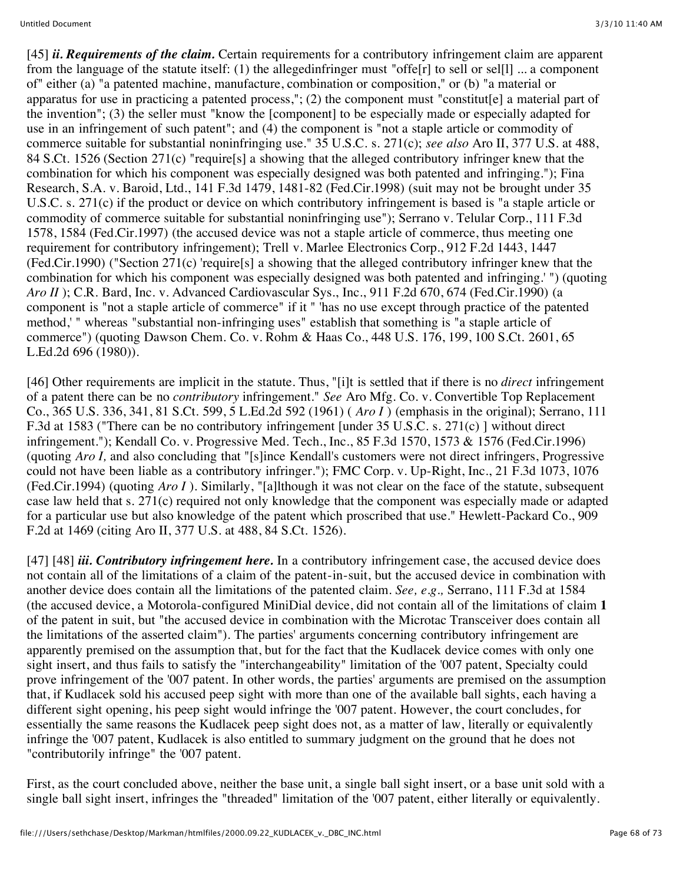[45] *ii. Requirements of the claim.* Certain requirements for a contributory infringement claim are apparent from the language of the statute itself: (1) the allegedinfringer must "offer  $\epsilon$  to sell or selft  $\epsilon$ ... a component of" either (a) "a patented machine, manufacture, combination or composition," or (b) "a material or apparatus for use in practicing a patented process,"; (2) the component must "constitut[e] a material part of the invention"; (3) the seller must "know the [component] to be especially made or especially adapted for use in an infringement of such patent"; and (4) the component is "not a staple article or commodity of commerce suitable for substantial noninfringing use." 35 U.S.C. s. 271(c); *see also* Aro II, 377 U.S. at 488, 84 S.Ct. 1526 (Section 271(c) "require[s] a showing that the alleged contributory infringer knew that the combination for which his component was especially designed was both patented and infringing."); Fina Research, S.A. v. Baroid, Ltd., 141 F.3d 1479, 1481-82 (Fed.Cir.1998) (suit may not be brought under 35 U.S.C. s. 271(c) if the product or device on which contributory infringement is based is "a staple article or commodity of commerce suitable for substantial noninfringing use"); Serrano v. Telular Corp., 111 F.3d 1578, 1584 (Fed.Cir.1997) (the accused device was not a staple article of commerce, thus meeting one requirement for contributory infringement); Trell v. Marlee Electronics Corp., 912 F.2d 1443, 1447 (Fed.Cir.1990) ("Section 271(c) 'require[s] a showing that the alleged contributory infringer knew that the combination for which his component was especially designed was both patented and infringing.' ") (quoting *Aro II* ); C.R. Bard, Inc. v. Advanced Cardiovascular Sys., Inc., 911 F.2d 670, 674 (Fed.Cir.1990) (a component is "not a staple article of commerce" if it " 'has no use except through practice of the patented method,' " whereas "substantial non-infringing uses" establish that something is "a staple article of commerce") (quoting Dawson Chem. Co. v. Rohm & Haas Co., 448 U.S. 176, 199, 100 S.Ct. 2601, 65 L.Ed.2d 696 (1980)).

[46] Other requirements are implicit in the statute. Thus, "[i]t is settled that if there is no *direct* infringement of a patent there can be no *contributory* infringement." *See* Aro Mfg. Co. v. Convertible Top Replacement Co., 365 U.S. 336, 341, 81 S.Ct. 599, 5 L.Ed.2d 592 (1961) ( *Aro I* ) (emphasis in the original); Serrano, 111 F.3d at 1583 ("There can be no contributory infringement [under 35 U.S.C. s. 271(c) ] without direct infringement."); Kendall Co. v. Progressive Med. Tech., Inc., 85 F.3d 1570, 1573 & 1576 (Fed.Cir.1996) (quoting *Aro I,* and also concluding that "[s]ince Kendall's customers were not direct infringers, Progressive could not have been liable as a contributory infringer."); FMC Corp. v. Up-Right, Inc., 21 F.3d 1073, 1076 (Fed.Cir.1994) (quoting *Aro I* ). Similarly, "[a]lthough it was not clear on the face of the statute, subsequent case law held that s. 271(c) required not only knowledge that the component was especially made or adapted for a particular use but also knowledge of the patent which proscribed that use." Hewlett-Packard Co., 909 F.2d at 1469 (citing Aro II, 377 U.S. at 488, 84 S.Ct. 1526).

[47] [48] *iii. Contributory infringement here.* In a contributory infringement case, the accused device does not contain all of the limitations of a claim of the patent-in-suit, but the accused device in combination with another device does contain all the limitations of the patented claim. *See, e.g.,* Serrano, 111 F.3d at 1584 (the accused device, a Motorola-configured MiniDial device, did not contain all of the limitations of claim **1** of the patent in suit, but "the accused device in combination with the Microtac Transceiver does contain all the limitations of the asserted claim"). The parties' arguments concerning contributory infringement are apparently premised on the assumption that, but for the fact that the Kudlacek device comes with only one sight insert, and thus fails to satisfy the "interchangeability" limitation of the '007 patent, Specialty could prove infringement of the '007 patent. In other words, the parties' arguments are premised on the assumption that, if Kudlacek sold his accused peep sight with more than one of the available ball sights, each having a different sight opening, his peep sight would infringe the '007 patent. However, the court concludes, for essentially the same reasons the Kudlacek peep sight does not, as a matter of law, literally or equivalently infringe the '007 patent, Kudlacek is also entitled to summary judgment on the ground that he does not "contributorily infringe" the '007 patent.

First, as the court concluded above, neither the base unit, a single ball sight insert, or a base unit sold with a single ball sight insert, infringes the "threaded" limitation of the '007 patent, either literally or equivalently.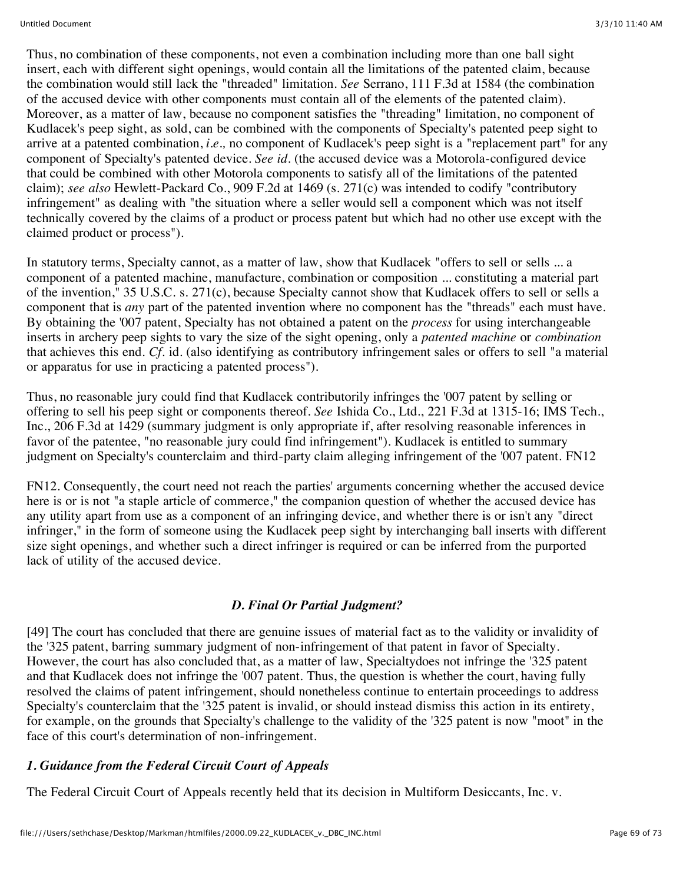Thus, no combination of these components, not even a combination including more than one ball sight insert, each with different sight openings, would contain all the limitations of the patented claim, because the combination would still lack the "threaded" limitation. *See* Serrano, 111 F.3d at 1584 (the combination of the accused device with other components must contain all of the elements of the patented claim). Moreover, as a matter of law, because no component satisfies the "threading" limitation, no component of Kudlacek's peep sight, as sold, can be combined with the components of Specialty's patented peep sight to arrive at a patented combination, *i.e.,* no component of Kudlacek's peep sight is a "replacement part" for any component of Specialty's patented device. *See id.* (the accused device was a Motorola-configured device that could be combined with other Motorola components to satisfy all of the limitations of the patented claim); *see also* Hewlett-Packard Co., 909 F.2d at 1469 (s. 271(c) was intended to codify "contributory infringement" as dealing with "the situation where a seller would sell a component which was not itself technically covered by the claims of a product or process patent but which had no other use except with the claimed product or process").

In statutory terms, Specialty cannot, as a matter of law, show that Kudlacek "offers to sell or sells ... a component of a patented machine, manufacture, combination or composition ... constituting a material part of the invention," 35 U.S.C. s. 271(c), because Specialty cannot show that Kudlacek offers to sell or sells a component that is *any* part of the patented invention where no component has the "threads" each must have. By obtaining the '007 patent, Specialty has not obtained a patent on the *process* for using interchangeable inserts in archery peep sights to vary the size of the sight opening, only a *patented machine* or *combination* that achieves this end. *Cf.* id. (also identifying as contributory infringement sales or offers to sell "a material or apparatus for use in practicing a patented process").

Thus, no reasonable jury could find that Kudlacek contributorily infringes the '007 patent by selling or offering to sell his peep sight or components thereof. *See* Ishida Co., Ltd., 221 F.3d at 1315-16; IMS Tech., Inc., 206 F.3d at 1429 (summary judgment is only appropriate if, after resolving reasonable inferences in favor of the patentee, "no reasonable jury could find infringement"). Kudlacek is entitled to summary judgment on Specialty's counterclaim and third-party claim alleging infringement of the '007 patent. FN12

FN12. Consequently, the court need not reach the parties' arguments concerning whether the accused device here is or is not "a staple article of commerce," the companion question of whether the accused device has any utility apart from use as a component of an infringing device, and whether there is or isn't any "direct infringer," in the form of someone using the Kudlacek peep sight by interchanging ball inserts with different size sight openings, and whether such a direct infringer is required or can be inferred from the purported lack of utility of the accused device.

# *D. Final Or Partial Judgment?*

[49] The court has concluded that there are genuine issues of material fact as to the validity or invalidity of the '325 patent, barring summary judgment of non-infringement of that patent in favor of Specialty. However, the court has also concluded that, as a matter of law, Specialtydoes not infringe the '325 patent and that Kudlacek does not infringe the '007 patent. Thus, the question is whether the court, having fully resolved the claims of patent infringement, should nonetheless continue to entertain proceedings to address Specialty's counterclaim that the '325 patent is invalid, or should instead dismiss this action in its entirety, for example, on the grounds that Specialty's challenge to the validity of the '325 patent is now "moot" in the face of this court's determination of non-infringement.

# *1. Guidance from the Federal Circuit Court of Appeals*

The Federal Circuit Court of Appeals recently held that its decision in Multiform Desiccants, Inc. v.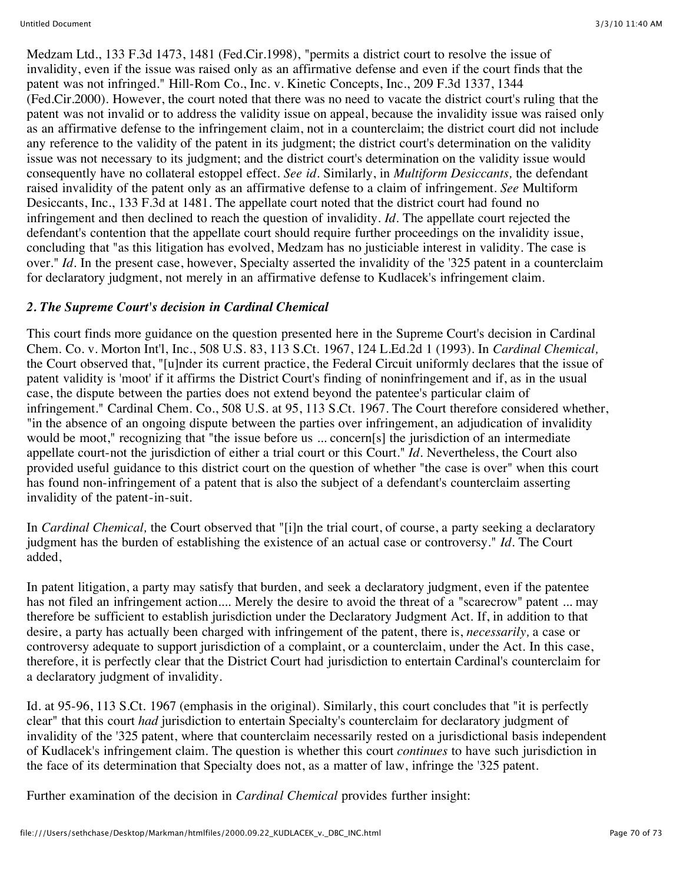Medzam Ltd., 133 F.3d 1473, 1481 (Fed.Cir.1998), "permits a district court to resolve the issue of invalidity, even if the issue was raised only as an affirmative defense and even if the court finds that the patent was not infringed." Hill-Rom Co., Inc. v. Kinetic Concepts, Inc., 209 F.3d 1337, 1344 (Fed.Cir.2000). However, the court noted that there was no need to vacate the district court's ruling that the patent was not invalid or to address the validity issue on appeal, because the invalidity issue was raised only as an affirmative defense to the infringement claim, not in a counterclaim; the district court did not include any reference to the validity of the patent in its judgment; the district court's determination on the validity issue was not necessary to its judgment; and the district court's determination on the validity issue would consequently have no collateral estoppel effect. *See id.* Similarly, in *Multiform Desiccants,* the defendant raised invalidity of the patent only as an affirmative defense to a claim of infringement. *See* Multiform Desiccants, Inc., 133 F.3d at 1481. The appellate court noted that the district court had found no infringement and then declined to reach the question of invalidity. *Id.* The appellate court rejected the defendant's contention that the appellate court should require further proceedings on the invalidity issue, concluding that "as this litigation has evolved, Medzam has no justiciable interest in validity. The case is over." *Id.* In the present case, however, Specialty asserted the invalidity of the '325 patent in a counterclaim for declaratory judgment, not merely in an affirmative defense to Kudlacek's infringement claim.

# *2. The Supreme Court's decision in Cardinal Chemical*

This court finds more guidance on the question presented here in the Supreme Court's decision in Cardinal Chem. Co. v. Morton Int'l, Inc., 508 U.S. 83, 113 S.Ct. 1967, 124 L.Ed.2d 1 (1993). In *Cardinal Chemical,* the Court observed that, "[u]nder its current practice, the Federal Circuit uniformly declares that the issue of patent validity is 'moot' if it affirms the District Court's finding of noninfringement and if, as in the usual case, the dispute between the parties does not extend beyond the patentee's particular claim of infringement." Cardinal Chem. Co., 508 U.S. at 95, 113 S.Ct. 1967. The Court therefore considered whether, "in the absence of an ongoing dispute between the parties over infringement, an adjudication of invalidity would be moot," recognizing that "the issue before us ... concern[s] the jurisdiction of an intermediate appellate court-not the jurisdiction of either a trial court or this Court." *Id.* Nevertheless, the Court also provided useful guidance to this district court on the question of whether "the case is over" when this court has found non-infringement of a patent that is also the subject of a defendant's counterclaim asserting invalidity of the patent-in-suit.

In *Cardinal Chemical,* the Court observed that "[i]n the trial court, of course, a party seeking a declaratory judgment has the burden of establishing the existence of an actual case or controversy." *Id.* The Court added,

In patent litigation, a party may satisfy that burden, and seek a declaratory judgment, even if the patentee has not filed an infringement action.... Merely the desire to avoid the threat of a "scarecrow" patent ... may therefore be sufficient to establish jurisdiction under the Declaratory Judgment Act. If, in addition to that desire, a party has actually been charged with infringement of the patent, there is, *necessarily,* a case or controversy adequate to support jurisdiction of a complaint, or a counterclaim, under the Act. In this case, therefore, it is perfectly clear that the District Court had jurisdiction to entertain Cardinal's counterclaim for a declaratory judgment of invalidity.

Id. at 95-96, 113 S.Ct. 1967 (emphasis in the original). Similarly, this court concludes that "it is perfectly clear" that this court *had* jurisdiction to entertain Specialty's counterclaim for declaratory judgment of invalidity of the '325 patent, where that counterclaim necessarily rested on a jurisdictional basis independent of Kudlacek's infringement claim. The question is whether this court *continues* to have such jurisdiction in the face of its determination that Specialty does not, as a matter of law, infringe the '325 patent.

Further examination of the decision in *Cardinal Chemical* provides further insight: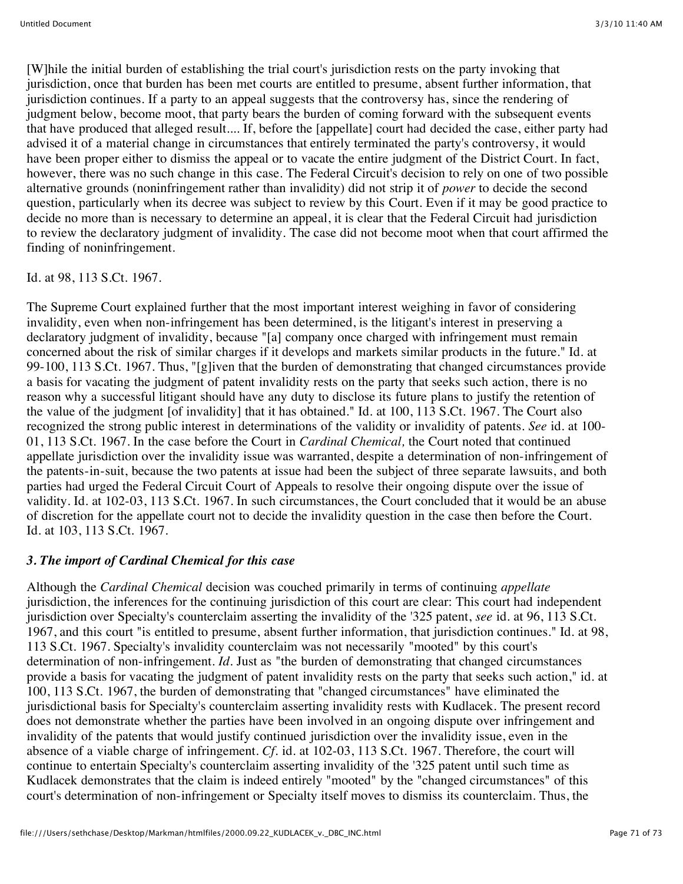[W]hile the initial burden of establishing the trial court's jurisdiction rests on the party invoking that jurisdiction, once that burden has been met courts are entitled to presume, absent further information, that jurisdiction continues. If a party to an appeal suggests that the controversy has, since the rendering of judgment below, become moot, that party bears the burden of coming forward with the subsequent events that have produced that alleged result.... If, before the [appellate] court had decided the case, either party had advised it of a material change in circumstances that entirely terminated the party's controversy, it would have been proper either to dismiss the appeal or to vacate the entire judgment of the District Court. In fact, however, there was no such change in this case. The Federal Circuit's decision to rely on one of two possible alternative grounds (noninfringement rather than invalidity) did not strip it of *power* to decide the second question, particularly when its decree was subject to review by this Court. Even if it may be good practice to decide no more than is necessary to determine an appeal, it is clear that the Federal Circuit had jurisdiction to review the declaratory judgment of invalidity. The case did not become moot when that court affirmed the finding of noninfringement.

#### Id. at 98, 113 S.Ct. 1967.

The Supreme Court explained further that the most important interest weighing in favor of considering invalidity, even when non-infringement has been determined, is the litigant's interest in preserving a declaratory judgment of invalidity, because "[a] company once charged with infringement must remain concerned about the risk of similar charges if it develops and markets similar products in the future." Id. at 99-100, 113 S.Ct. 1967. Thus, "[g]iven that the burden of demonstrating that changed circumstances provide a basis for vacating the judgment of patent invalidity rests on the party that seeks such action, there is no reason why a successful litigant should have any duty to disclose its future plans to justify the retention of the value of the judgment [of invalidity] that it has obtained." Id. at 100, 113 S.Ct. 1967. The Court also recognized the strong public interest in determinations of the validity or invalidity of patents. *See* id. at 100- 01, 113 S.Ct. 1967. In the case before the Court in *Cardinal Chemical,* the Court noted that continued appellate jurisdiction over the invalidity issue was warranted, despite a determination of non-infringement of the patents-in-suit, because the two patents at issue had been the subject of three separate lawsuits, and both parties had urged the Federal Circuit Court of Appeals to resolve their ongoing dispute over the issue of validity. Id. at 102-03, 113 S.Ct. 1967. In such circumstances, the Court concluded that it would be an abuse of discretion for the appellate court not to decide the invalidity question in the case then before the Court. Id. at 103, 113 S.Ct. 1967.

# *3. The import of Cardinal Chemical for this case*

Although the *Cardinal Chemical* decision was couched primarily in terms of continuing *appellate* jurisdiction, the inferences for the continuing jurisdiction of this court are clear: This court had independent jurisdiction over Specialty's counterclaim asserting the invalidity of the '325 patent, *see* id. at 96, 113 S.Ct. 1967, and this court "is entitled to presume, absent further information, that jurisdiction continues." Id. at 98, 113 S.Ct. 1967. Specialty's invalidity counterclaim was not necessarily "mooted" by this court's determination of non-infringement. *Id*. Just as "the burden of demonstrating that changed circumstances provide a basis for vacating the judgment of patent invalidity rests on the party that seeks such action," id. at 100, 113 S.Ct. 1967, the burden of demonstrating that "changed circumstances" have eliminated the jurisdictional basis for Specialty's counterclaim asserting invalidity rests with Kudlacek. The present record does not demonstrate whether the parties have been involved in an ongoing dispute over infringement and invalidity of the patents that would justify continued jurisdiction over the invalidity issue, even in the absence of a viable charge of infringement. *Cf.* id. at 102-03, 113 S.Ct. 1967. Therefore, the court will continue to entertain Specialty's counterclaim asserting invalidity of the '325 patent until such time as Kudlacek demonstrates that the claim is indeed entirely "mooted" by the "changed circumstances" of this court's determination of non-infringement or Specialty itself moves to dismiss its counterclaim. Thus, the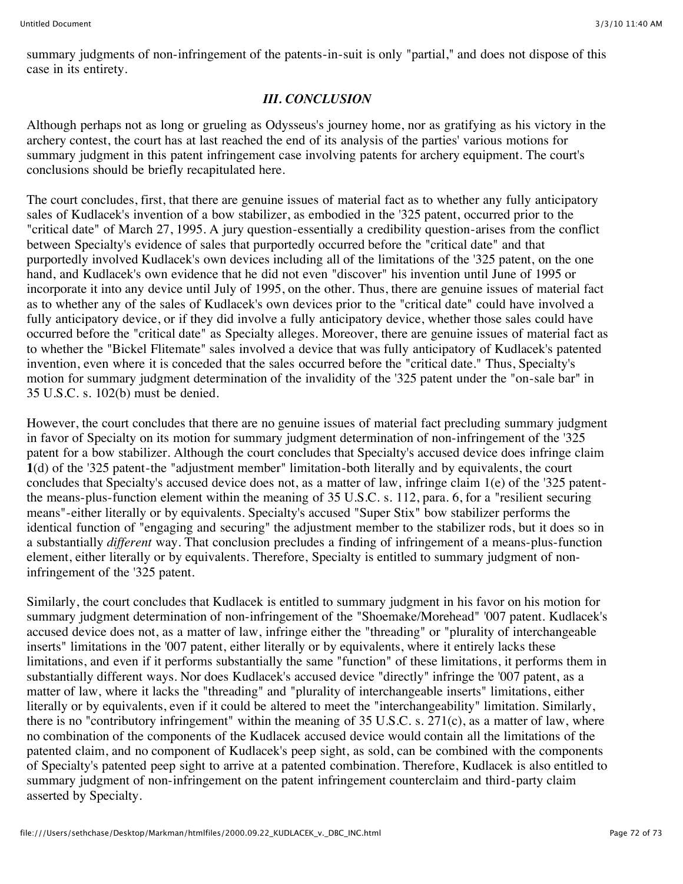summary judgments of non-infringement of the patents-in-suit is only "partial," and does not dispose of this case in its entirety.

# *III. CONCLUSION*

Although perhaps not as long or grueling as Odysseus's journey home, nor as gratifying as his victory in the archery contest, the court has at last reached the end of its analysis of the parties' various motions for summary judgment in this patent infringement case involving patents for archery equipment. The court's conclusions should be briefly recapitulated here.

The court concludes, first, that there are genuine issues of material fact as to whether any fully anticipatory sales of Kudlacek's invention of a bow stabilizer, as embodied in the '325 patent, occurred prior to the "critical date" of March 27, 1995. A jury question-essentially a credibility question-arises from the conflict between Specialty's evidence of sales that purportedly occurred before the "critical date" and that purportedly involved Kudlacek's own devices including all of the limitations of the '325 patent, on the one hand, and Kudlacek's own evidence that he did not even "discover" his invention until June of 1995 or incorporate it into any device until July of 1995, on the other. Thus, there are genuine issues of material fact as to whether any of the sales of Kudlacek's own devices prior to the "critical date" could have involved a fully anticipatory device, or if they did involve a fully anticipatory device, whether those sales could have occurred before the "critical date" as Specialty alleges. Moreover, there are genuine issues of material fact as to whether the "Bickel Flitemate" sales involved a device that was fully anticipatory of Kudlacek's patented invention, even where it is conceded that the sales occurred before the "critical date." Thus, Specialty's motion for summary judgment determination of the invalidity of the '325 patent under the "on-sale bar" in 35 U.S.C. s. 102(b) must be denied.

However, the court concludes that there are no genuine issues of material fact precluding summary judgment in favor of Specialty on its motion for summary judgment determination of non-infringement of the '325 patent for a bow stabilizer. Although the court concludes that Specialty's accused device does infringe claim **1**(d) of the '325 patent-the "adjustment member" limitation-both literally and by equivalents, the court concludes that Specialty's accused device does not, as a matter of law, infringe claim 1(e) of the '325 patentthe means-plus-function element within the meaning of 35 U.S.C. s. 112, para. 6, for a "resilient securing means"-either literally or by equivalents. Specialty's accused "Super Stix" bow stabilizer performs the identical function of "engaging and securing" the adjustment member to the stabilizer rods, but it does so in a substantially *different* way. That conclusion precludes a finding of infringement of a means-plus-function element, either literally or by equivalents. Therefore, Specialty is entitled to summary judgment of noninfringement of the '325 patent.

Similarly, the court concludes that Kudlacek is entitled to summary judgment in his favor on his motion for summary judgment determination of non-infringement of the "Shoemake/Morehead" '007 patent. Kudlacek's accused device does not, as a matter of law, infringe either the "threading" or "plurality of interchangeable inserts" limitations in the '007 patent, either literally or by equivalents, where it entirely lacks these limitations, and even if it performs substantially the same "function" of these limitations, it performs them in substantially different ways. Nor does Kudlacek's accused device "directly" infringe the '007 patent, as a matter of law, where it lacks the "threading" and "plurality of interchangeable inserts" limitations, either literally or by equivalents, even if it could be altered to meet the "interchangeability" limitation. Similarly, there is no "contributory infringement" within the meaning of 35 U.S.C. s. 271(c), as a matter of law, where no combination of the components of the Kudlacek accused device would contain all the limitations of the patented claim, and no component of Kudlacek's peep sight, as sold, can be combined with the components of Specialty's patented peep sight to arrive at a patented combination. Therefore, Kudlacek is also entitled to summary judgment of non-infringement on the patent infringement counterclaim and third-party claim asserted by Specialty.